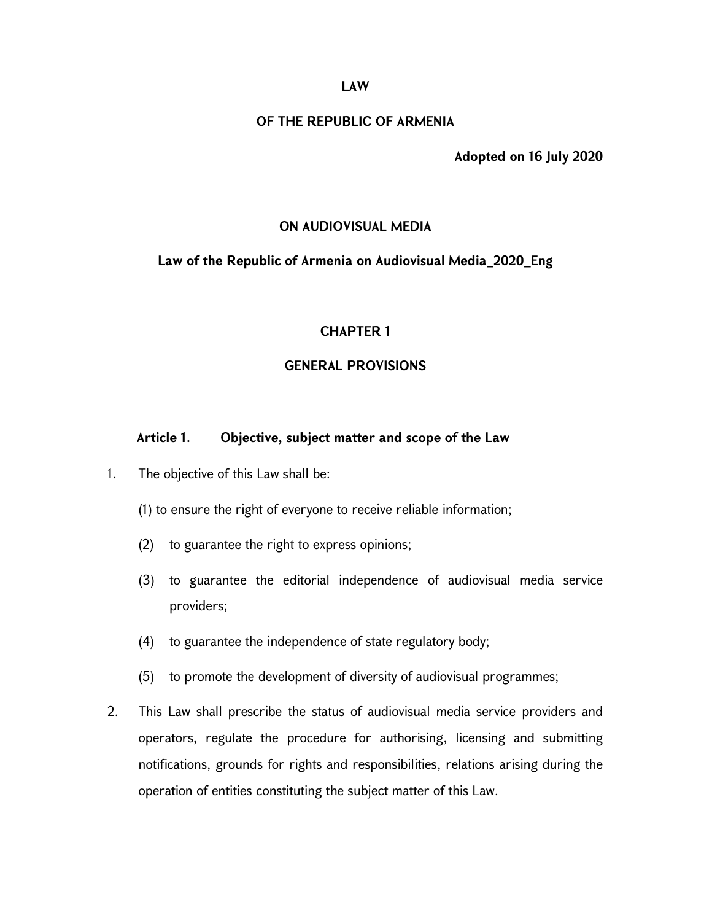### LAW

### OF THE REPUBLIC OF ARMENIA

Adopted on 16 July 2020

#### ON AUDIOVISUAL MEDIA

#### Law of the Republic of Armenia on Audiovisual Media\_2020\_Eng

### CHAPTER 1

### GENERAL PROVISIONS

## Article 1. Objective, subject matter and scope of the Law

- 1. The objective of this Law shall be:
	- (1) to ensure the right of everyone to receive reliable information;
	- (2) to guarantee the right to express opinions;
	- (3) to guarantee the editorial independence of audiovisual media service providers;
	- (4) to guarantee the independence of state regulatory body;
	- (5) to promote the development of diversity of audiovisual programmes;
- 2. This Law shall prescribe the status of audiovisual media service providers and operators, regulate the procedure for authorising, licensing and submitting notifications, grounds for rights and responsibilities, relations arising during the operation of entities constituting the subject matter of this Law.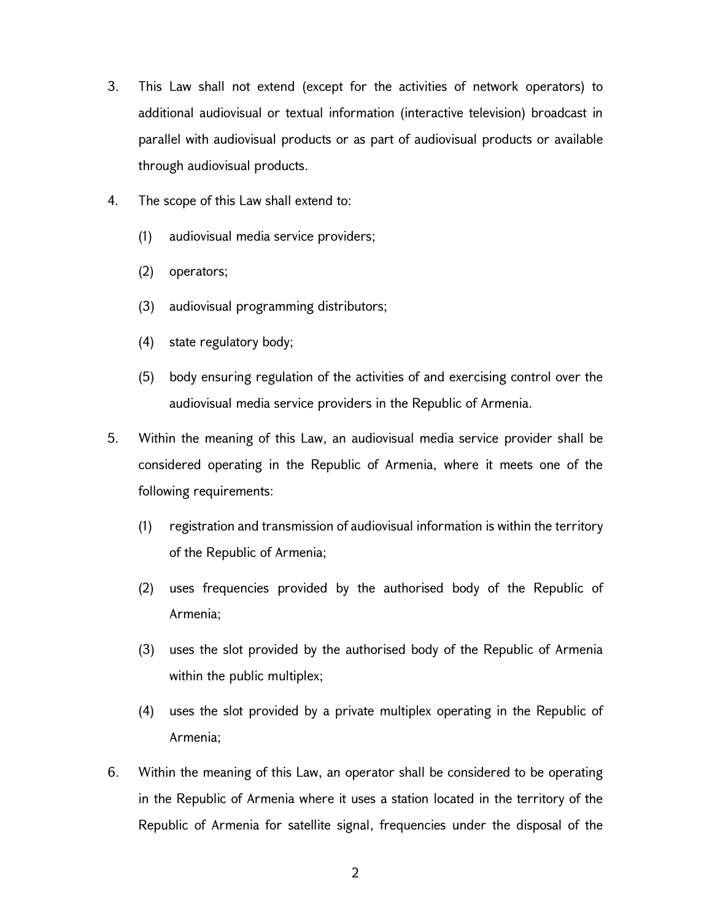- 3. This Law shall not extend (except for the activities of network operators) to additional audiovisual or textual information (interactive television) broadcast in parallel with audiovisual products or as part of audiovisual products or available through audiovisual products.
- 4. The scope of this Law shall extend to:
	- (1) audiovisual media service providers;
	- (2) operators;
	- (3) audiovisual programming distributors;
	- (4) state regulatory body;
	- (5) body ensuring regulation of the activities of and exercising control over the audiovisual media service providers in the Republic of Armenia.
- 5. Within the meaning of this Law, an audiovisual media service provider shall be considered operating in the Republic of Armenia, where it meets one of the following requirements:
	- (1) registration and transmission of audiovisual information is within the territory of the Republic of Armenia;
	- (2) uses frequencies provided by the authorised body of the Republic of Armenia;
	- (3) uses the slot provided by the authorised body of the Republic of Armenia within the public multiplex;
	- (4) uses the slot provided by a private multiplex operating in the Republic of Armenia;
- 6. Within the meaning of this Law, an operator shall be considered to be operating in the Republic of Armenia where it uses a station located in the territory of the Republic of Armenia for satellite signal, frequencies under the disposal of the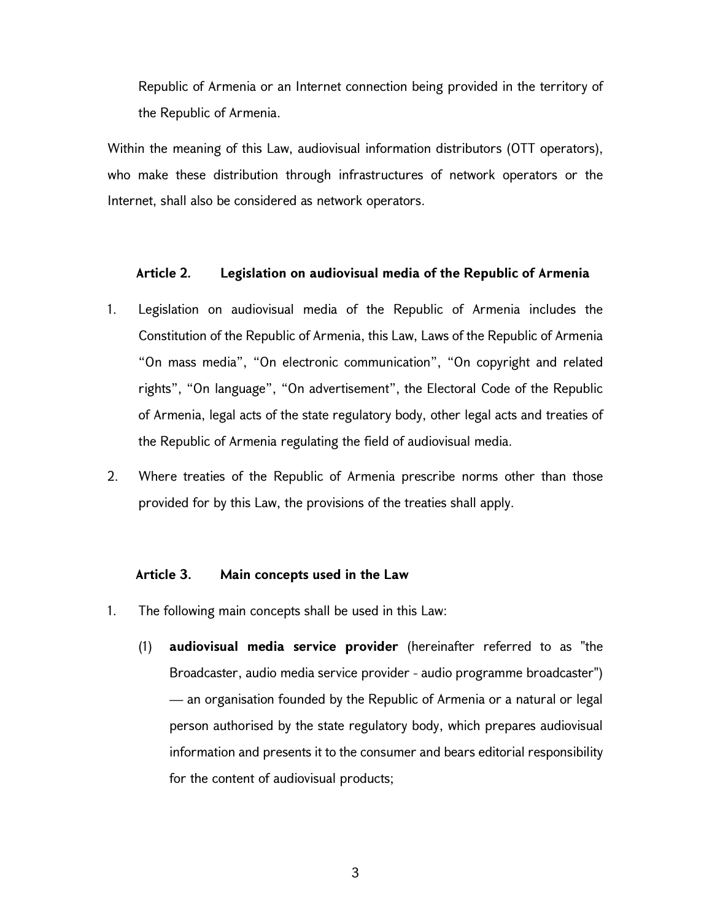Republic of Armenia or an Internet connection being provided in the territory of the Republic of Armenia.

Within the meaning of this Law, audiovisual information distributors (OTT operators), who make these distribution through infrastructures of network operators or the Internet, shall also be considered as network operators.

### Article 2. Legislation on audiovisual media of the Republic of Armenia

- 1. Legislation on audiovisual media of the Republic of Armenia includes the Constitution of the Republic of Armenia, this Law, Laws of the Republic of Armenia "On mass media", "On electronic communication", "On copyright and related rights", "On language", "On advertisement", the Electoral Code of the Republic of Armenia, legal acts of the state regulatory body, other legal acts and treaties of the Republic of Armenia regulating the field of audiovisual media.
- 2. Where treaties of the Republic of Armenia prescribe norms other than those provided for by this Law, the provisions of the treaties shall apply.

#### Article 3. Main concepts used in the Law

- 1. The following main concepts shall be used in this Law:
	- (1) audiovisual media service provider (hereinafter referred to as "the Broadcaster, audio media service provider - audio programme broadcaster") — an organisation founded by the Republic of Armenia or a natural or legal person authorised by the state regulatory body, which prepares audiovisual information and presents it to the consumer and bears editorial responsibility for the content of audiovisual products;

3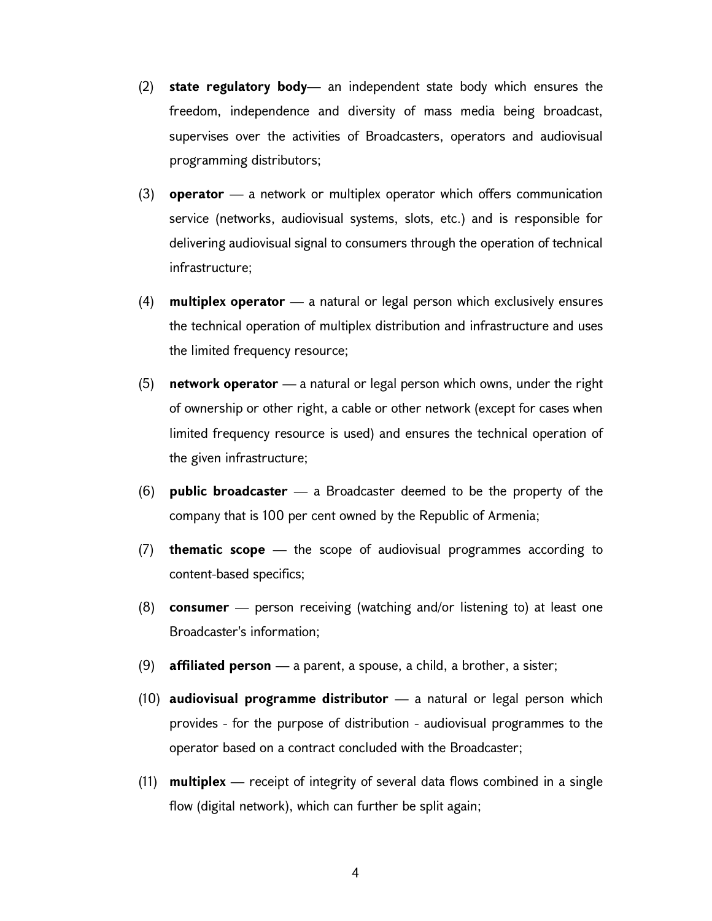- (2) state regulatory body— an independent state body which ensures the freedom, independence and diversity of mass media being broadcast, supervises over the activities of Broadcasters, operators and audiovisual programming distributors;
- (3) **operator** a network or multiplex operator which offers communication service (networks, audiovisual systems, slots, etc.) and is responsible for delivering audiovisual signal to consumers through the operation of technical infrastructure;
- (4) **multiplex operator**  $\equiv$  a natural or legal person which exclusively ensures the technical operation of multiplex distribution and infrastructure and uses the limited frequency resource;
- (5) network operator  $-$  a natural or legal person which owns, under the right of ownership or other right, a cable or other network (except for cases when limited frequency resource is used) and ensures the technical operation of the given infrastructure;
- (6) **public broadcaster**  $-$  a Broadcaster deemed to be the property of the company that is 100 per cent owned by the Republic of Armenia;
- $(7)$  thematic scope the scope of audiovisual programmes according to content-based specifics;
- (8) **consumer** person receiving (watching and/or listening to) at least one Broadcaster's information;
- (9) **affiliated person** a parent, a spouse, a child, a brother, a sister;
- (10) **audiovisual programme distributor**  $\equiv$  a natural or legal person which provides - for the purpose of distribution - audiovisual programmes to the operator based on a contract concluded with the Broadcaster;
- $(11)$  multiplex receipt of integrity of several data flows combined in a single flow (digital network), which can further be split again;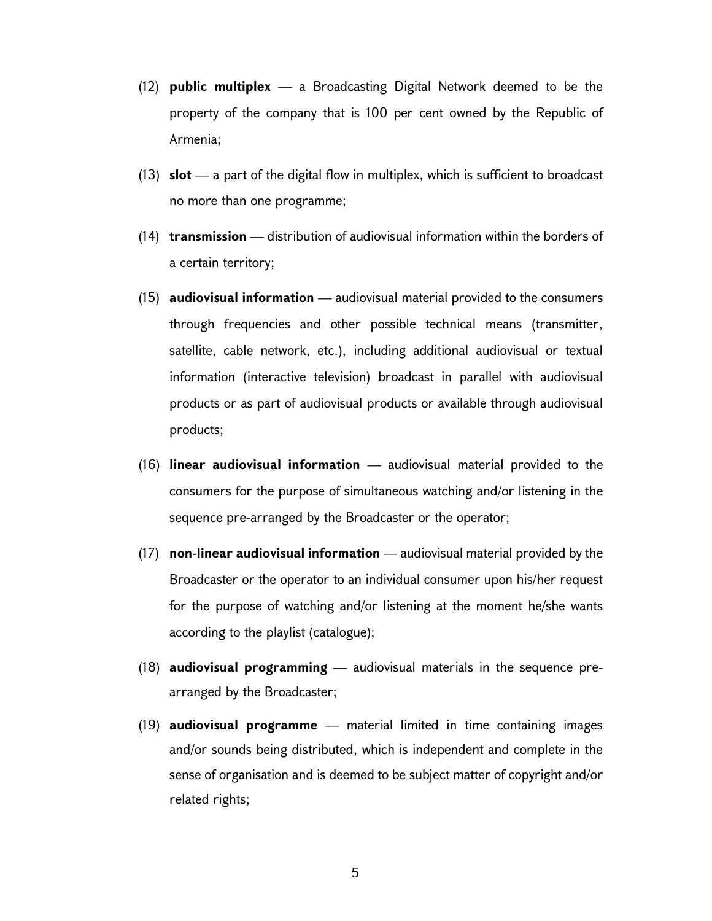- (12) public multiplex a Broadcasting Digital Network deemed to be the property of the company that is 100 per cent owned by the Republic of Armenia;
- (13)  $slot$  a part of the digital flow in multiplex, which is sufficient to broadcast no more than one programme;
- $(14)$  transmission distribution of audiovisual information within the borders of a certain territory;
- $(15)$  audiovisual information audiovisual material provided to the consumers through frequencies and other possible technical means (transmitter, satellite, cable network, etc.), including additional audiovisual or textual information (interactive television) broadcast in parallel with audiovisual products or as part of audiovisual products or available through audiovisual products;
- (16) **linear audiovisual information**  $-$  audiovisual material provided to the consumers for the purpose of simultaneous watching and/or listening in the sequence pre-arranged by the Broadcaster or the operator;
- (17) non-linear audiovisual information audiovisual material provided by the Broadcaster or the operator to an individual consumer upon his/her request for the purpose of watching and/or listening at the moment he/she wants according to the playlist (catalogue);
- (18) **audiovisual programming** audiovisual materials in the sequence prearranged by the Broadcaster;
- $(19)$  audiovisual programme material limited in time containing images and/or sounds being distributed, which is independent and complete in the sense of organisation and is deemed to be subject matter of copyright and/or related rights;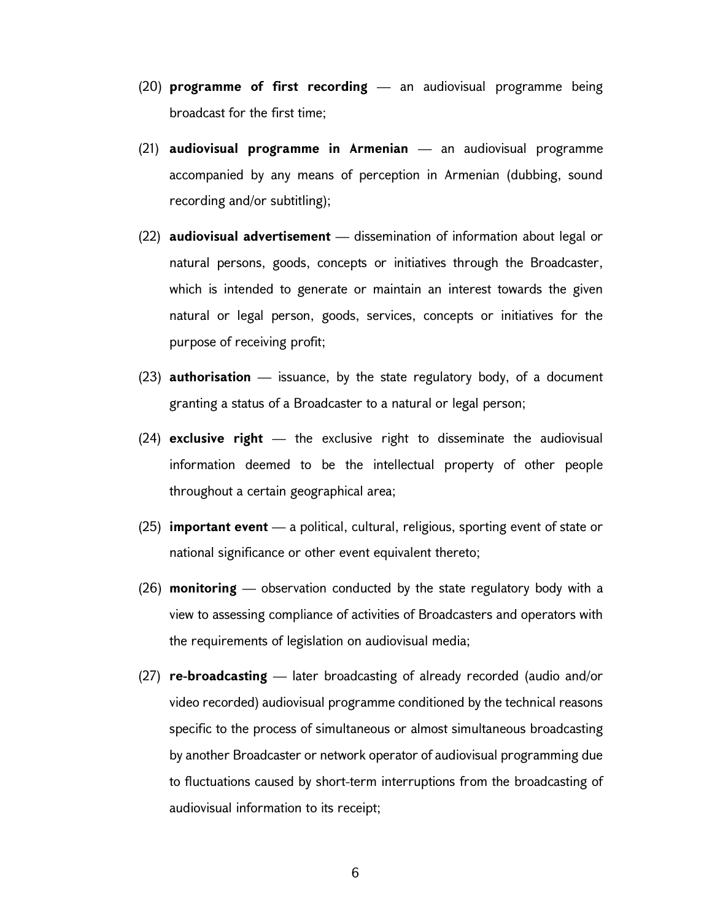- $(20)$  programme of first recording an audiovisual programme being broadcast for the first time;
- $(21)$  audiovisual programme in Armenian an audiovisual programme accompanied by any means of perception in Armenian (dubbing, sound recording and/or subtitling);
- (22) audiovisual advertisement dissemination of information about legal or natural persons, goods, concepts or initiatives through the Broadcaster, which is intended to generate or maintain an interest towards the given natural or legal person, goods, services, concepts or initiatives for the purpose of receiving profit;
- $(23)$  authorisation issuance, by the state regulatory body, of a document granting a status of a Broadcaster to a natural or legal person;
- $(24)$  exclusive right the exclusive right to disseminate the audiovisual information deemed to be the intellectual property of other people throughout a certain geographical area;
- $(25)$  important event a political, cultural, religious, sporting event of state or national significance or other event equivalent thereto;
- (26) **monitoring** observation conducted by the state regulatory body with a view to assessing compliance of activities of Broadcasters and operators with the requirements of legislation on audiovisual media;
- $(27)$  re-broadcasting later broadcasting of already recorded (audio and/or video recorded) audiovisual programme conditioned by the technical reasons specific to the process of simultaneous or almost simultaneous broadcasting by another Broadcaster or network operator of audiovisual programming due to fluctuations caused by short-term interruptions from the broadcasting of audiovisual information to its receipt;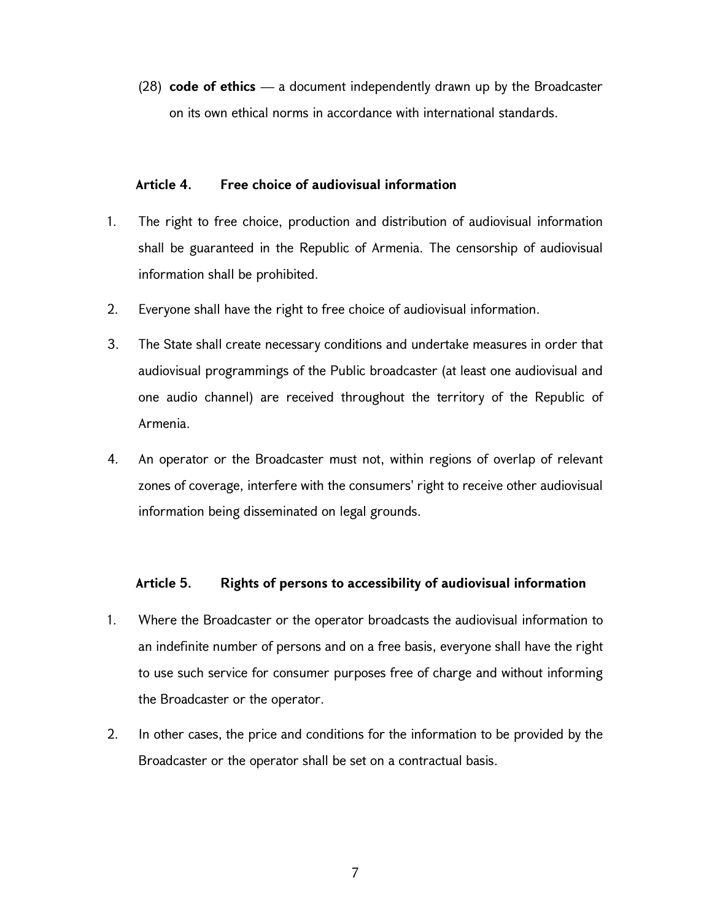(28) code of ethics  $-$  a document independently drawn up by the Broadcaster on its own ethical norms in accordance with international standards.

## Article 4. Free choice of audiovisual information

- 1. The right to free choice, production and distribution of audiovisual information shall be guaranteed in the Republic of Armenia. The censorship of audiovisual information shall be prohibited.
- 2. Everyone shall have the right to free choice of audiovisual information.
- 3. The State shall create necessary conditions and undertake measures in order that audiovisual programmings of the Public broadcaster (at least one audiovisual and one audio channel) are received throughout the territory of the Republic of Armenia.
- 4. An operator or the Broadcaster must not, within regions of overlap of relevant zones of coverage, interfere with the consumers' right to receive other audiovisual information being disseminated on legal grounds.

## Article 5. Rights of persons to accessibility of audiovisual information

- 1. Where the Broadcaster or the operator broadcasts the audiovisual information to an indefinite number of persons and on a free basis, everyone shall have the right to use such service for consumer purposes free of charge and without informing the Broadcaster or the operator.
- 2. In other cases, the price and conditions for the information to be provided by the Broadcaster or the operator shall be set on a contractual basis.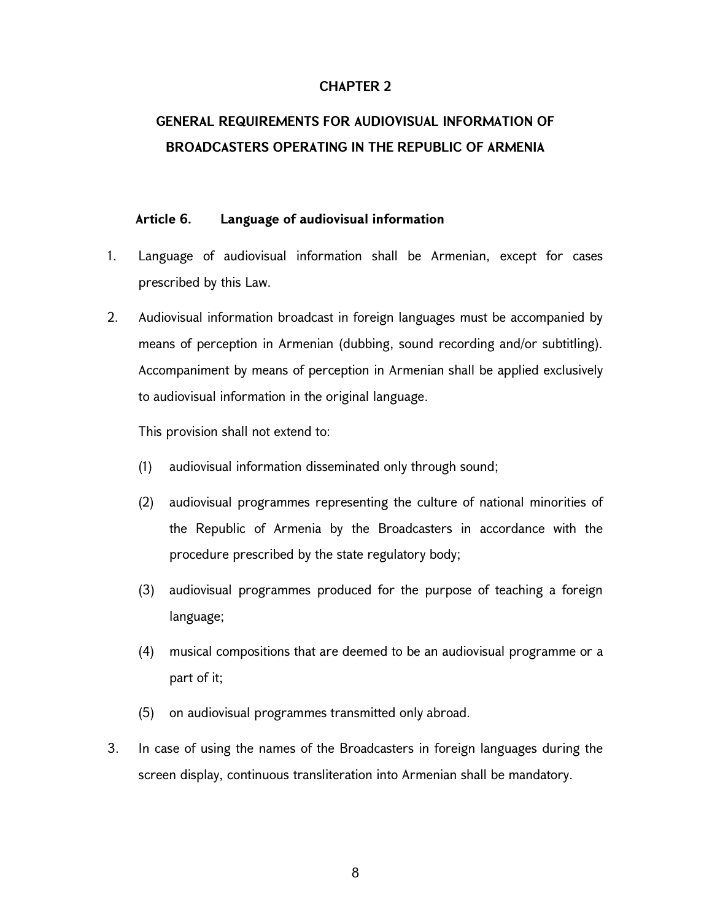## CHAPTER 2

# GENERAL REQUIREMENTS FOR AUDIOVISUAL INFORMATION OF BROADCASTERS OPERATING IN THE REPUBLIC OF ARMENIA

## Article 6. Language of audiovisual information

- 1. Language of audiovisual information shall be Armenian, except for cases prescribed by this Law.
- 2. Audiovisual information broadcast in foreign languages must be accompanied by means of perception in Armenian (dubbing, sound recording and/or subtitling). Accompaniment by means of perception in Armenian shall be applied exclusively to audiovisual information in the original language.

This provision shall not extend to:

- (1) audiovisual information disseminated only through sound;
- (2) audiovisual programmes representing the culture of national minorities of the Republic of Armenia by the Broadcasters in accordance with the procedure prescribed by the state regulatory body;
- (3) audiovisual programmes produced for the purpose of teaching a foreign language;
- (4) musical compositions that are deemed to be an audiovisual programme or a part of it;
- (5) on audiovisual programmes transmitted only abroad.
- 3. In case of using the names of the Broadcasters in foreign languages during the screen display, continuous transliteration into Armenian shall be mandatory.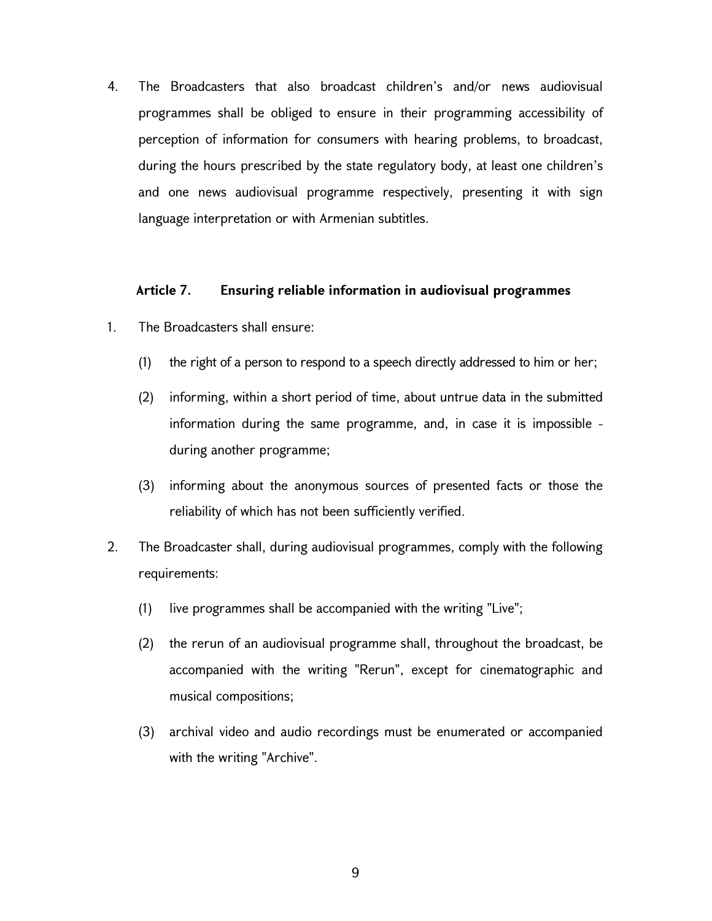4. The Broadcasters that also broadcast children's and/or news audiovisual programmes shall be obliged to ensure in their programming accessibility of perception of information for consumers with hearing problems, to broadcast, during the hours prescribed by the state regulatory body, at least one children's and one news audiovisual programme respectively, presenting it with sign language interpretation or with Armenian subtitles.

### Article 7. Ensuring reliable information in audiovisual programmes

- 1. The Broadcasters shall ensure:
	- (1) the right of a person to respond to a speech directly addressed to him or her;
	- (2) informing, within a short period of time, about untrue data in the submitted information during the same programme, and, in case it is impossible during another programme;
	- (3) informing about the anonymous sources of presented facts or those the reliability of which has not been sufficiently verified.
- 2. The Broadcaster shall, during audiovisual programmes, comply with the following requirements:
	- (1) live programmes shall be accompanied with the writing "Live";
	- (2) the rerun of an audiovisual programme shall, throughout the broadcast, be accompanied with the writing "Rerun", except for cinematographic and musical compositions;
	- (3) archival video and audio recordings must be enumerated or accompanied with the writing "Archive".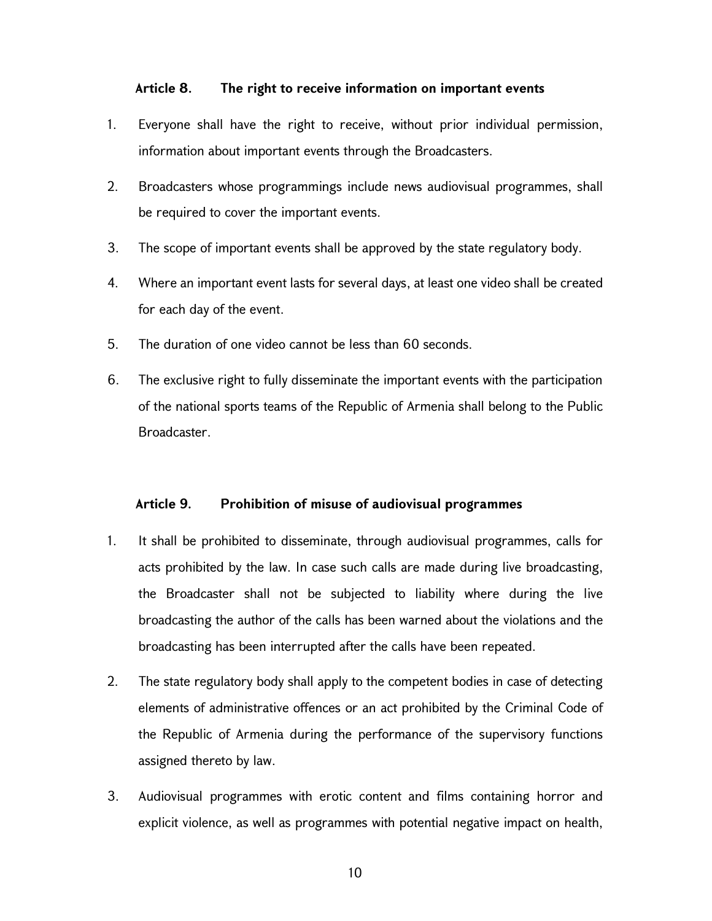## Article 8. The right to receive information on important events

- 1. Everyone shall have the right to receive, without prior individual permission, information about important events through the Broadcasters.
- 2. Broadcasters whose programmings include news audiovisual programmes, shall be required to cover the important events.
- 3. The scope of important events shall be approved by the state regulatory body.
- 4. Where an important event lasts for several days, at least one video shall be created for each day of the event.
- 5. The duration of one video cannot be less than 60 seconds.
- 6. The exclusive right to fully disseminate the important events with the participation of the national sports teams of the Republic of Armenia shall belong to the Public Broadcaster.

#### Article 9. Prohibition of misuse of audiovisual programmes

- 1. It shall be prohibited to disseminate, through audiovisual programmes, calls for acts prohibited by the law. In case such calls are made during live broadcasting, the Broadcaster shall not be subjected to liability where during the live broadcasting the author of the calls has been warned about the violations and the broadcasting has been interrupted after the calls have been repeated.
- 2. The state regulatory body shall apply to the competent bodies in case of detecting elements of administrative offences or an act prohibited by the Criminal Code of the Republic of Armenia during the performance of the supervisory functions assigned thereto by law.
- 3. Audiovisual programmes with erotic content and films containing horror and explicit violence, as well as programmes with potential negative impact on health,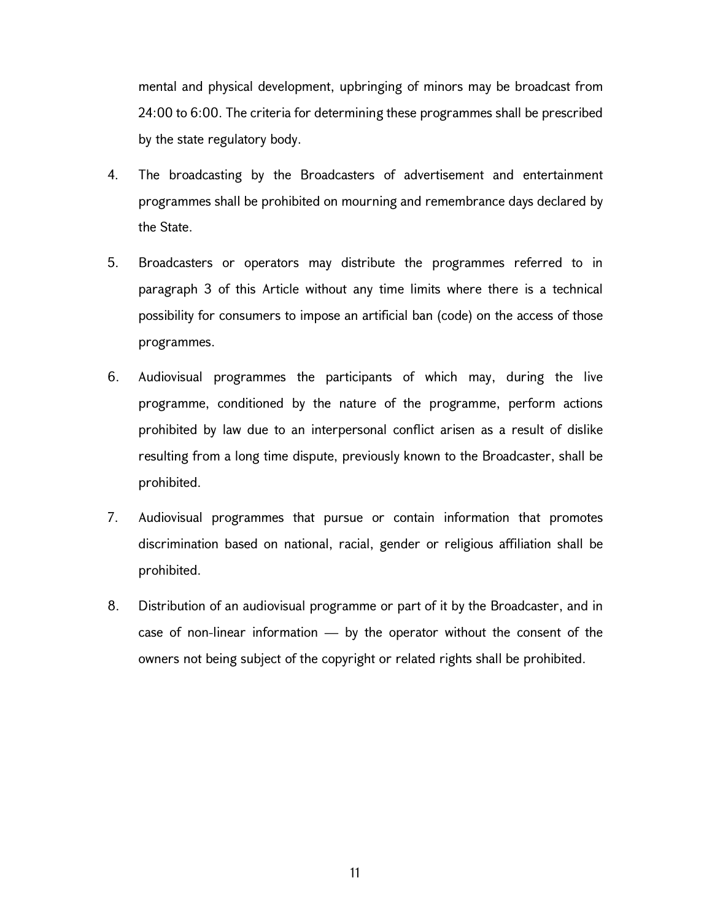mental and physical development, upbringing of minors may be broadcast from 24:00 to 6:00. The criteria for determining these programmes shall be prescribed by the state regulatory body.

- 4. The broadcasting by the Broadcasters of advertisement and entertainment programmes shall be prohibited on mourning and remembrance days declared by the State.
- 5. Broadcasters or operators may distribute the programmes referred to in paragraph 3 of this Article without any time limits where there is a technical possibility for consumers to impose an artificial ban (code) on the access of those programmes.
- 6. Audiovisual programmes the participants of which may, during the live programme, conditioned by the nature of the programme, perform actions prohibited by law due to an interpersonal conflict arisen as a result of dislike resulting from a long time dispute, previously known to the Broadcaster, shall be prohibited.
- 7. Audiovisual programmes that pursue or contain information that promotes discrimination based on national, racial, gender or religious affiliation shall be prohibited.
- 8. Distribution of an audiovisual programme or part of it by the Broadcaster, and in case of non-linear information — by the operator without the consent of the owners not being subject of the copyright or related rights shall be prohibited.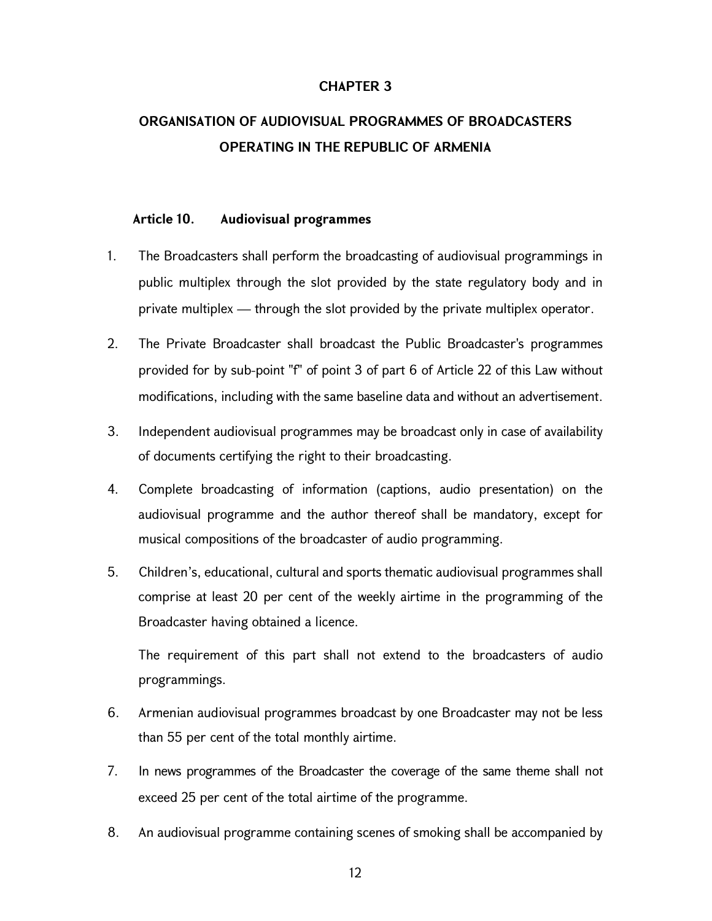## CHAPTER 3

# ORGANISATION OF AUDIOVISUAL PROGRAMMES OF BROADCASTERS OPERATING IN THE REPUBLIC OF ARMENIA

### Article 10. Audiovisual programmes

- 1. The Broadcasters shall perform the broadcasting of audiovisual programmings in public multiplex through the slot provided by the state regulatory body and in private multiplex — through the slot provided by the private multiplex operator.
- 2. The Private Broadcaster shall broadcast the Public Broadcaster's programmes provided for by sub-point "f" of point 3 of part 6 of Article 22 of this Law without modifications, including with the same baseline data and without an advertisement.
- 3. Independent audiovisual programmes may be broadcast only in case of availability of documents certifying the right to their broadcasting.
- 4. Complete broadcasting of information (captions, audio presentation) on the audiovisual programme and the author thereof shall be mandatory, except for musical compositions of the broadcaster of audio programming.
- 5. Children's, educational, cultural and sports thematic audiovisual programmes shall comprise at least 20 per cent of the weekly airtime in the programming of the Broadcaster having obtained a licence.

The requirement of this part shall not extend to the broadcasters of audio programmings.

- 6. Armenian audiovisual programmes broadcast by one Broadcaster may not be less than 55 per cent of the total monthly airtime.
- 7. In news programmes of the Broadcaster the coverage of the same theme shall not exceed 25 per cent of the total airtime of the programme.
- 8. An audiovisual programme containing scenes of smoking shall be accompanied by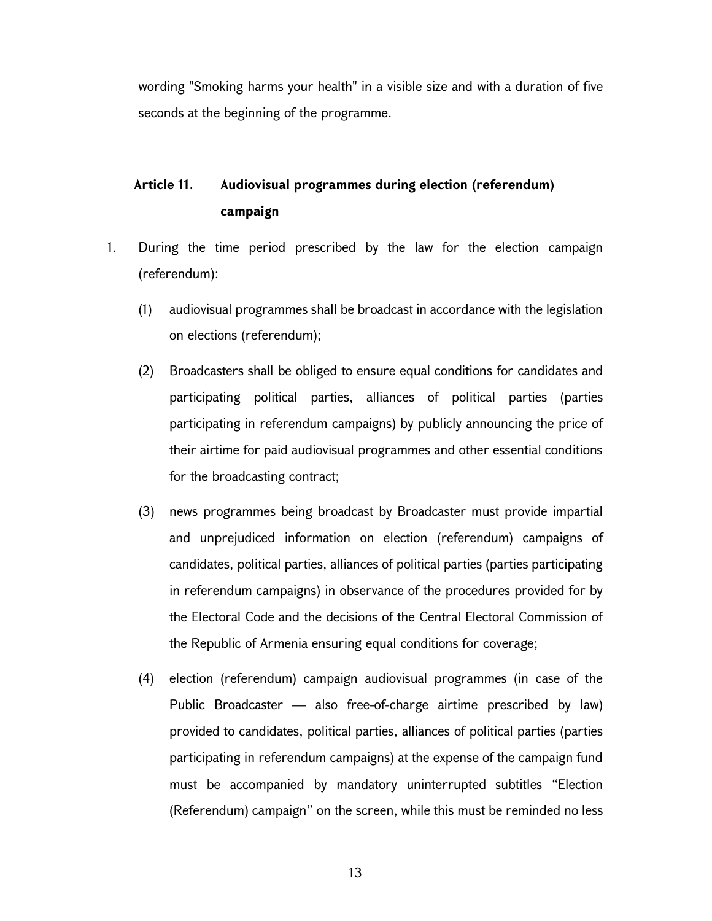wording "Smoking harms your health" in a visible size and with a duration of five seconds at the beginning of the programme.

# Article 11. Audiovisual programmes during election (referendum) campaign

- 1. During the time period prescribed by the law for the election campaign (referendum):
	- (1) audiovisual programmes shall be broadcast in accordance with the legislation on elections (referendum);
	- (2) Broadcasters shall be obliged to ensure equal conditions for candidates and participating political parties, alliances of political parties (parties participating in referendum campaigns) by publicly announcing the price of their airtime for paid audiovisual programmes and other essential conditions for the broadcasting contract;
	- (3) news programmes being broadcast by Broadcaster must provide impartial and unprejudiced information on election (referendum) campaigns of candidates, political parties, alliances of political parties (parties participating in referendum campaigns) in observance of the procedures provided for by the Electoral Code and the decisions of the Central Electoral Commission of the Republic of Armenia ensuring equal conditions for coverage;
	- (4) election (referendum) campaign audiovisual programmes (in case of the Public Broadcaster — also free-of-charge airtime prescribed by law) provided to candidates, political parties, alliances of political parties (parties participating in referendum campaigns) at the expense of the campaign fund must be accompanied by mandatory uninterrupted subtitles "Election (Referendum) campaign" on the screen, while this must be reminded no less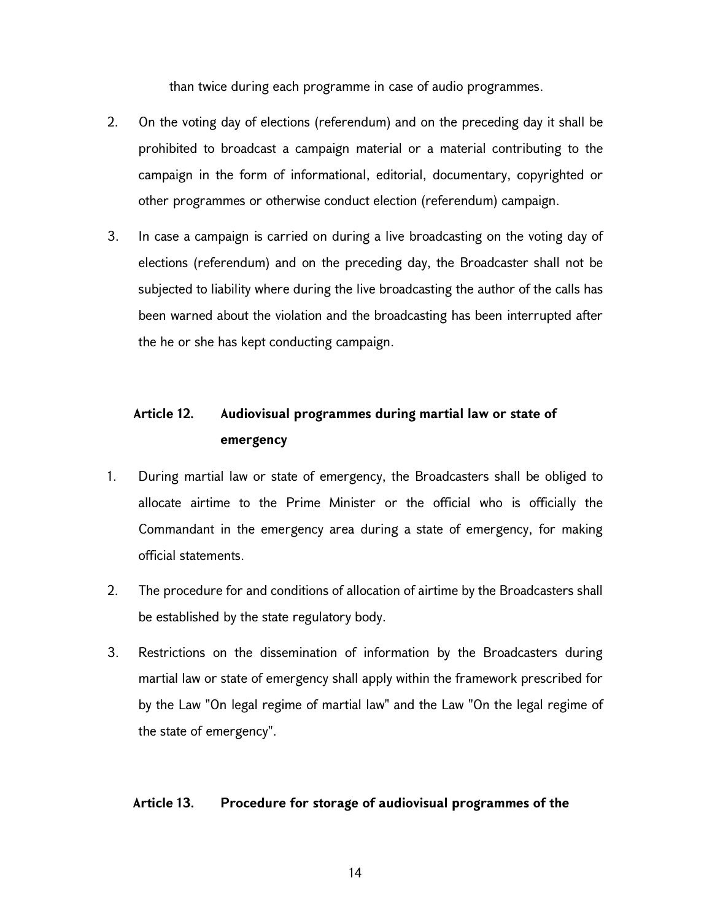than twice during each programme in case of audio programmes.

- 2. On the voting day of elections (referendum) and on the preceding day it shall be prohibited to broadcast a campaign material or a material contributing to the campaign in the form of informational, editorial, documentary, copyrighted or other programmes or otherwise conduct election (referendum) campaign.
- 3. In case a campaign is carried on during a live broadcasting on the voting day of elections (referendum) and on the preceding day, the Broadcaster shall not be subjected to liability where during the live broadcasting the author of the calls has been warned about the violation and the broadcasting has been interrupted after the he or she has kept conducting campaign.

# Article 12. Audiovisual programmes during martial law or state of emergency

- 1. During martial law or state of emergency, the Broadcasters shall be obliged to allocate airtime to the Prime Minister or the official who is officially the Commandant in the emergency area during a state of emergency, for making official statements.
- 2. The procedure for and conditions of allocation of airtime by the Broadcasters shall be established by the state regulatory body.
- 3. Restrictions on the dissemination of information by the Broadcasters during martial law or state of emergency shall apply within the framework prescribed for by the Law "On legal regime of martial law" and the Law "On the legal regime of the state of emergency".

## Article 13. Procedure for storage of audiovisual programmes of the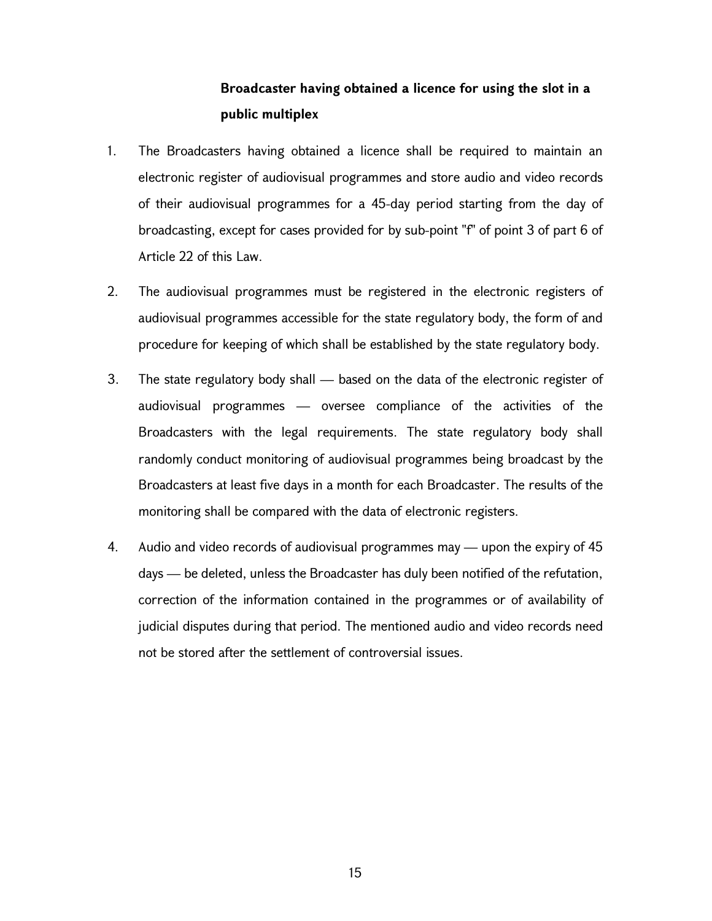# Broadcaster having obtained a licence for using the slot in a public multiplex

- 1. The Broadcasters having obtained a licence shall be required to maintain an electronic register of audiovisual programmes and store audio and video records of their audiovisual programmes for a 45-day period starting from the day of broadcasting, except for cases provided for by sub-point "f" of point 3 of part 6 of Article 22 of this Law.
- 2. The audiovisual programmes must be registered in the electronic registers of audiovisual programmes accessible for the state regulatory body, the form of and procedure for keeping of which shall be established by the state regulatory body.
- 3. The state regulatory body shall based on the data of the electronic register of audiovisual programmes — oversee compliance of the activities of the Broadcasters with the legal requirements. The state regulatory body shall randomly conduct monitoring of audiovisual programmes being broadcast by the Broadcasters at least five days in a month for each Broadcaster. The results of the monitoring shall be compared with the data of electronic registers.
- 4. Audio and video records of audiovisual programmes may upon the expiry of 45 days — be deleted, unless the Broadcaster has duly been notified of the refutation, correction of the information contained in the programmes or of availability of judicial disputes during that period. The mentioned audio and video records need not be stored after the settlement of controversial issues.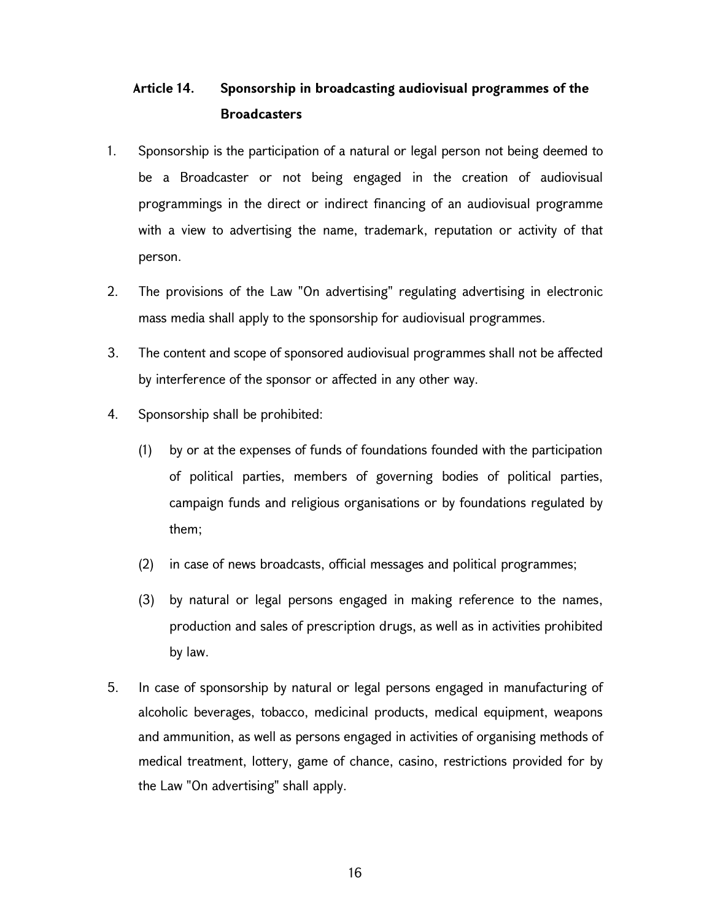# Article 14. Sponsorship in broadcasting audiovisual programmes of the **Broadcasters**

- 1. Sponsorship is the participation of a natural or legal person not being deemed to be a Broadcaster or not being engaged in the creation of audiovisual programmings in the direct or indirect financing of an audiovisual programme with a view to advertising the name, trademark, reputation or activity of that person.
- 2. The provisions of the Law "On advertising" regulating advertising in electronic mass media shall apply to the sponsorship for audiovisual programmes.
- 3. The content and scope of sponsored audiovisual programmes shall not be affected by interference of the sponsor or affected in any other way.
- 4. Sponsorship shall be prohibited:
	- (1) by or at the expenses of funds of foundations founded with the participation of political parties, members of governing bodies of political parties, campaign funds and religious organisations or by foundations regulated by them;
	- (2) in case of news broadcasts, official messages and political programmes;
	- (3) by natural or legal persons engaged in making reference to the names, production and sales of prescription drugs, as well as in activities prohibited by law.
- 5. In case of sponsorship by natural or legal persons engaged in manufacturing of alcoholic beverages, tobacco, medicinal products, medical equipment, weapons and ammunition, as well as persons engaged in activities of organising methods of medical treatment, lottery, game of chance, casino, restrictions provided for by the Law "On advertising" shall apply.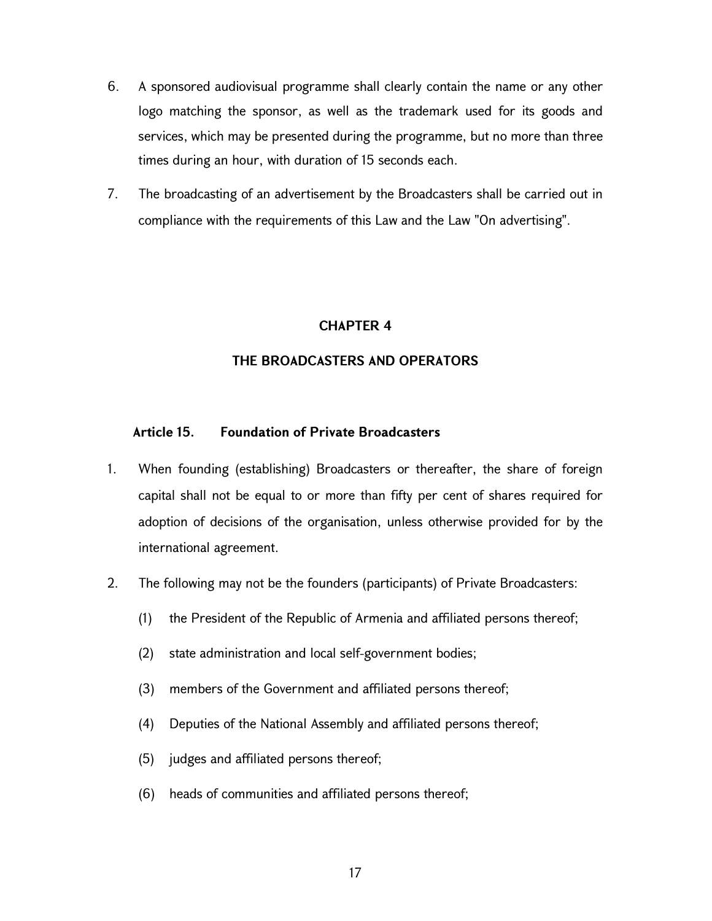- 6. A sponsored audiovisual programme shall clearly contain the name or any other logo matching the sponsor, as well as the trademark used for its goods and services, which may be presented during the programme, but no more than three times during an hour, with duration of 15 seconds each.
- 7. The broadcasting of an advertisement by the Broadcasters shall be carried out in compliance with the requirements of this Law and the Law "On advertising".

### CHAPTER 4

## THE BROADCASTERS AND OPERATORS

## Article 15. Foundation of Private Broadcasters

- 1. When founding (establishing) Broadcasters or thereafter, the share of foreign capital shall not be equal to or more than fifty per cent of shares required for adoption of decisions of the organisation, unless otherwise provided for by the international agreement.
- 2. The following may not be the founders (participants) of Private Broadcasters:
	- (1) the President of the Republic of Armenia and affiliated persons thereof;
	- (2) state administration and local self-government bodies;
	- (3) members of the Government and affiliated persons thereof;
	- (4) Deputies of the National Assembly and affiliated persons thereof;
	- (5) judges and affiliated persons thereof;
	- (6) heads of communities and affiliated persons thereof;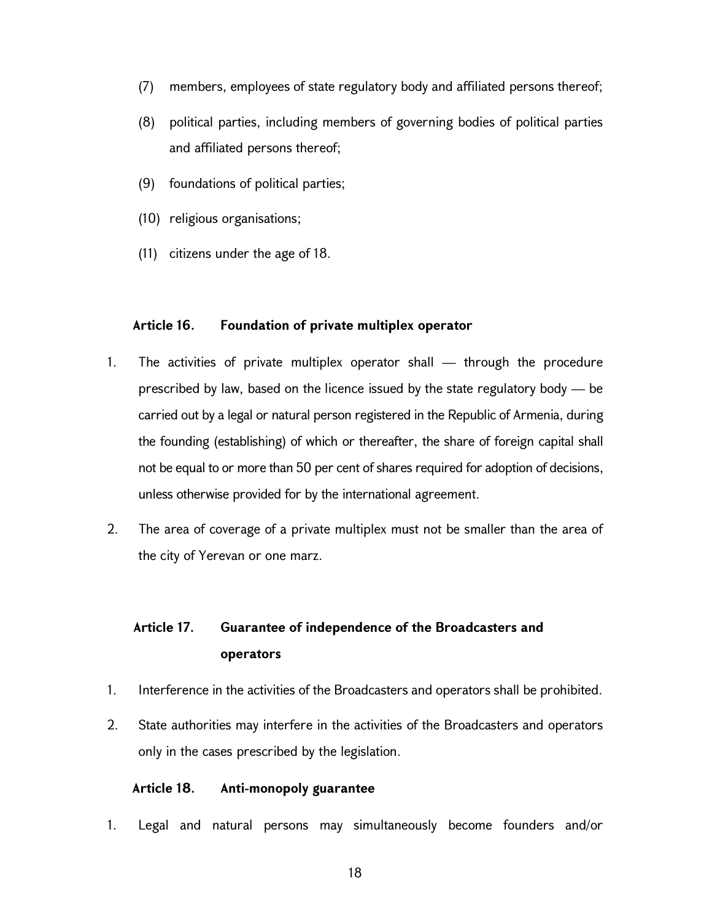- (7) members, employees of state regulatory body and affiliated persons thereof;
- (8) political parties, including members of governing bodies of political parties and affiliated persons thereof;
- (9) foundations of political parties;
- (10) religious organisations;
- (11) citizens under the age of 18.

# Article 16. Foundation of private multiplex operator

- 1. The activities of private multiplex operator shall through the procedure prescribed by law, based on the licence issued by the state regulatory body — be carried out by a legal or natural person registered in the Republic of Armenia, during the founding (establishing) of which or thereafter, the share of foreign capital shall not be equal to or more than 50 per cent of shares required for adoption of decisions, unless otherwise provided for by the international agreement.
- 2. The area of coverage of a private multiplex must not be smaller than the area of the city of Yerevan or one marz.

# Article 17. Guarantee of independence of the Broadcasters and operators

- 1. Interference in the activities of the Broadcasters and operators shall be prohibited.
- 2. State authorities may interfere in the activities of the Broadcasters and operators only in the cases prescribed by the legislation.

## Article 18. Anti-monopoly guarantee

1. Legal and natural persons may simultaneously become founders and/or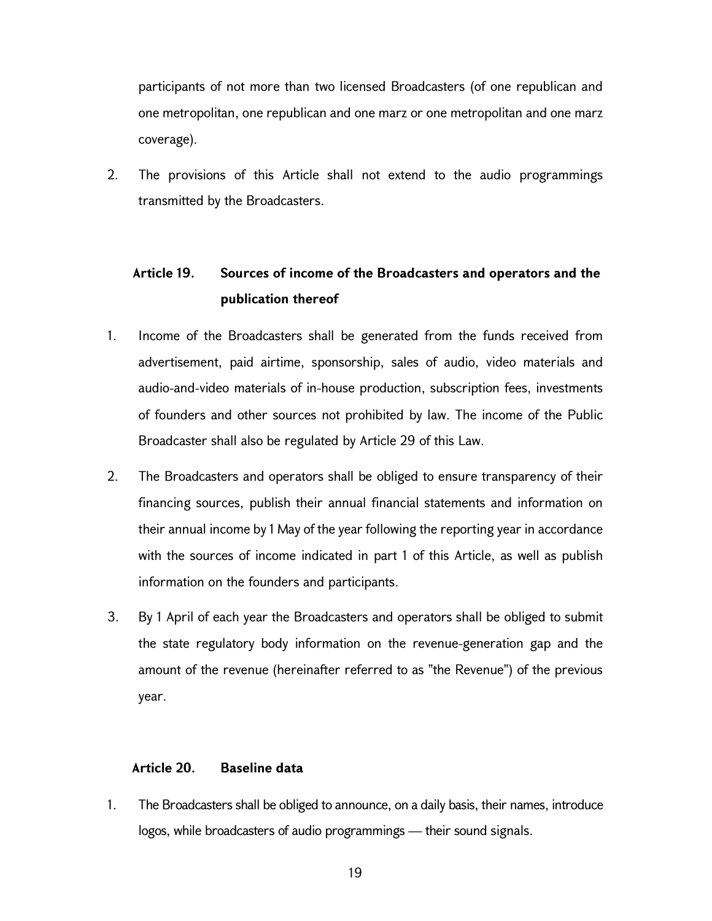participants of not more than two licensed Broadcasters (of one republican and one metropolitan, one republican and one marz or one metropolitan and one marz coverage).

2. The provisions of this Article shall not extend to the audio programmings transmitted by the Broadcasters.

# Article 19. Sources of income of the Broadcasters and operators and the publication thereof

- 1. Income of the Broadcasters shall be generated from the funds received from advertisement, paid airtime, sponsorship, sales of audio, video materials and audio-and-video materials of in-house production, subscription fees, investments of founders and other sources not prohibited by law. The income of the Public Broadcaster shall also be regulated by Article 29 of this Law.
- 2. The Broadcasters and operators shall be obliged to ensure transparency of their financing sources, publish their annual financial statements and information on their annual income by 1 May of the year following the reporting year in accordance with the sources of income indicated in part 1 of this Article, as well as publish information on the founders and participants.
- 3. By 1 April of each year the Broadcasters and operators shall be obliged to submit the state regulatory body information on the revenue-generation gap and the amount of the revenue (hereinafter referred to as "the Revenue") of the previous year.

## Article 20. Baseline data

1. The Broadcasters shall be obliged to announce, on a daily basis, their names, introduce logos, while broadcasters of audio programmings — their sound signals.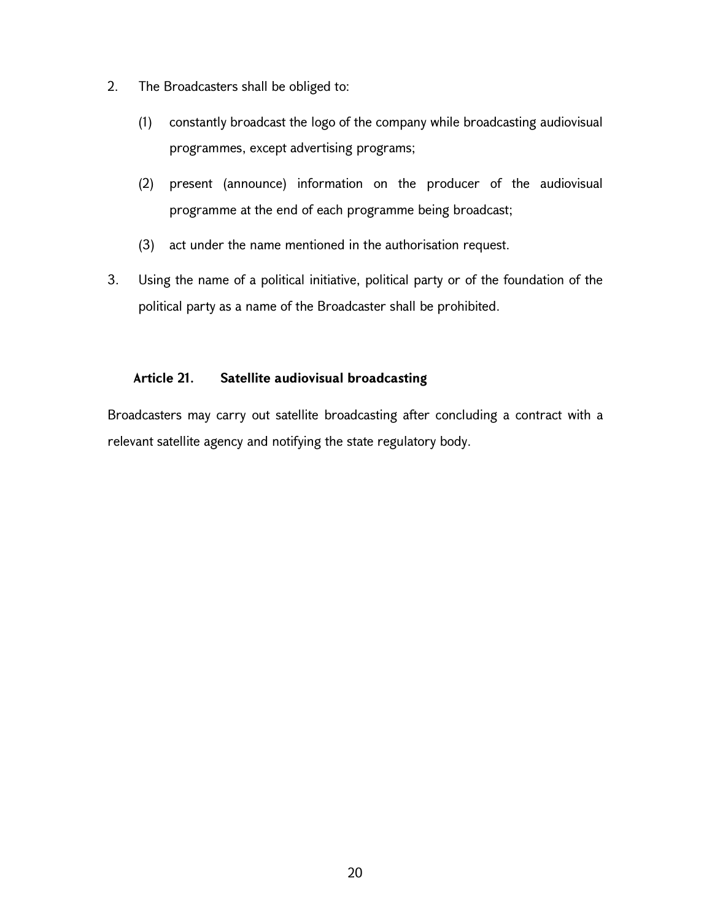- 2. The Broadcasters shall be obliged to:
	- (1) constantly broadcast the logo of the company while broadcasting audiovisual programmes, except advertising programs;
	- (2) present (announce) information on the producer of the audiovisual programme at the end of each programme being broadcast;
	- (3) act under the name mentioned in the authorisation request.
- 3. Using the name of a political initiative, political party or of the foundation of the political party as a name of the Broadcaster shall be prohibited.

# Article 21. Satellite audiovisual broadcasting

Broadcasters may carry out satellite broadcasting after concluding a contract with a relevant satellite agency and notifying the state regulatory body.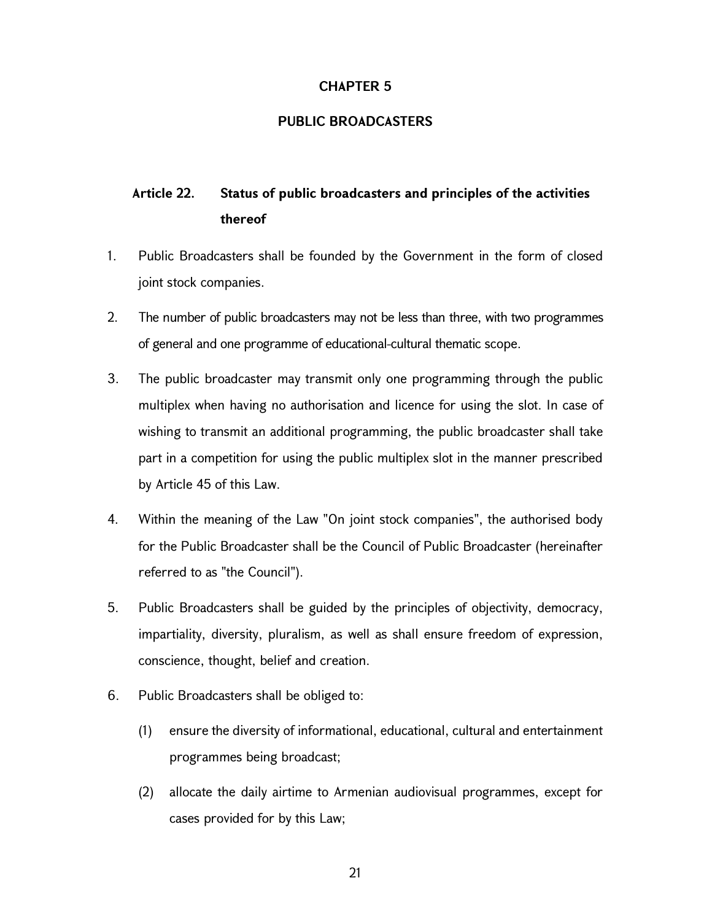## CHAPTER 5

## PUBLIC BROADCASTERS

# Article 22. Status of public broadcasters and principles of the activities thereof

- 1. Public Broadcasters shall be founded by the Government in the form of closed joint stock companies.
- 2. The number of public broadcasters may not be less than three, with two programmes of general and one programme of educational-cultural thematic scope.
- 3. The public broadcaster may transmit only one programming through the public multiplex when having no authorisation and licence for using the slot. In case of wishing to transmit an additional programming, the public broadcaster shall take part in a competition for using the public multiplex slot in the manner prescribed by Article 45 of this Law.
- 4. Within the meaning of the Law "On joint stock companies", the authorised body for the Public Broadcaster shall be the Council of Public Broadcaster (hereinafter referred to as "the Council").
- 5. Public Broadcasters shall be guided by the principles of objectivity, democracy, impartiality, diversity, pluralism, as well as shall ensure freedom of expression, conscience, thought, belief and creation.
- 6. Public Broadcasters shall be obliged to:
	- (1) ensure the diversity of informational, educational, cultural and entertainment programmes being broadcast;
	- (2) allocate the daily airtime to Armenian audiovisual programmes, except for cases provided for by this Law;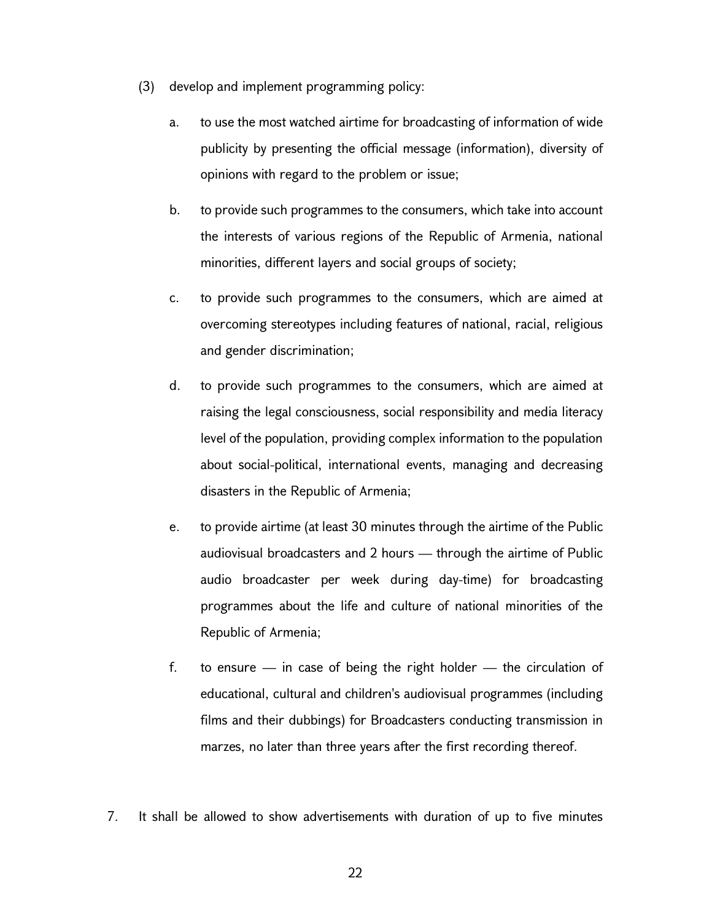- (3) develop and implement programming policy:
	- a. to use the most watched airtime for broadcasting of information of wide publicity by presenting the official message (information), diversity of opinions with regard to the problem or issue;
	- b. to provide such programmes to the consumers, which take into account the interests of various regions of the Republic of Armenia, national minorities, different layers and social groups of society;
	- c. to provide such programmes to the consumers, which are aimed at overcoming stereotypes including features of national, racial, religious and gender discrimination;
	- d. to provide such programmes to the consumers, which are aimed at raising the legal consciousness, social responsibility and media literacy level of the population, providing complex information to the population about social-political, international events, managing and decreasing disasters in the Republic of Armenia;
	- e. to provide airtime (at least 30 minutes through the airtime of the Public audiovisual broadcasters and 2 hours — through the airtime of Public audio broadcaster per week during day-time) for broadcasting programmes about the life and culture of national minorities of the Republic of Armenia;
	- f. to ensure  $-$  in case of being the right holder  $-$  the circulation of educational, cultural and children's audiovisual programmes (including films and their dubbings) for Broadcasters conducting transmission in marzes, no later than three years after the first recording thereof.
- 7. It shall be allowed to show advertisements with duration of up to five minutes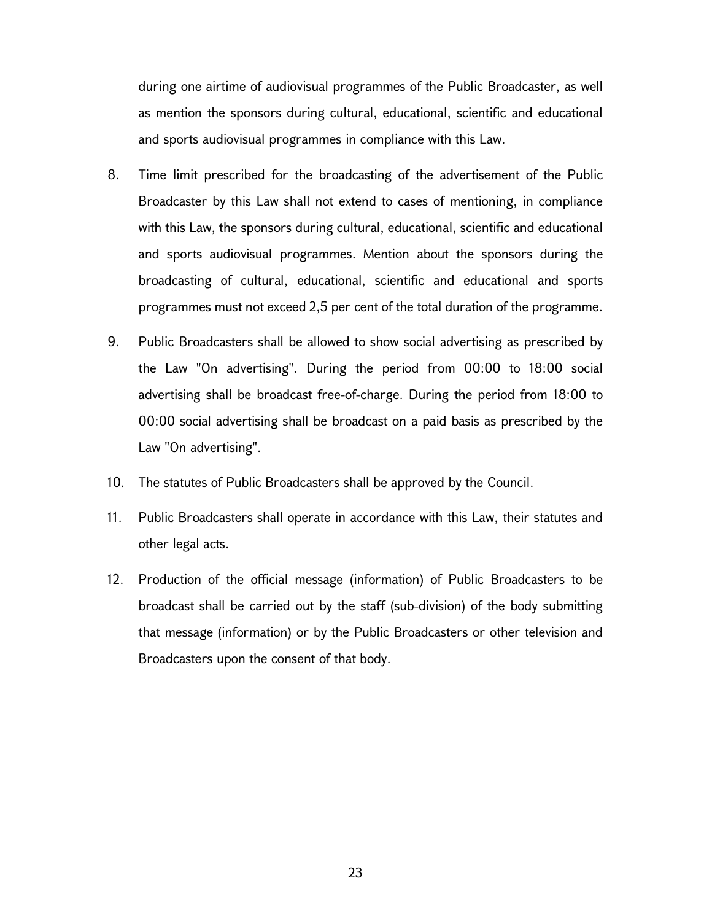during one airtime of audiovisual programmes of the Public Broadcaster, as well as mention the sponsors during cultural, educational, scientific and educational and sports audiovisual programmes in compliance with this Law.

- 8. Time limit prescribed for the broadcasting of the advertisement of the Public Broadcaster by this Law shall not extend to cases of mentioning, in compliance with this Law, the sponsors during cultural, educational, scientific and educational and sports audiovisual programmes. Mention about the sponsors during the broadcasting of cultural, educational, scientific and educational and sports programmes must not exceed 2,5 per cent of the total duration of the programme.
- 9. Public Broadcasters shall be allowed to show social advertising as prescribed by the Law "On advertising". During the period from 00:00 to 18:00 social advertising shall be broadcast free-of-charge. During the period from 18։00 to 00:00 social advertising shall be broadcast on a paid basis as prescribed by the Law "On advertising".
- 10. The statutes of Public Broadcasters shall be approved by the Council.
- 11. Public Broadcasters shall operate in accordance with this Law, their statutes and other legal acts.
- 12. Production of the official message (information) of Public Broadcasters to be broadcast shall be carried out by the staff (sub-division) of the body submitting that message (information) or by the Public Broadcasters or other television and Broadcasters upon the consent of that body.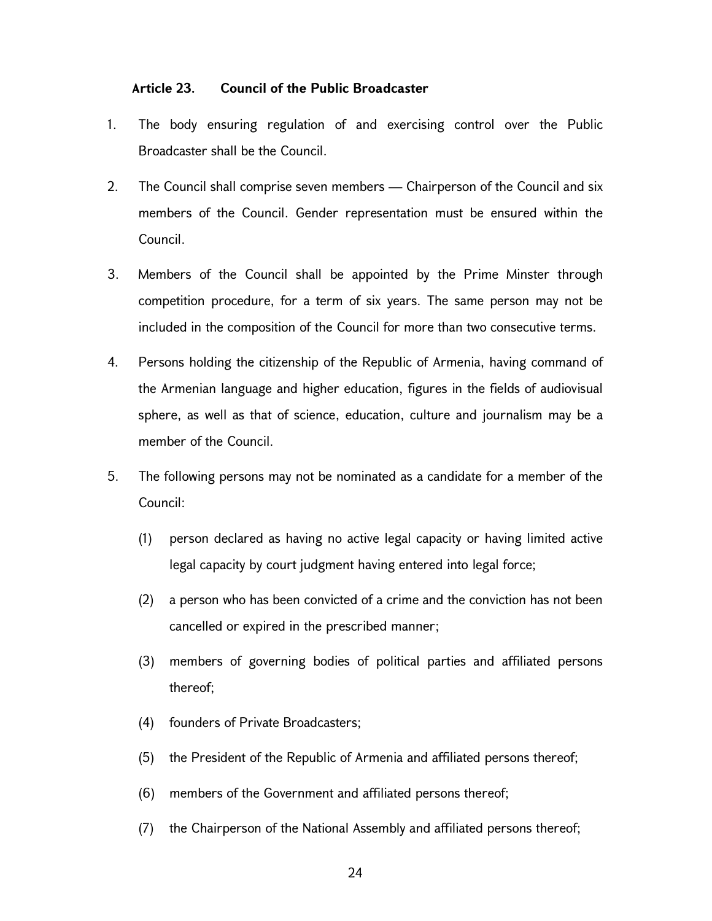### Article 23. Council of the Public Broadcaster

- 1. The body ensuring regulation of and exercising control over the Public Broadcaster shall be the Council.
- 2. The Council shall comprise seven members Chairperson of the Council and six members of the Council. Gender representation must be ensured within the Council.
- 3. Members of the Council shall be appointed by the Prime Minster through competition procedure, for a term of six years. The same person may not be included in the composition of the Council for more than two consecutive terms.
- 4. Persons holding the citizenship of the Republic of Armenia, having command of the Armenian language and higher education, figures in the fields of audiovisual sphere, as well as that of science, education, culture and journalism may be a member of the Council.
- 5. The following persons may not be nominated as a candidate for a member of the Council:
	- (1) person declared as having no active legal capacity or having limited active legal capacity by court judgment having entered into legal force;
	- (2) a person who has been convicted of a crime and the conviction has not been cancelled or expired in the prescribed manner;
	- (3) members of governing bodies of political parties and affiliated persons thereof;
	- (4) founders of Private Broadcasters;
	- (5) the President of the Republic of Armenia and affiliated persons thereof;
	- (6) members of the Government and affiliated persons thereof;
	- (7) the Chairperson of the National Assembly and affiliated persons thereof;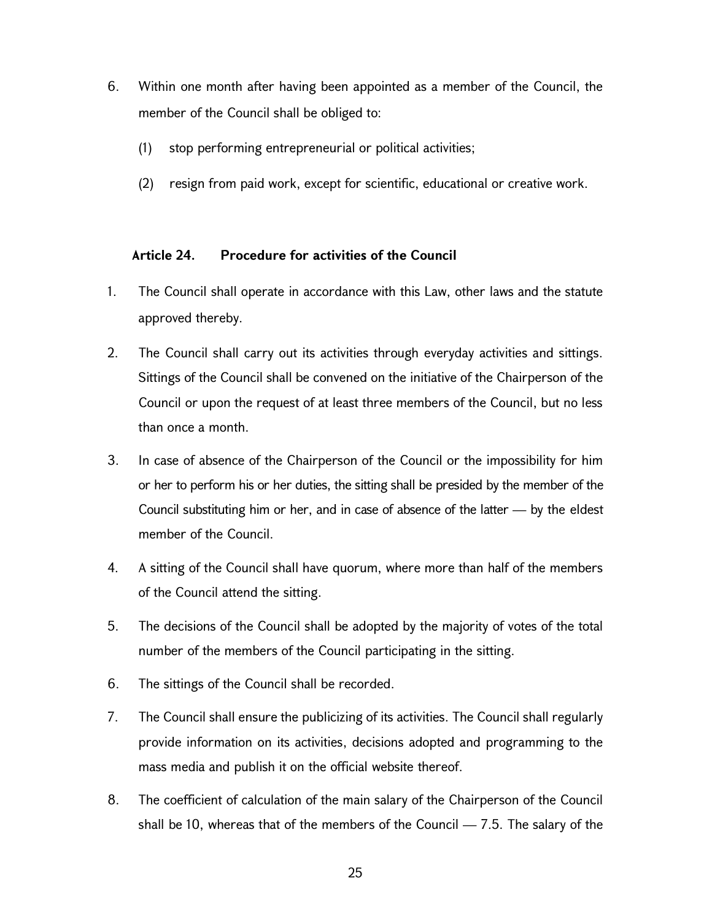- 6. Within one month after having been appointed as a member of the Council, the member of the Council shall be obliged to:
	- (1) stop performing entrepreneurial or political activities;
	- (2) resign from paid work, except for scientific, educational or creative work.

## Article 24. Procedure for activities of the Council

- 1. The Council shall operate in accordance with this Law, other laws and the statute approved thereby.
- 2. The Council shall carry out its activities through everyday activities and sittings. Sittings of the Council shall be convened on the initiative of the Chairperson of the Council or upon the request of at least three members of the Council, but no less than once a month.
- 3. In case of absence of the Chairperson of the Council or the impossibility for him or her to perform his or her duties, the sitting shall be presided by the member of the Council substituting him or her, and in case of absence of the latter — by the eldest member of the Council.
- 4. A sitting of the Council shall have quorum, where more than half of the members of the Council attend the sitting.
- 5. The decisions of the Council shall be adopted by the majority of votes of the total number of the members of the Council participating in the sitting.
- 6. The sittings of the Council shall be recorded.
- 7. The Council shall ensure the publicizing of its activities. The Council shall regularly provide information on its activities, decisions adopted and programming to the mass media and publish it on the official website thereof.
- 8. The coefficient of calculation of the main salary of the Chairperson of the Council shall be 10, whereas that of the members of the Council  $-7.5$ . The salary of the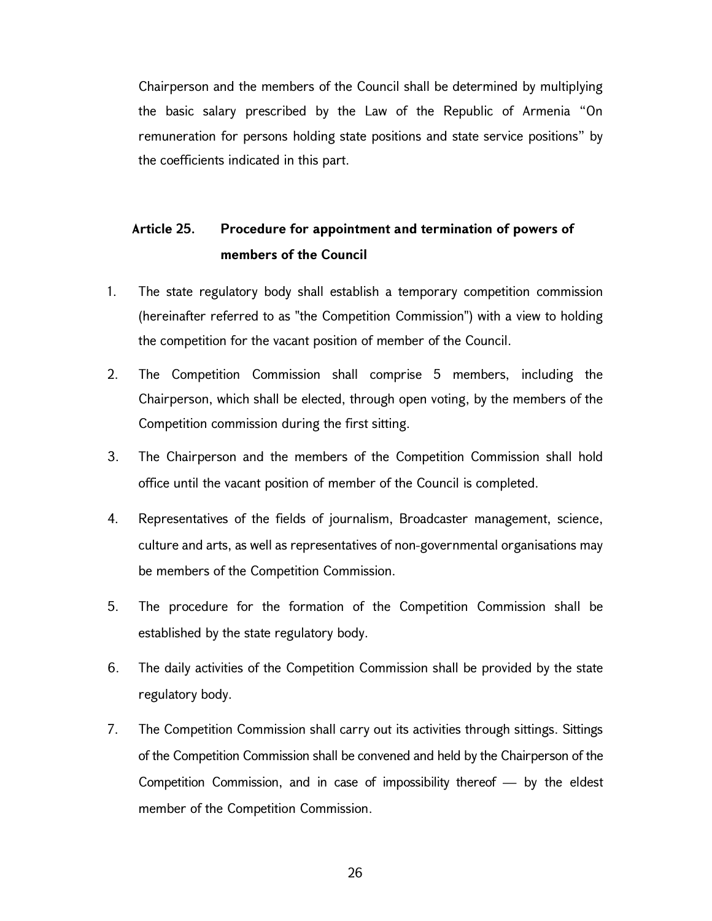Chairperson and the members of the Council shall be determined by multiplying the basic salary prescribed by the Law of the Republic of Armenia "On remuneration for persons holding state positions and state service positions" by the coefficients indicated in this part.

# Article 25. Procedure for appointment and termination of powers of members of the Council

- 1. The state regulatory body shall establish a temporary competition commission (hereinafter referred to as "the Competition Commission") with a view to holding the competition for the vacant position of member of the Council.
- 2. The Competition Commission shall comprise 5 members, including the Chairperson, which shall be elected, through open voting, by the members of the Competition commission during the first sitting.
- 3. The Chairperson and the members of the Competition Commission shall hold office until the vacant position of member of the Council is completed.
- 4. Representatives of the fields of journalism, Broadcaster management, science, culture and arts, as well as representatives of non-governmental organisations may be members of the Competition Commission.
- 5. The procedure for the formation of the Competition Commission shall be established by the state regulatory body.
- 6. The daily activities of the Competition Commission shall be provided by the state regulatory body.
- 7. The Competition Commission shall carry out its activities through sittings. Sittings of the Competition Commission shall be convened and held by the Chairperson of the Competition Commission, and in case of impossibility thereof — by the eldest member of the Competition Commission.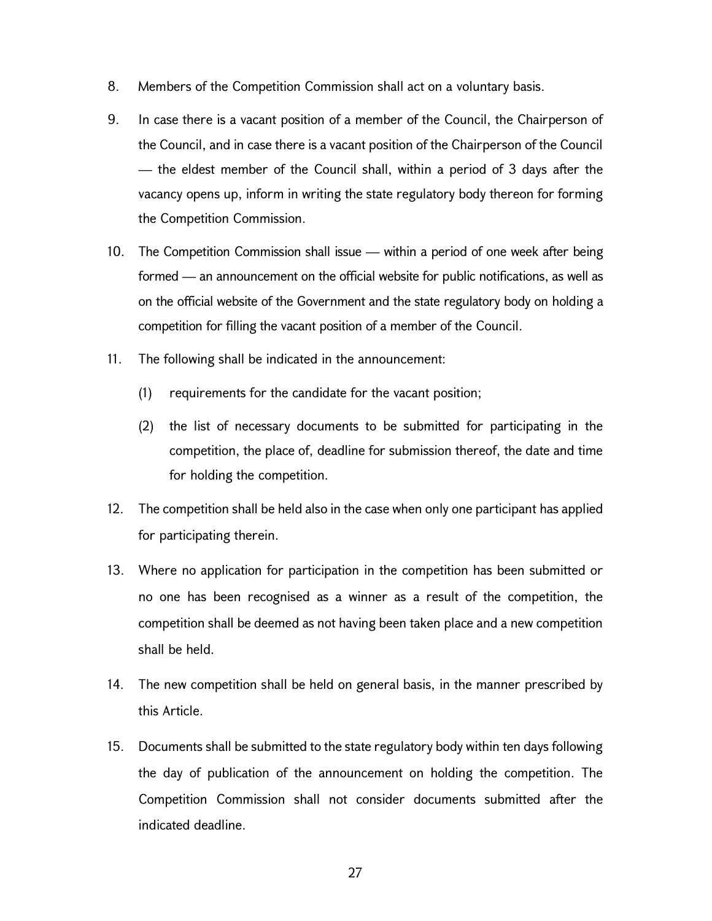- 8. Members of the Competition Commission shall act on a voluntary basis.
- 9. In case there is a vacant position of a member of the Council, the Chairperson of the Council, and in case there is a vacant position of the Chairperson of the Council — the eldest member of the Council shall, within a period of 3 days after the vacancy opens up, inform in writing the state regulatory body thereon for forming the Competition Commission.
- 10. The Competition Commission shall issue within a period of one week after being formed — an announcement on the official website for public notifications, as well as on the official website of the Government and the state regulatory body on holding a competition for filling the vacant position of a member of the Council.
- 11. The following shall be indicated in the announcement:
	- (1) requirements for the candidate for the vacant position;
	- (2) the list of necessary documents to be submitted for participating in the competition, the place of, deadline for submission thereof, the date and time for holding the competition.
- 12. The competition shall be held also in the case when only one participant has applied for participating therein.
- 13. Where no application for participation in the competition has been submitted or no one has been recognised as a winner as a result of the competition, the competition shall be deemed as not having been taken place and a new competition shall be held.
- 14. The new competition shall be held on general basis, in the manner prescribed by this Article.
- 15. Documents shall be submitted to the state regulatory body within ten days following the day of publication of the announcement on holding the competition. The Competition Commission shall not consider documents submitted after the indicated deadline.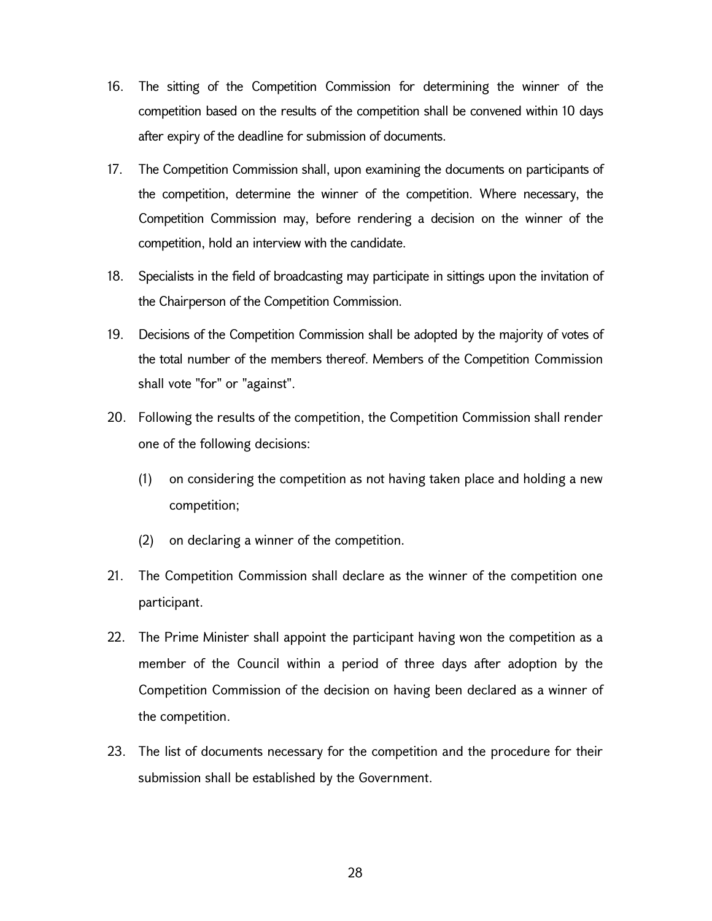- 16. The sitting of the Competition Commission for determining the winner of the competition based on the results of the competition shall be convened within 10 days after expiry of the deadline for submission of documents.
- 17. The Competition Commission shall, upon examining the documents on participants of the competition, determine the winner of the competition. Where necessary, the Competition Commission may, before rendering a decision on the winner of the competition, hold an interview with the candidate.
- 18. Specialists in the field of broadcasting may participate in sittings upon the invitation of the Chairperson of the Competition Commission.
- 19. Decisions of the Competition Commission shall be adopted by the majority of votes of the total number of the members thereof. Members of the Competition Commission shall vote "for" or "against".
- 20. Following the results of the competition, the Competition Commission shall render one of the following decisions:
	- (1) on considering the competition as not having taken place and holding a new competition;
	- (2) on declaring a winner of the competition.
- 21. The Competition Commission shall declare as the winner of the competition one participant.
- 22. The Prime Minister shall appoint the participant having won the competition as a member of the Council within a period of three days after adoption by the Competition Commission of the decision on having been declared as a winner of the competition.
- 23. The list of documents necessary for the competition and the procedure for their submission shall be established by the Government.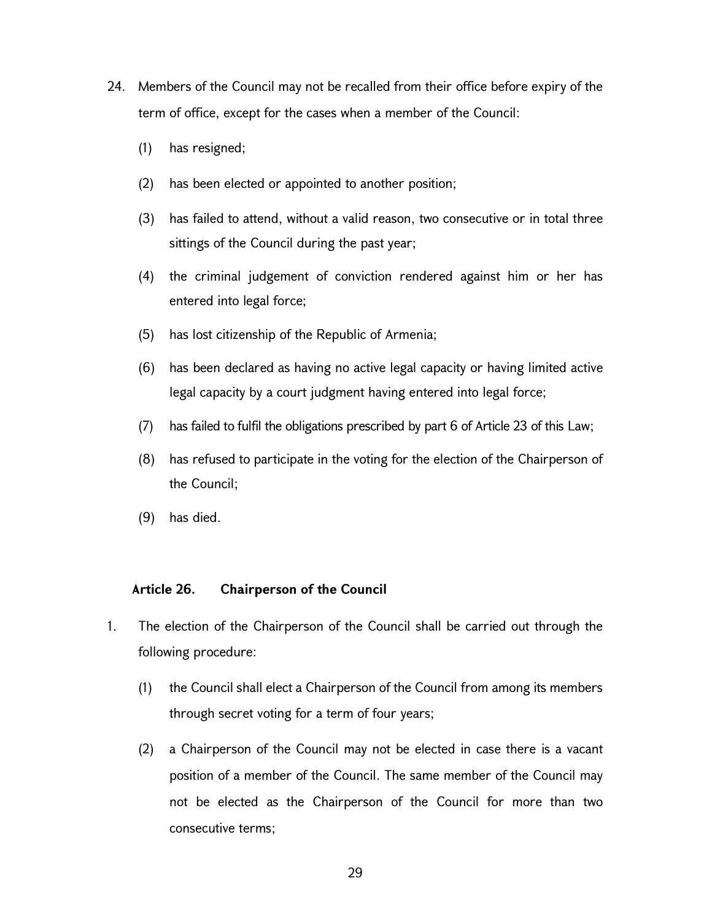- 24. Members of the Council may not be recalled from their office before expiry of the term of office, except for the cases when a member of the Council:
	- (1) has resigned;
	- (2) has been elected or appointed to another position;
	- (3) has failed to attend, without a valid reason, two consecutive or in total three sittings of the Council during the past year;
	- (4) the criminal judgement of conviction rendered against him or her has entered into legal force;
	- (5) has lost citizenship of the Republic of Armenia;
	- (6) has been declared as having no active legal capacity or having limited active legal capacity by a court judgment having entered into legal force;
	- (7) has failed to fulfil the obligations prescribed by part 6 of Article 23 of this Law;
	- (8) has refused to participate in the voting for the election of the Chairperson of the Council;
	- (9) has died.

## Article 26. Chairperson of the Council

- 1. The election of the Chairperson of the Council shall be carried out through the following procedure:
	- (1) the Council shall elect a Chairperson of the Council from among its members through secret voting for a term of four years;
	- (2) a Chairperson of the Council may not be elected in case there is a vacant position of a member of the Council. The same member of the Council may not be elected as the Chairperson of the Council for more than two consecutive terms;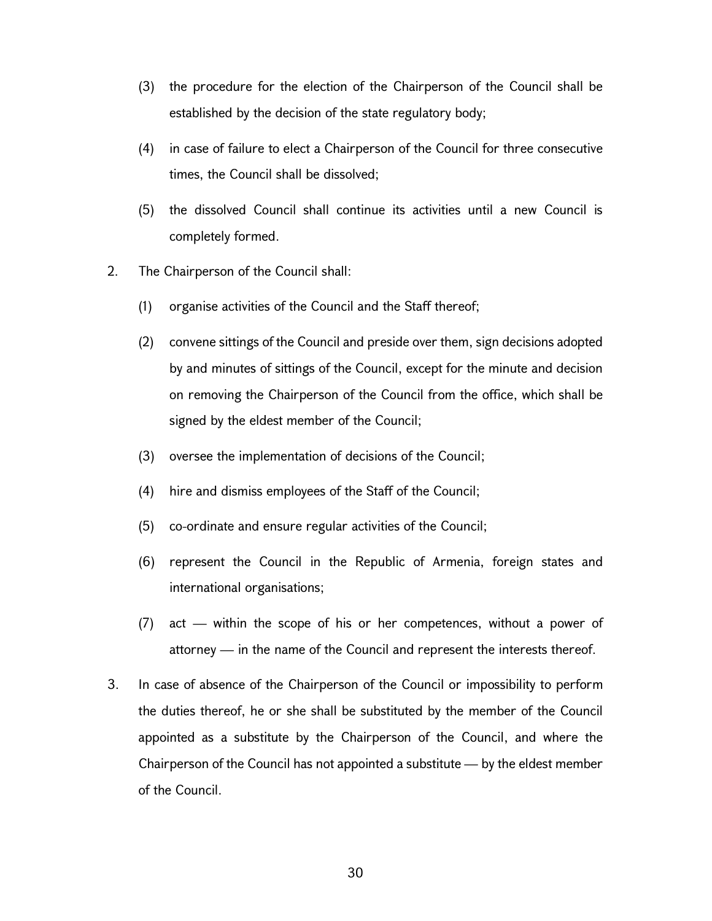- (3) the procedure for the election of the Chairperson of the Council shall be established by the decision of the state regulatory body;
- (4) in case of failure to elect a Chairperson of the Council for three consecutive times, the Council shall be dissolved;
- (5) the dissolved Council shall continue its activities until a new Council is completely formed.
- 2. The Chairperson of the Council shall:
	- (1) organise activities of the Council and the Staff thereof;
	- (2) convene sittings of the Council and preside over them, sign decisions adopted by and minutes of sittings of the Council, except for the minute and decision on removing the Chairperson of the Council from the office, which shall be signed by the eldest member of the Council;
	- (3) oversee the implementation of decisions of the Council;
	- (4) hire and dismiss employees of the Staff of the Council;
	- (5) co-ordinate and ensure regular activities of the Council;
	- (6) represent the Council in the Republic of Armenia, foreign states and international organisations;
	- (7) act within the scope of his or her competences, without a power of attorney — in the name of the Council and represent the interests thereof.
- 3. In case of absence of the Chairperson of the Council or impossibility to perform the duties thereof, he or she shall be substituted by the member of the Council appointed as a substitute by the Chairperson of the Council, and where the Chairperson of the Council has not appointed a substitute — by the eldest member of the Council.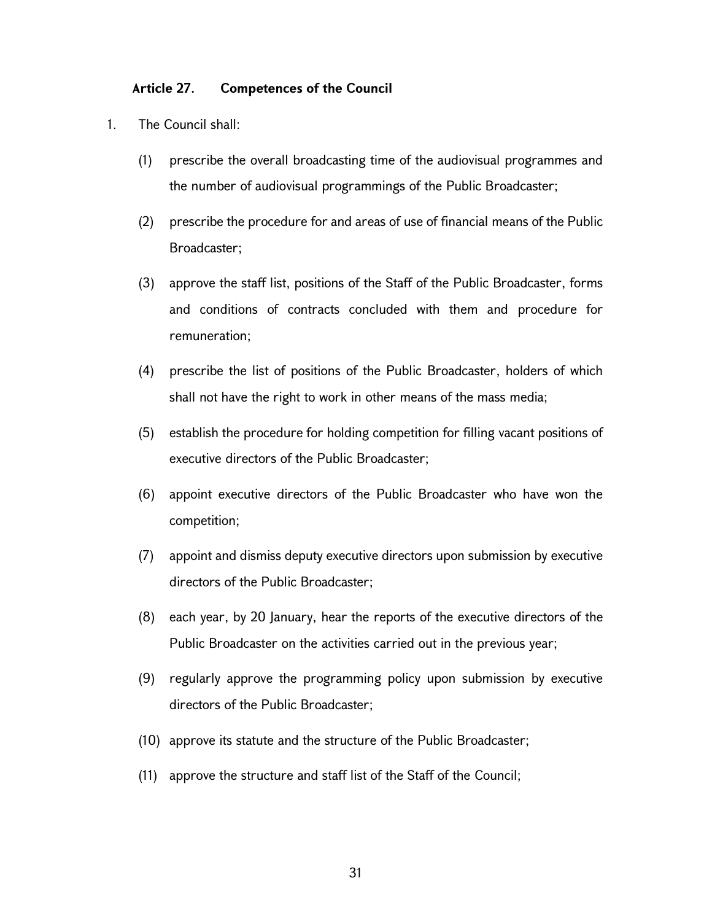### Article 27. Competences of the Council

- 1. The Council shall:
	- (1) prescribe the overall broadcasting time of the audiovisual programmes and the number of audiovisual programmings of the Public Broadcaster;
	- (2) prescribe the procedure for and areas of use of financial means of the Public Broadcaster;
	- (3) approve the staff list, positions of the Staff of the Public Broadcaster, forms and conditions of contracts concluded with them and procedure for remuneration;
	- (4) prescribe the list of positions of the Public Broadcaster, holders of which shall not have the right to work in other means of the mass media;
	- (5) establish the procedure for holding competition for filling vacant positions of executive directors of the Public Broadcaster;
	- (6) appoint executive directors of the Public Broadcaster who have won the competition;
	- (7) appoint and dismiss deputy executive directors upon submission by executive directors of the Public Broadcaster;
	- (8) each year, by 20 January, hear the reports of the executive directors of the Public Broadcaster on the activities carried out in the previous year;
	- (9) regularly approve the programming policy upon submission by executive directors of the Public Broadcaster;
	- (10) approve its statute and the structure of the Public Broadcaster;
	- (11) approve the structure and staff list of the Staff of the Council;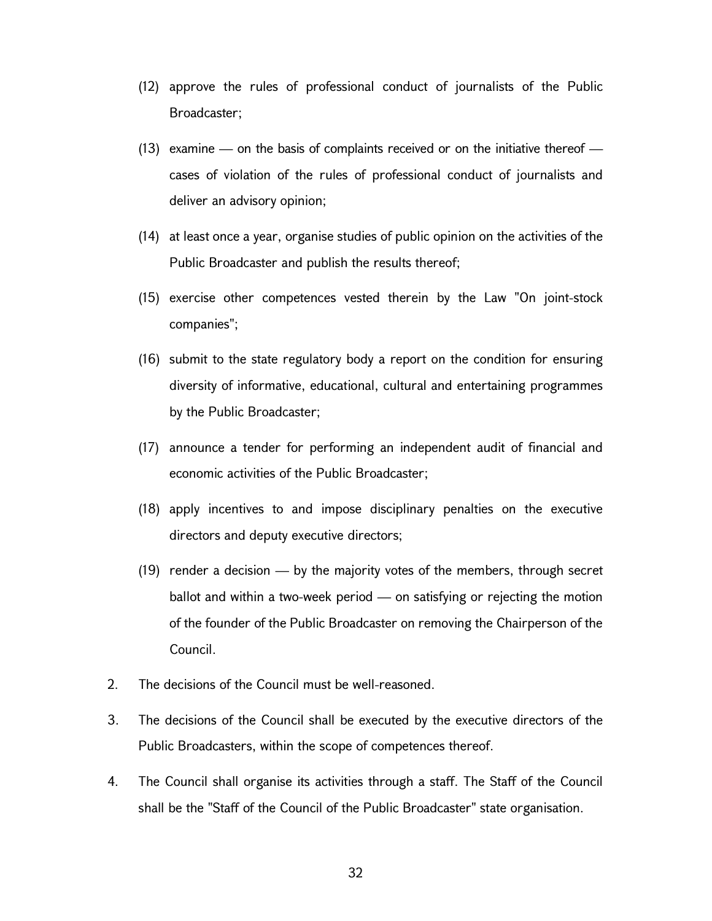- (12) approve the rules of professional conduct of journalists of the Public Broadcaster;
- (13) examine on the basis of complaints received or on the initiative thereof cases of violation of the rules of professional conduct of journalists and deliver an advisory opinion;
- (14) at least once a year, organise studies of public opinion on the activities of the Public Broadcaster and publish the results thereof;
- (15) exercise other competences vested therein by the Law "On joint-stock companies";
- (16) submit to the state regulatory body a report on the condition for ensuring diversity of informative, educational, cultural and entertaining programmes by the Public Broadcaster;
- (17) announce a tender for performing an independent audit of financial and economic activities of the Public Broadcaster;
- (18) apply incentives to and impose disciplinary penalties on the executive directors and deputy executive directors;
- (19) render a decision by the majority votes of the members, through secret ballot and within a two-week period — on satisfying or rejecting the motion of the founder of the Public Broadcaster on removing the Chairperson of the Council.
- 2. The decisions of the Council must be well-reasoned.
- 3. The decisions of the Council shall be executed by the executive directors of the Public Broadcasters, within the scope of competences thereof.
- 4. The Council shall organise its activities through a staff. The Staff of the Council shall be the "Staff of the Council of the Public Broadcaster" state organisation.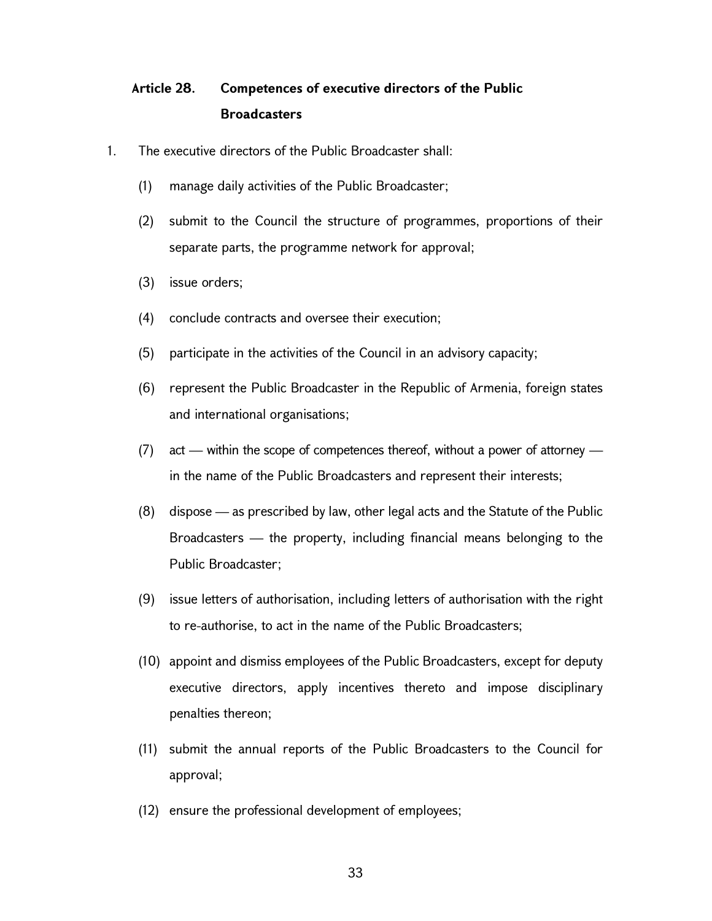# Article 28. Competences of executive directors of the Public **Broadcasters**

- 1. The executive directors of the Public Broadcaster shall:
	- (1) manage daily activities of the Public Broadcaster;
	- (2) submit to the Council the structure of programmes, proportions of their separate parts, the programme network for approval;
	- (3) issue orders;
	- (4) conclude contracts and oversee their execution;
	- (5) participate in the activities of the Council in an advisory capacity;
	- (6) represent the Public Broadcaster in the Republic of Armenia, foreign states and international organisations;
	- (7) act within the scope of competences thereof, without a power of attorney in the name of the Public Broadcasters and represent their interests;
	- (8) dispose as prescribed by law, other legal acts and the Statute of the Public Broadcasters — the property, including financial means belonging to the Public Broadcaster;
	- (9) issue letters of authorisation, including letters of authorisation with the right to re-authorise, to act in the name of the Public Broadcasters;
	- (10) appoint and dismiss employees of the Public Broadcasters, except for deputy executive directors, apply incentives thereto and impose disciplinary penalties thereon;
	- (11) submit the annual reports of the Public Broadcasters to the Council for approval;
	- (12) ensure the professional development of employees;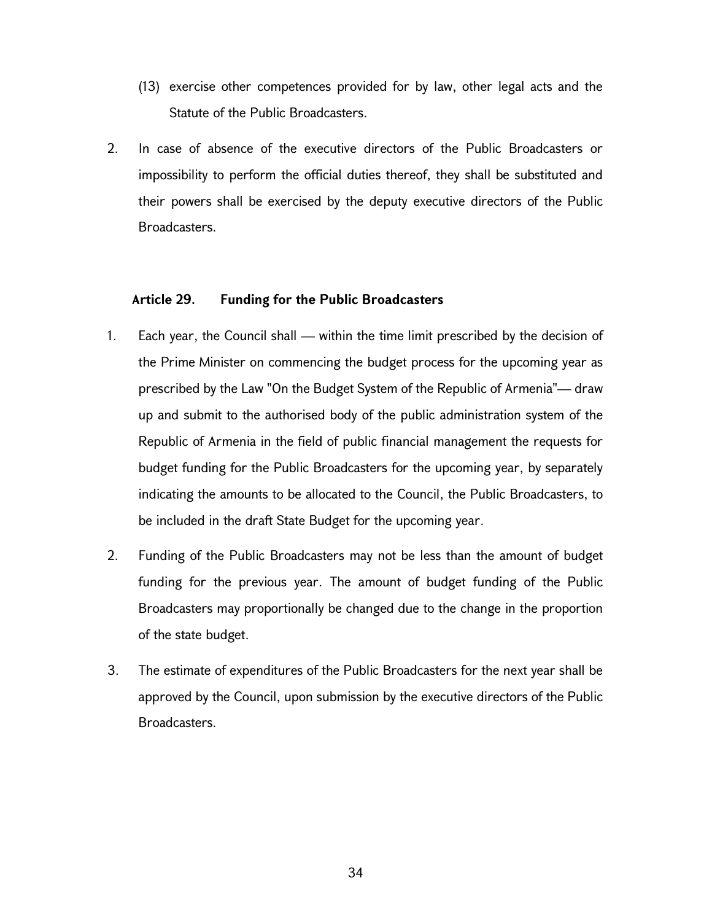- (13) exercise other competences provided for by law, other legal acts and the Statute of the Public Broadcasters.
- 2. In case of absence of the executive directors of the Public Broadcasters or impossibility to perform the official duties thereof, they shall be substituted and their powers shall be exercised by the deputy executive directors of the Public Broadcasters.

### Article 29. Funding for the Public Broadcasters

- 1. Each year, the Council shall within the time limit prescribed by the decision of the Prime Minister on commencing the budget process for the upcoming year as prescribed by the Law "On the Budget System of the Republic of Armenia"— draw up and submit to the authorised body of the public administration system of the Republic of Armenia in the field of public financial management the requests for budget funding for the Public Broadcasters for the upcoming year, by separately indicating the amounts to be allocated to the Council, the Public Broadcasters, to be included in the draft State Budget for the upcoming year.
- 2. Funding of the Public Broadcasters may not be less than the amount of budget funding for the previous year. The amount of budget funding of the Public Broadcasters may proportionally be changed due to the change in the proportion of the state budget.
- 3. The estimate of expenditures of the Public Broadcasters for the next year shall be approved by the Council, upon submission by the executive directors of the Public Broadcasters.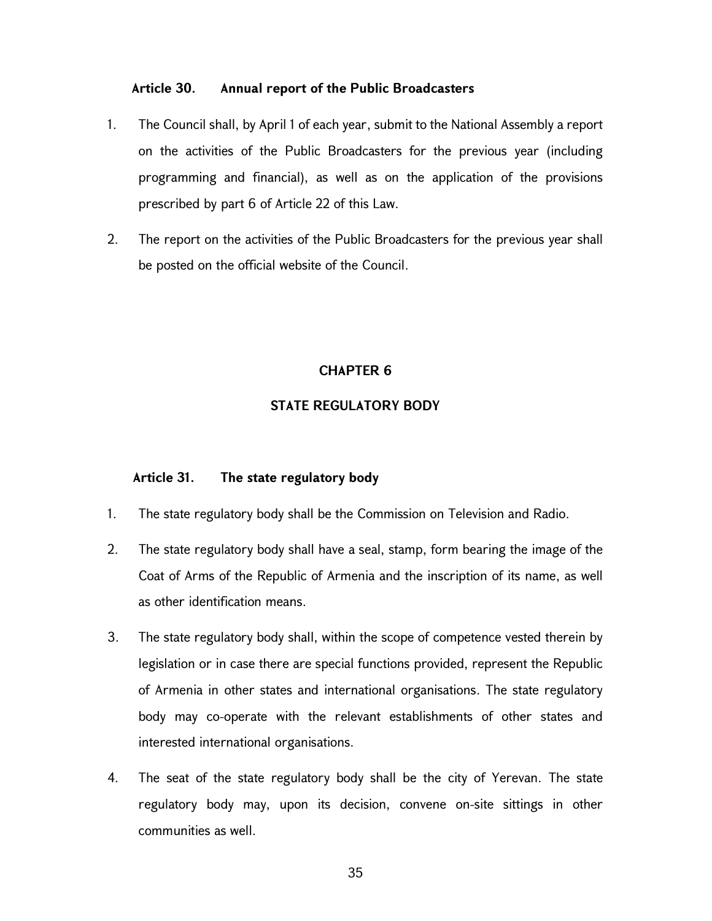### Article 30. Annual report of the Public Broadcasters

- 1. The Council shall, by April 1 of each year, submit to the National Assembly a report on the activities of the Public Broadcasters for the previous year (including programming and financial), as well as on the application of the provisions prescribed by part 6 of Article 22 of this Law.
- 2. The report on the activities of the Public Broadcasters for the previous year shall be posted on the official website of the Council.

### CHAPTER 6

### STATE REGULATORY BODY

### Article 31. The state regulatory body

- 1. The state regulatory body shall be the Commission on Television and Radio.
- 2. The state regulatory body shall have a seal, stamp, form bearing the image of the Coat of Arms of the Republic of Armenia and the inscription of its name, as well as other identification means.
- 3. The state regulatory body shall, within the scope of competence vested therein by legislation or in case there are special functions provided, represent the Republic of Armenia in other states and international organisations. The state regulatory body may co-operate with the relevant establishments of other states and interested international organisations.
- 4. The seat of the state regulatory body shall be the city of Yerevan. The state regulatory body may, upon its decision, convene on-site sittings in other communities as well.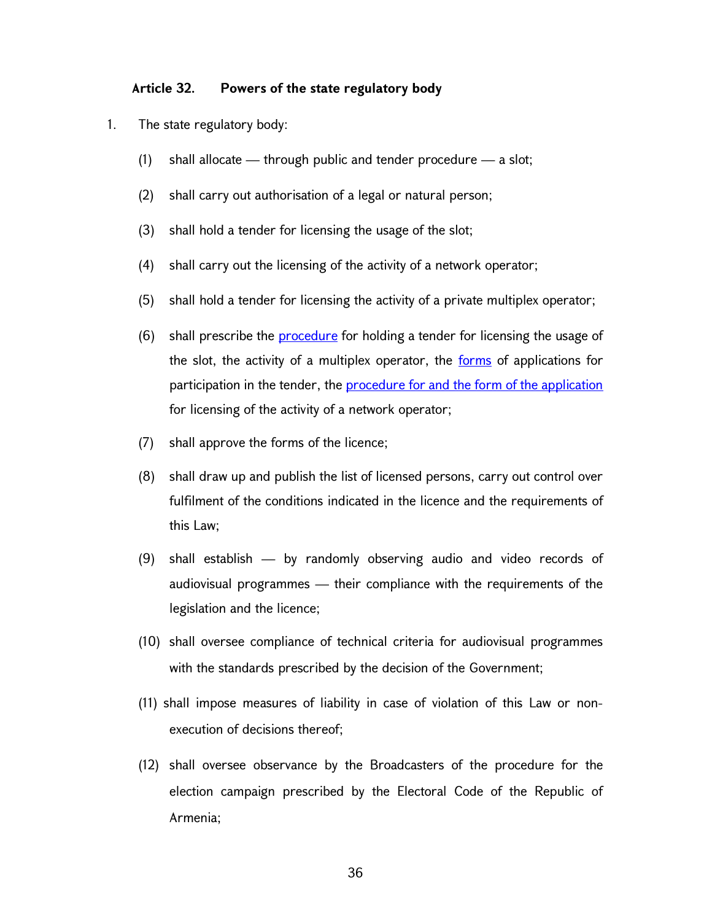#### Article 32. Powers of the state regulatory body

- 1. The state regulatory body:
	- (1) shall allocate through public and tender procedure a slot;
	- (2) shall carry out authorisation of a legal or natural person;
	- (3) shall hold a tender for licensing the usage of the slot;
	- (4) shall carry out the licensing of the activity of a network operator;
	- (5) shall hold a tender for licensing the activity of a private multiplex operator;
	- (6) shall prescribe the procedure for holding a tender for licensing the usage of the slot, the activity of a multiplex operator, the forms of applications for participation in the tender, the **procedure for and the form of the application** for licensing of the activity of a network operator;
	- (7) shall approve the forms of the licence;
	- (8) shall draw up and publish the list of licensed persons, carry out control over fulfilment of the conditions indicated in the licence and the requirements of this Law;
	- (9) shall establish by randomly observing audio and video records of audiovisual programmes — their compliance with the requirements of the legislation and the licence;
	- (10) shall oversee compliance of technical criteria for audiovisual programmes with the standards prescribed by the decision of the Government;
	- (11) shall impose measures of liability in case of violation of this Law or nonexecution of decisions thereof;
	- (12) shall oversee observance by the Broadcasters of the procedure for the election campaign prescribed by the Electoral Code of the Republic of Armenia;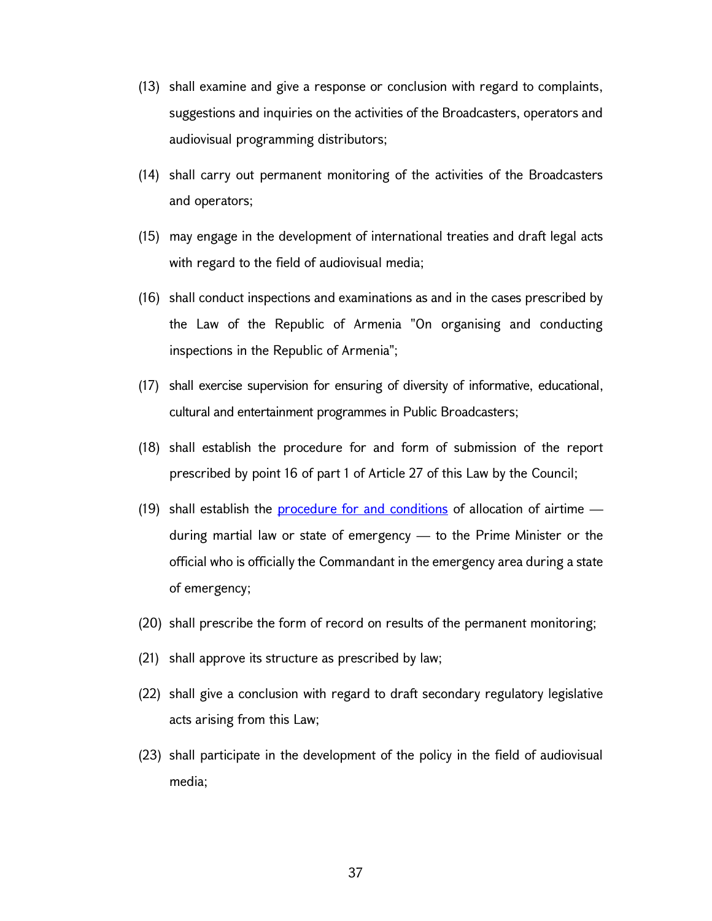- (13) shall examine and give a response or conclusion with regard to complaints, suggestions and inquiries on the activities of the Broadcasters, operators and audiovisual programming distributors;
- (14) shall carry out permanent monitoring of the activities of the Broadcasters and operators;
- (15) may engage in the development of international treaties and draft legal acts with regard to the field of audiovisual media;
- (16) shall conduct inspections and examinations as and in the cases prescribed by the Law of the Republic of Armenia "On organising and conducting inspections in the Republic of Armenia";
- (17) shall exercise supervision for ensuring of diversity of informative, educational, cultural and entertainment programmes in Public Broadcasters;
- (18) shall establish the procedure for and form of submission of the report prescribed by point 16 of part 1 of Article 27 of this Law by the Council;
- (19) shall establish the **procedure for and conditions** of allocation of airtime  $$ during martial law or state of emergency — to the Prime Minister or the official who is officially the Commandant in the emergency area during a state of emergency;
- (20) shall prescribe the form of record on results of the permanent monitoring;
- (21) shall approve its structure as prescribed by law;
- (22) shall give a conclusion with regard to draft secondary regulatory legislative acts arising from this Law;
- (23) shall participate in the development of the policy in the field of audiovisual media;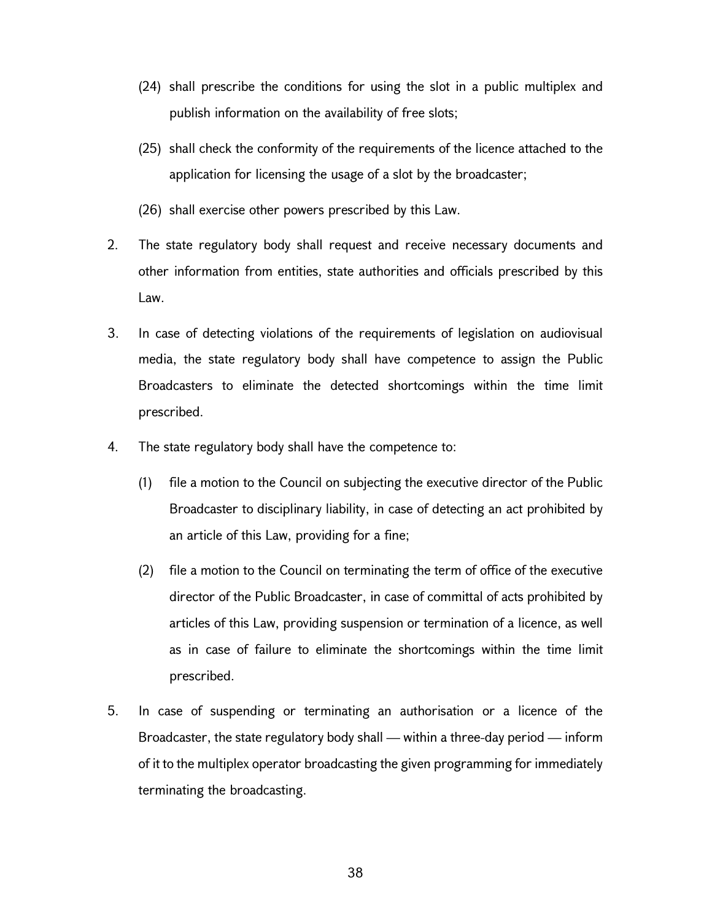- (24) shall prescribe the conditions for using the slot in a public multiplex and publish information on the availability of free slots;
- (25) shall check the conformity of the requirements of the licence attached to the application for licensing the usage of a slot by the broadcaster;
- (26) shall exercise other powers prescribed by this Law.
- 2. The state regulatory body shall request and receive necessary documents and other information from entities, state authorities and officials prescribed by this Law.
- 3. In case of detecting violations of the requirements of legislation on audiovisual media, the state regulatory body shall have competence to assign the Public Broadcasters to eliminate the detected shortcomings within the time limit prescribed.
- 4. The state regulatory body shall have the competence to:
	- (1) file a motion to the Council on subjecting the executive director of the Public Broadcaster to disciplinary liability, in case of detecting an act prohibited by an article of this Law, providing for a fine;
	- (2) file a motion to the Council on terminating the term of office of the executive director of the Public Broadcaster, in case of committal of acts prohibited by articles of this Law, providing suspension or termination of a licence, as well as in case of failure to eliminate the shortcomings within the time limit prescribed.
- 5. In case of suspending or terminating an authorisation or a licence of the Broadcaster, the state regulatory body shall — within a three-day period — inform of it to the multiplex operator broadcasting the given programming for immediately terminating the broadcasting.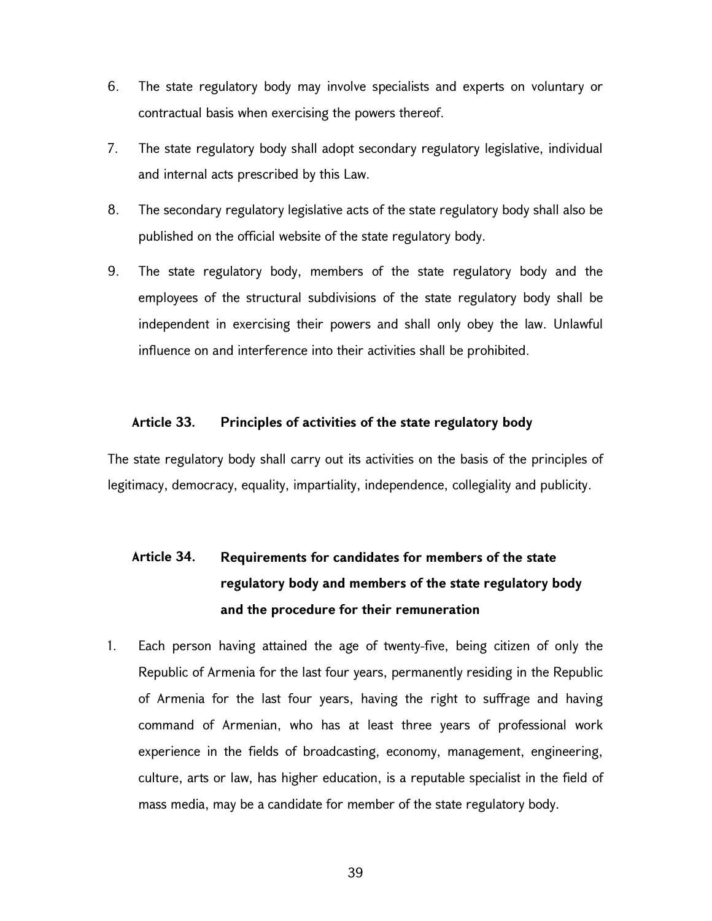- 6. The state regulatory body may involve specialists and experts on voluntary or contractual basis when exercising the powers thereof.
- 7. The state regulatory body shall adopt secondary regulatory legislative, individual and internal acts prescribed by this Law.
- 8. The secondary regulatory legislative acts of the state regulatory body shall also be published on the official website of the state regulatory body.
- 9. The state regulatory body, members of the state regulatory body and the employees of the structural subdivisions of the state regulatory body shall be independent in exercising their powers and shall only obey the law. Unlawful influence on and interference into their activities shall be prohibited.

### Article 33. Principles of activities of the state regulatory body

The state regulatory body shall carry out its activities on the basis of the principles of legitimacy, democracy, equality, impartiality, independence, collegiality and publicity.

# Article 34. Requirements for candidates for members of the state regulatory body and members of the state regulatory body and the procedure for their remuneration

1. Each person having attained the age of twenty-five, being citizen of only the Republic of Armenia for the last four years, permanently residing in the Republic of Armenia for the last four years, having the right to suffrage and having command of Armenian, who has at least three years of professional work experience in the fields of broadcasting, economy, management, engineering, culture, arts or law, has higher education, is a reputable specialist in the field of mass media, may be a candidate for member of the state regulatory body.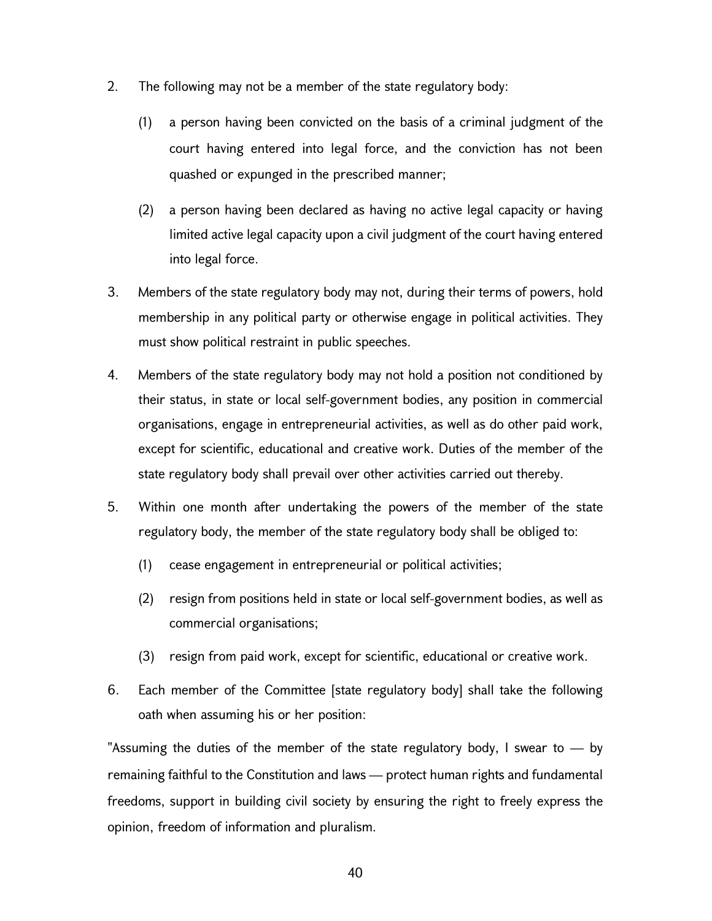- 2. The following may not be a member of the state regulatory body:
	- (1) a person having been convicted on the basis of a criminal judgment of the court having entered into legal force, and the conviction has not been quashed or expunged in the prescribed manner;
	- (2) a person having been declared as having no active legal capacity or having limited active legal capacity upon a civil judgment of the court having entered into legal force.
- 3. Members of the state regulatory body may not, during their terms of powers, hold membership in any political party or otherwise engage in political activities. They must show political restraint in public speeches.
- 4. Members of the state regulatory body may not hold a position not conditioned by their status, in state or local self-government bodies, any position in commercial organisations, engage in entrepreneurial activities, as well as do other paid work, except for scientific, educational and creative work. Duties of the member of the state regulatory body shall prevail over other activities carried out thereby.
- 5. Within one month after undertaking the powers of the member of the state regulatory body, the member of the state regulatory body shall be obliged to:
	- (1) cease engagement in entrepreneurial or political activities;
	- (2) resign from positions held in state or local self-government bodies, as well as commercial organisations;
	- (3) resign from paid work, except for scientific, educational or creative work.
- 6. Each member of the Committee [state regulatory body] shall take the following oath when assuming his or her position:

"Assuming the duties of the member of the state regulatory body, I swear to  $-$  by remaining faithful to the Constitution and laws — protect human rights and fundamental freedoms, support in building civil society by ensuring the right to freely express the opinion, freedom of information and pluralism.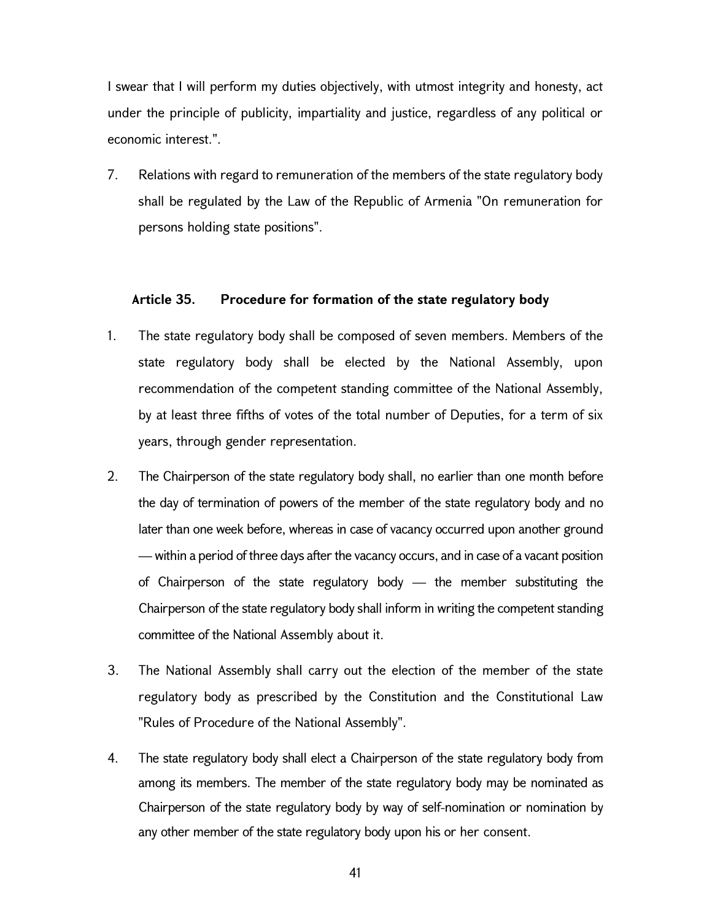I swear that I will perform my duties objectively, with utmost integrity and honesty, act under the principle of publicity, impartiality and justice, regardless of any political or economic interest.".

7. Relations with regard to remuneration of the members of the state regulatory body shall be regulated by the Law of the Republic of Armenia "On remuneration for persons holding state positions".

#### Article 35. Procedure for formation of the state regulatory body

- 1. The state regulatory body shall be composed of seven members. Members of the state regulatory body shall be elected by the National Assembly, upon recommendation of the competent standing committee of the National Assembly, by at least three fifths of votes of the total number of Deputies, for a term of six years, through gender representation.
- 2. The Chairperson of the state regulatory body shall, no earlier than one month before the day of termination of powers of the member of the state regulatory body and no later than one week before, whereas in case of vacancy occurred upon another ground — within a period of three days after the vacancy occurs, and in case of a vacant position of Chairperson of the state regulatory body — the member substituting the Chairperson of the state regulatory body shall inform in writing the competent standing committee of the National Assembly about it.
- 3. The National Assembly shall carry out the election of the member of the state regulatory body as prescribed by the Constitution and the Constitutional Law "Rules of Procedure of the National Assembly".
- 4. The state regulatory body shall elect a Chairperson of the state regulatory body from among its members. The member of the state regulatory body may be nominated as Chairperson of the state regulatory body by way of self-nomination or nomination by any other member of the state regulatory body upon his or her consent.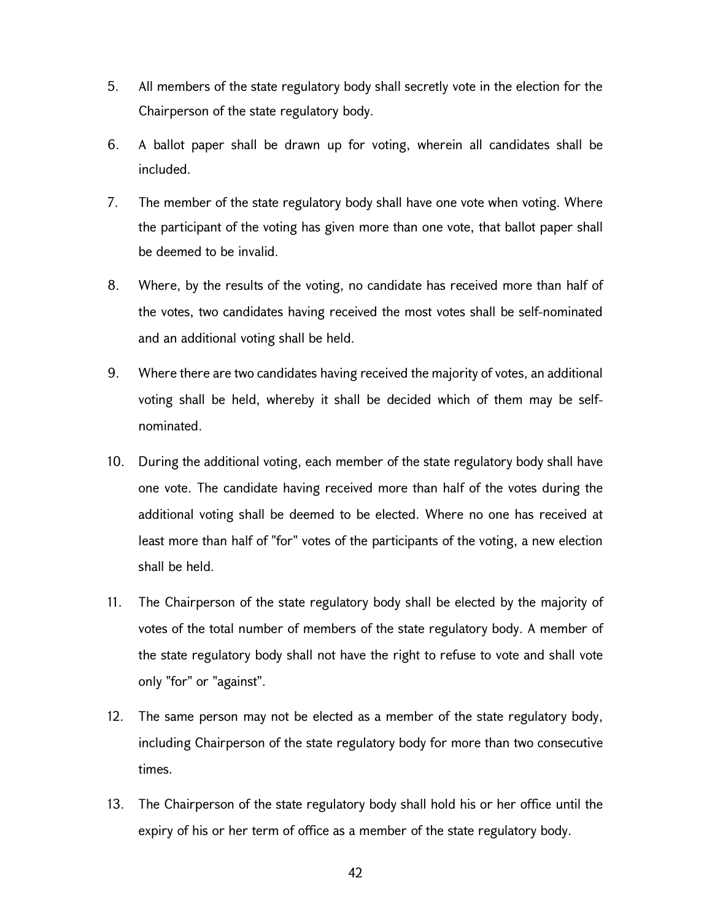- 5. All members of the state regulatory body shall secretly vote in the election for the Chairperson of the state regulatory body.
- 6. A ballot paper shall be drawn up for voting, wherein all candidates shall be included.
- 7. The member of the state regulatory body shall have one vote when voting. Where the participant of the voting has given more than one vote, that ballot paper shall be deemed to be invalid.
- 8. Where, by the results of the voting, no candidate has received more than half of the votes, two candidates having received the most votes shall be self-nominated and an additional voting shall be held.
- 9. Where there are two candidates having received the majority of votes, an additional voting shall be held, whereby it shall be decided which of them may be selfnominated.
- 10. During the additional voting, each member of the state regulatory body shall have one vote. The candidate having received more than half of the votes during the additional voting shall be deemed to be elected. Where no one has received at least more than half of "for" votes of the participants of the voting, a new election shall be held.
- 11. The Chairperson of the state regulatory body shall be elected by the majority of votes of the total number of members of the state regulatory body. A member of the state regulatory body shall not have the right to refuse to vote and shall vote only "for" or "against".
- 12. The same person may not be elected as a member of the state regulatory body, including Chairperson of the state regulatory body for more than two consecutive times.
- 13. The Chairperson of the state regulatory body shall hold his or her office until the expiry of his or her term of office as a member of the state regulatory body.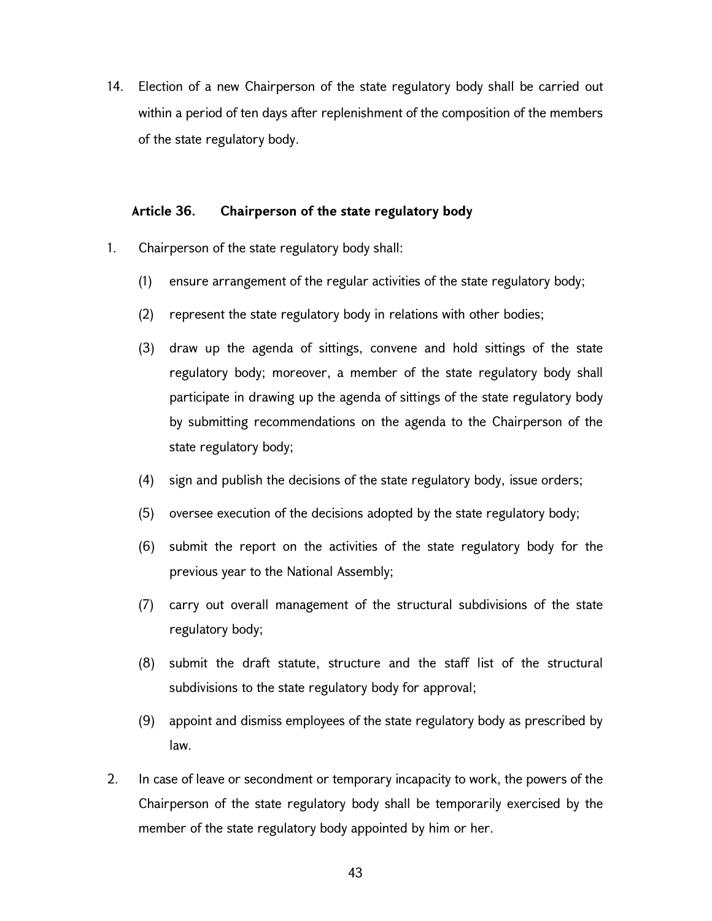14. Election of a new Chairperson of the state regulatory body shall be carried out within a period of ten days after replenishment of the composition of the members of the state regulatory body.

#### Article 36. Chairperson of the state regulatory body

- 1. Chairperson of the state regulatory body shall:
	- (1) ensure arrangement of the regular activities of the state regulatory body;
	- (2) represent the state regulatory body in relations with other bodies;
	- (3) draw up the agenda of sittings, convene and hold sittings of the state regulatory body; moreover, a member of the state regulatory body shall participate in drawing up the agenda of sittings of the state regulatory body by submitting recommendations on the agenda to the Chairperson of the state regulatory body;
	- (4) sign and publish the decisions of the state regulatory body, issue orders;
	- (5) oversee execution of the decisions adopted by the state regulatory body;
	- (6) submit the report on the activities of the state regulatory body for the previous year to the National Assembly;
	- (7) carry out overall management of the structural subdivisions of the state regulatory body;
	- (8) submit the draft statute, structure and the staff list of the structural subdivisions to the state regulatory body for approval;
	- (9) appoint and dismiss employees of the state regulatory body as prescribed by law.
- 2. In case of leave or secondment or temporary incapacity to work, the powers of the Chairperson of the state regulatory body shall be temporarily exercised by the member of the state regulatory body appointed by him or her.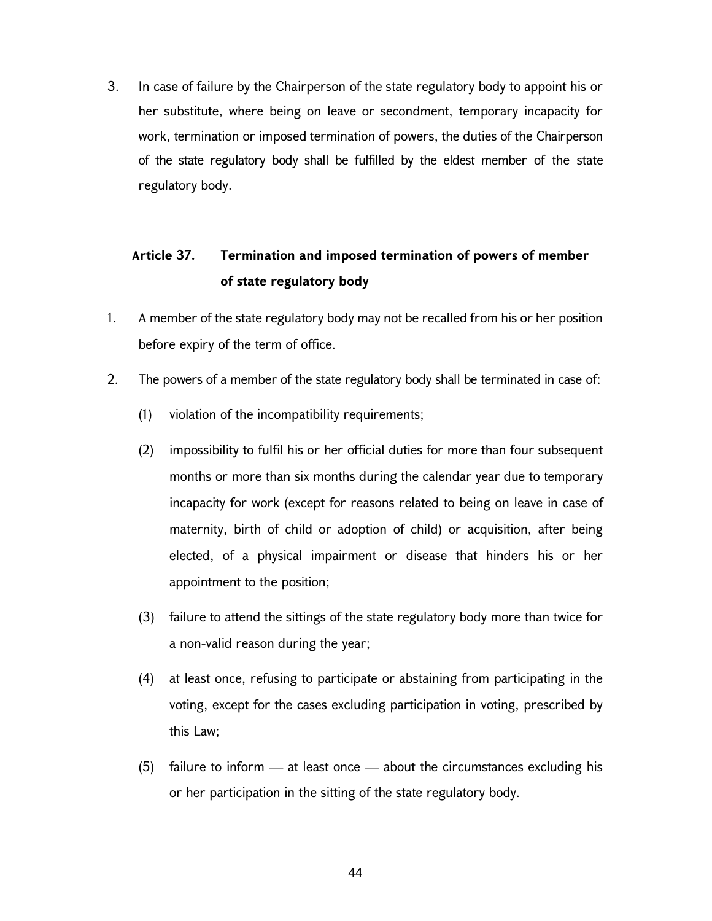3. In case of failure by the Chairperson of the state regulatory body to appoint his or her substitute, where being on leave or secondment, temporary incapacity for work, termination or imposed termination of powers, the duties of the Chairperson of the state regulatory body shall be fulfilled by the eldest member of the state regulatory body.

# Article 37. Termination and imposed termination of powers of member of state regulatory body

- 1. A member of the state regulatory body may not be recalled from his or her position before expiry of the term of office.
- 2. The powers of a member of the state regulatory body shall be terminated in case of:
	- (1) violation of the incompatibility requirements;
	- (2) impossibility to fulfil his or her official duties for more than four subsequent months or more than six months during the calendar year due to temporary incapacity for work (except for reasons related to being on leave in case of maternity, birth of child or adoption of child) or acquisition, after being elected, of a physical impairment or disease that hinders his or her appointment to the position;
	- (3) failure to attend the sittings of the state regulatory body more than twice for a non-valid reason during the year;
	- (4) at least once, refusing to participate or abstaining from participating in the voting, except for the cases excluding participation in voting, prescribed by this Law;
	- (5) failure to inform at least once about the circumstances excluding his or her participation in the sitting of the state regulatory body.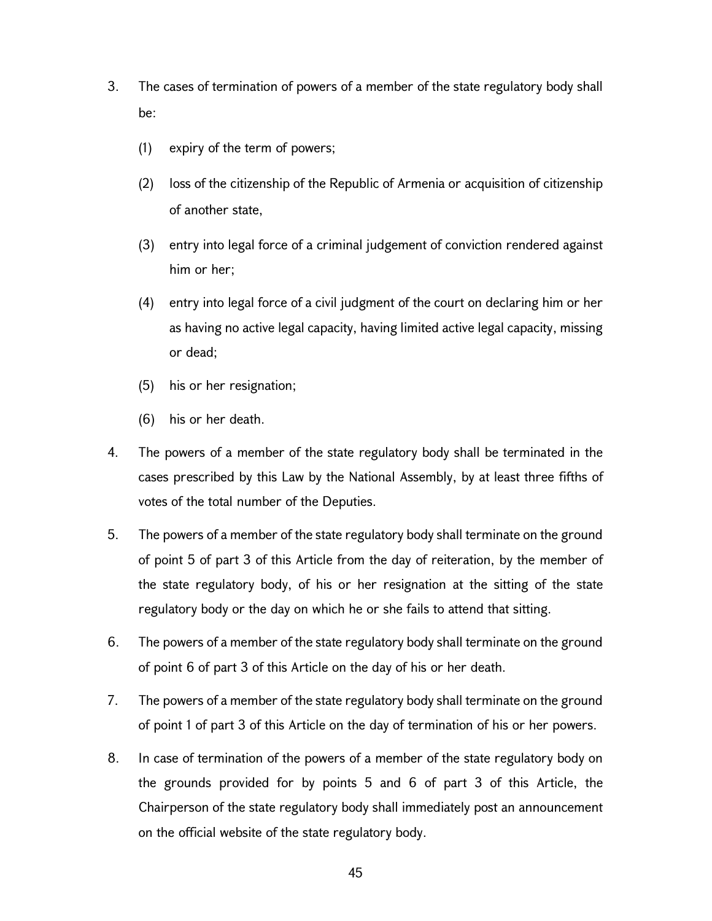- 3. The cases of termination of powers of a member of the state regulatory body shall be:
	- (1) expiry of the term of powers;
	- (2) loss of the citizenship of the Republic of Armenia or acquisition of citizenship of another state,
	- (3) entry into legal force of a criminal judgement of conviction rendered against him or her;
	- (4) entry into legal force of a civil judgment of the court on declaring him or her as having no active legal capacity, having limited active legal capacity, missing or dead;
	- (5) his or her resignation;
	- (6) his or her death.
- 4. The powers of a member of the state regulatory body shall be terminated in the cases prescribed by this Law by the National Assembly, by at least three fifths of votes of the total number of the Deputies.
- 5. The powers of a member of the state regulatory body shall terminate on the ground of point 5 of part 3 of this Article from the day of reiteration, by the member of the state regulatory body, of his or her resignation at the sitting of the state regulatory body or the day on which he or she fails to attend that sitting.
- 6. The powers of a member of the state regulatory body shall terminate on the ground of point 6 of part 3 of this Article on the day of his or her death.
- 7. The powers of a member of the state regulatory body shall terminate on the ground of point 1 of part 3 of this Article on the day of termination of his or her powers.
- 8. In case of termination of the powers of a member of the state regulatory body on the grounds provided for by points 5 and 6 of part 3 of this Article, the Chairperson of the state regulatory body shall immediately post an announcement on the official website of the state regulatory body.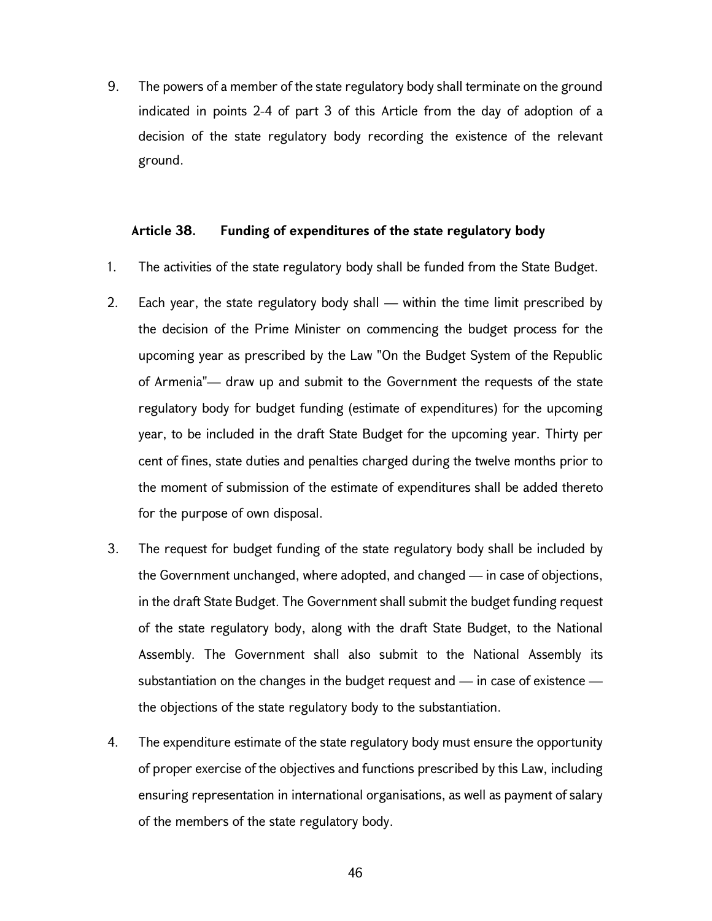9. The powers of a member of the state regulatory body shall terminate on the ground indicated in points 2-4 of part 3 of this Article from the day of adoption of a decision of the state regulatory body recording the existence of the relevant ground.

#### Article 38. Funding of expenditures of the state regulatory body

- 1. The activities of the state regulatory body shall be funded from the State Budget.
- 2. Each year, the state regulatory body shall within the time limit prescribed by the decision of the Prime Minister on commencing the budget process for the upcoming year as prescribed by the Law "On the Budget System of the Republic of Armenia"— draw up and submit to the Government the requests of the state regulatory body for budget funding (estimate of expenditures) for the upcoming year, to be included in the draft State Budget for the upcoming year. Thirty per cent of fines, state duties and penalties charged during the twelve months prior to the moment of submission of the estimate of expenditures shall be added thereto for the purpose of own disposal.
- 3. The request for budget funding of the state regulatory body shall be included by the Government unchanged, where adopted, and changed — in case of objections, in the draft State Budget. The Government shall submit the budget funding request of the state regulatory body, along with the draft State Budget, to the National Assembly. The Government shall also submit to the National Assembly its substantiation on the changes in the budget request and — in case of existence the objections of the state regulatory body to the substantiation.
- 4. The expenditure estimate of the state regulatory body must ensure the opportunity of proper exercise of the objectives and functions prescribed by this Law, including ensuring representation in international organisations, as well as payment of salary of the members of the state regulatory body.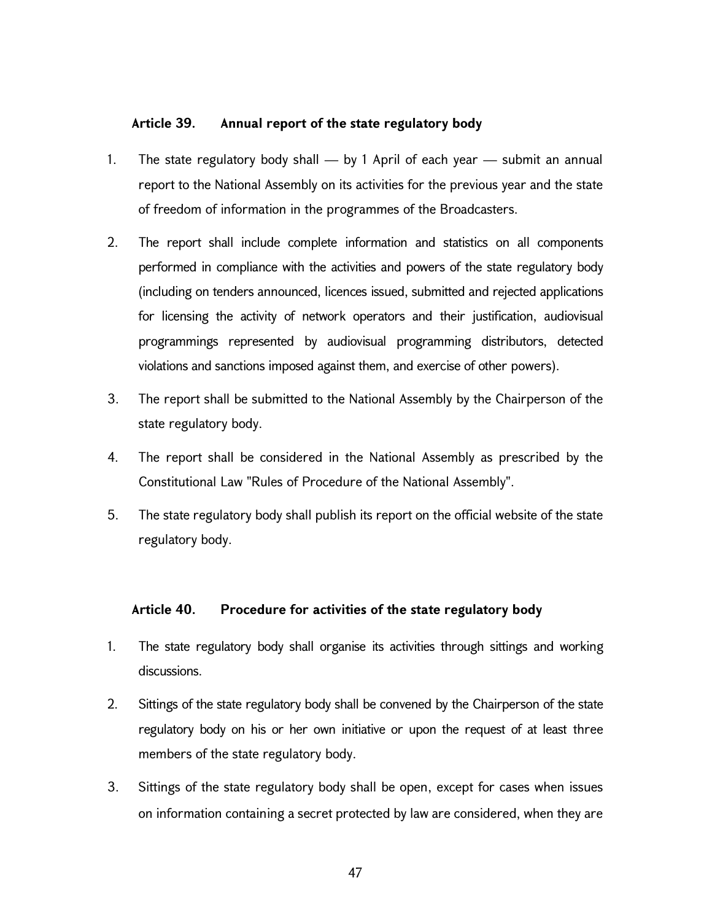### Article 39. Annual report of the state regulatory body

- 1. The state regulatory body shall by 1 April of each year submit an annual report to the National Assembly on its activities for the previous year and the state of freedom of information in the programmes of the Broadcasters.
- 2. The report shall include complete information and statistics on all components performed in compliance with the activities and powers of the state regulatory body (including on tenders announced, licences issued, submitted and rejected applications for licensing the activity of network operators and their justification, audiovisual programmings represented by audiovisual programming distributors, detected violations and sanctions imposed against them, and exercise of other powers).
- 3. The report shall be submitted to the National Assembly by the Chairperson of the state regulatory body.
- 4. The report shall be considered in the National Assembly as prescribed by the Constitutional Law "Rules of Procedure of the National Assembly".
- 5. The state regulatory body shall publish its report on the official website of the state regulatory body.

### Article 40. Procedure for activities of the state regulatory body

- 1. The state regulatory body shall organise its activities through sittings and working discussions.
- 2. Sittings of the state regulatory body shall be convened by the Chairperson of the state regulatory body on his or her own initiative or upon the request of at least three members of the state regulatory body.
- 3. Sittings of the state regulatory body shall be open, except for cases when issues on information containing a secret protected by law are considered, when they are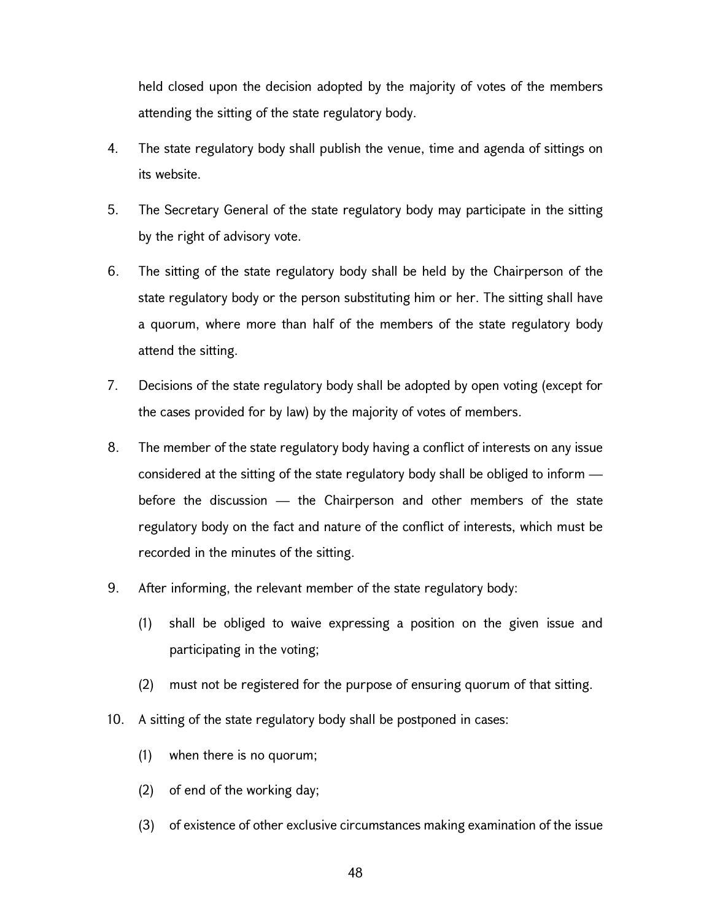held closed upon the decision adopted by the majority of votes of the members attending the sitting of the state regulatory body.

- 4. The state regulatory body shall publish the venue, time and agenda of sittings on its website.
- 5. The Secretary General of the state regulatory body may participate in the sitting by the right of advisory vote.
- 6. The sitting of the state regulatory body shall be held by the Chairperson of the state regulatory body or the person substituting him or her. The sitting shall have a quorum, where more than half of the members of the state regulatory body attend the sitting.
- 7. Decisions of the state regulatory body shall be adopted by open voting (except for the cases provided for by law) by the majority of votes of members.
- 8. The member of the state regulatory body having a conflict of interests on any issue considered at the sitting of the state regulatory body shall be obliged to inform before the discussion — the Chairperson and other members of the state regulatory body on the fact and nature of the conflict of interests, which must be recorded in the minutes of the sitting.
- 9. After informing, the relevant member of the state regulatory body:
	- (1) shall be obliged to waive expressing a position on the given issue and participating in the voting;
	- (2) must not be registered for the purpose of ensuring quorum of that sitting.
- 10. A sitting of the state regulatory body shall be postponed in cases:
	- (1) when there is no quorum;
	- (2) of end of the working day;
	- (3) of existence of other exclusive circumstances making examination of the issue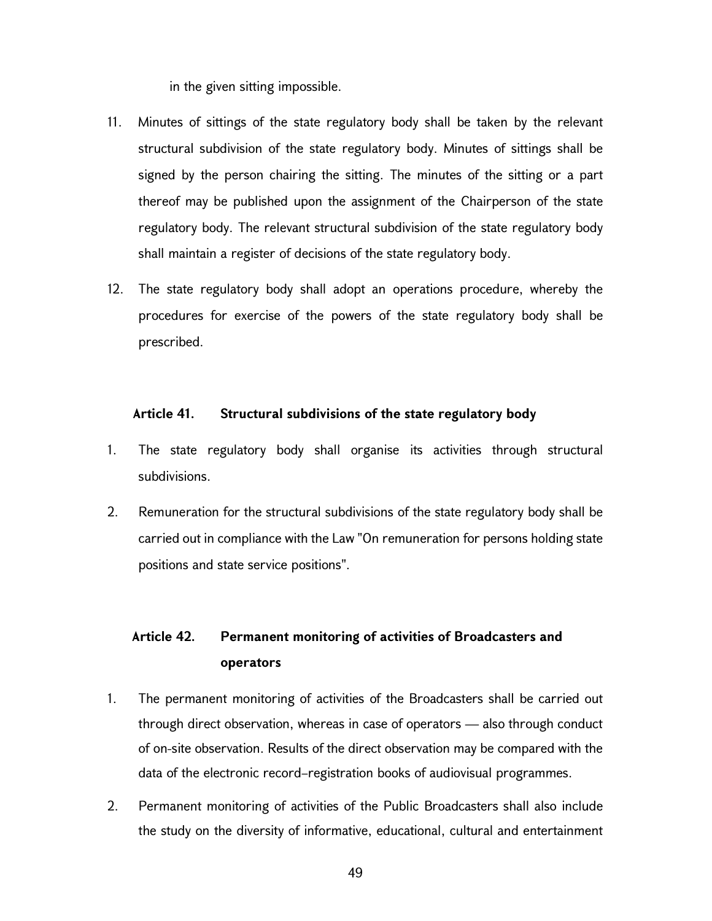in the given sitting impossible.

- 11. Minutes of sittings of the state regulatory body shall be taken by the relevant structural subdivision of the state regulatory body. Minutes of sittings shall be signed by the person chairing the sitting. The minutes of the sitting or a part thereof may be published upon the assignment of the Chairperson of the state regulatory body. The relevant structural subdivision of the state regulatory body shall maintain a register of decisions of the state regulatory body.
- 12. The state regulatory body shall adopt an operations procedure, whereby the procedures for exercise of the powers of the state regulatory body shall be prescribed.

#### Article 41. Structural subdivisions of the state regulatory body

- 1. The state regulatory body shall organise its activities through structural subdivisions.
- 2. Remuneration for the structural subdivisions of the state regulatory body shall be carried out in compliance with the Law "On remuneration for persons holding state positions and state service positions".

## Article 42. Permanent monitoring of activities of Broadcasters and operators

- 1. The permanent monitoring of activities of the Broadcasters shall be carried out through direct observation, whereas in case of operators — also through conduct of on-site observation. Results of the direct observation may be compared with the data of the electronic record–registration books of audiovisual programmes.
- 2. Permanent monitoring of activities of the Public Broadcasters shall also include the study on the diversity of informative, educational, cultural and entertainment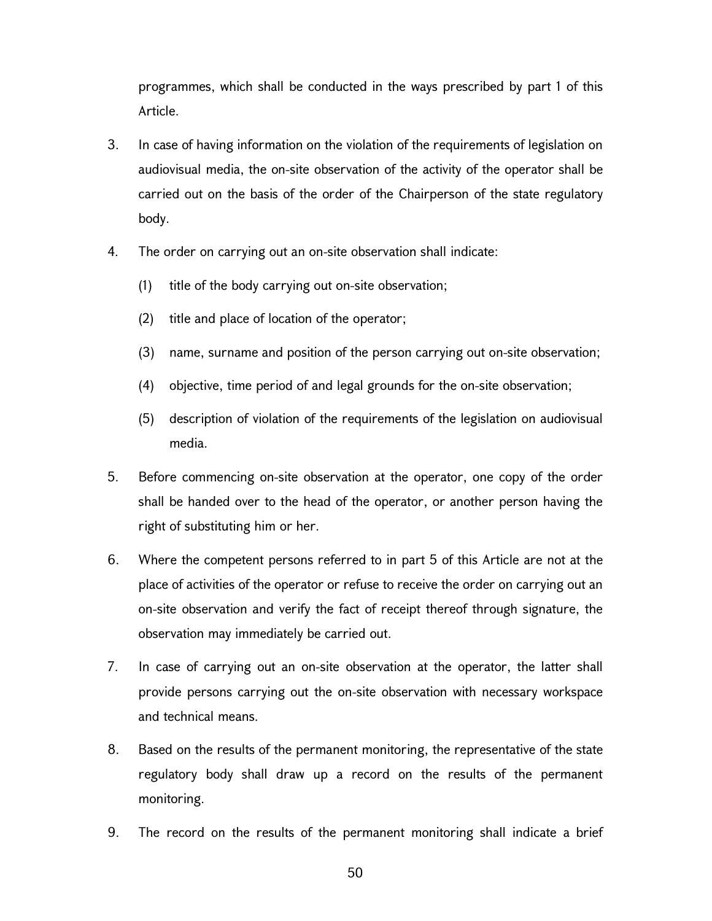programmes, which shall be conducted in the ways prescribed by part 1 of this Article.

- 3. In case of having information on the violation of the requirements of legislation on audiovisual media, the on-site observation of the activity of the operator shall be carried out on the basis of the order of the Chairperson of the state regulatory body.
- 4. The order on carrying out an on-site observation shall indicate:
	- (1) title of the body carrying out on-site observation;
	- (2) title and place of location of the operator;
	- (3) name, surname and position of the person carrying out on-site observation;
	- (4) objective, time period of and legal grounds for the on-site observation;
	- (5) description of violation of the requirements of the legislation on audiovisual media.
- 5. Before commencing on-site observation at the operator, one copy of the order shall be handed over to the head of the operator, or another person having the right of substituting him or her.
- 6. Where the competent persons referred to in part 5 of this Article are not at the place of activities of the operator or refuse to receive the order on carrying out an on-site observation and verify the fact of receipt thereof through signature, the observation may immediately be carried out.
- 7. In case of carrying out an on-site observation at the operator, the latter shall provide persons carrying out the on-site observation with necessary workspace and technical means.
- 8. Based on the results of the permanent monitoring, the representative of the state regulatory body shall draw up a record on the results of the permanent monitoring.
- 9. The record on the results of the permanent monitoring shall indicate a brief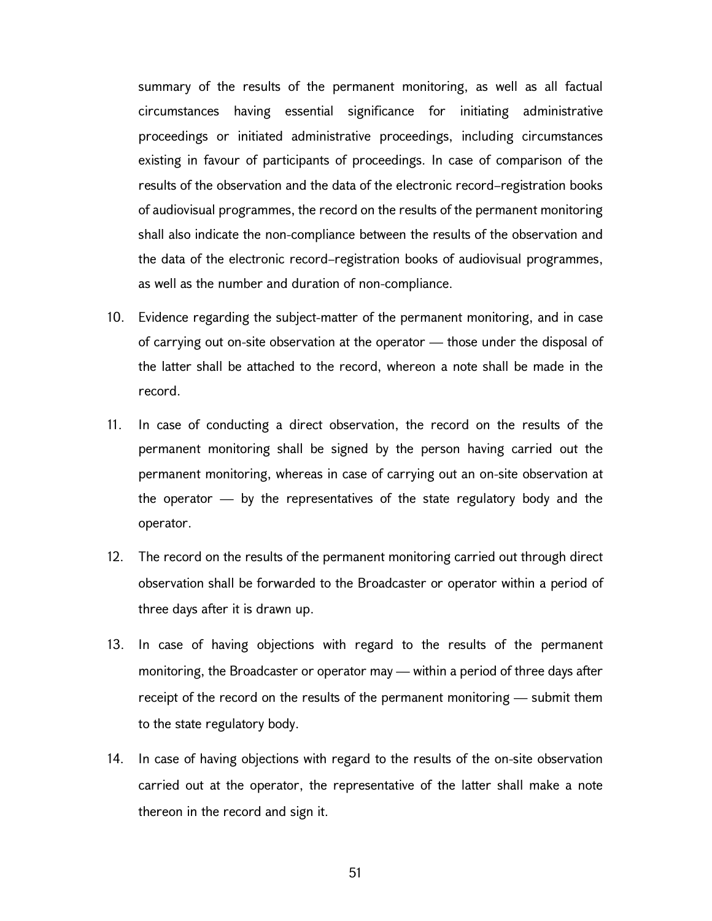summary of the results of the permanent monitoring, as well as all factual circumstances having essential significance for initiating administrative proceedings or initiated administrative proceedings, including circumstances existing in favour of participants of proceedings. In case of comparison of the results of the observation and the data of the electronic record–registration books of audiovisual programmes, the record on the results of the permanent monitoring shall also indicate the non-compliance between the results of the observation and the data of the electronic record–registration books of audiovisual programmes, as well as the number and duration of non-compliance.

- 10. Evidence regarding the subject-matter of the permanent monitoring, and in case of carrying out on-site observation at the operator — those under the disposal of the latter shall be attached to the record, whereon a note shall be made in the record.
- 11. In case of conducting a direct observation, the record on the results of the permanent monitoring shall be signed by the person having carried out the permanent monitoring, whereas in case of carrying out an on-site observation at the operator — by the representatives of the state regulatory body and the operator.
- 12. The record on the results of the permanent monitoring carried out through direct observation shall be forwarded to the Broadcaster or operator within a period of three days after it is drawn up.
- 13. In case of having objections with regard to the results of the permanent monitoring, the Broadcaster or operator may — within a period of three days after receipt of the record on the results of the permanent monitoring — submit them to the state regulatory body.
- 14. In case of having objections with regard to the results of the on-site observation carried out at the operator, the representative of the latter shall make a note thereon in the record and sign it.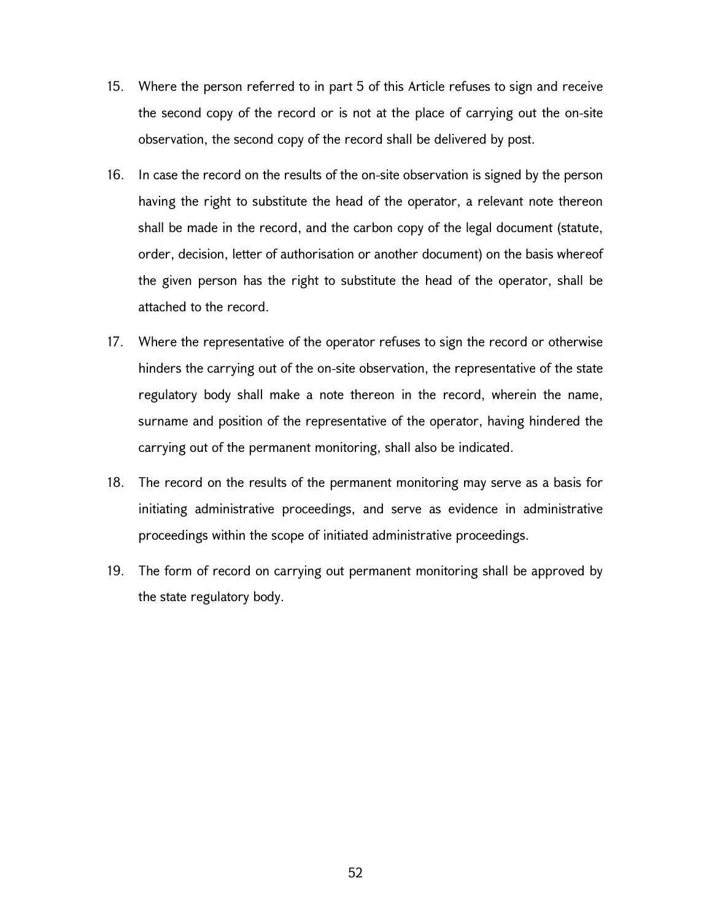- 15. Where the person referred to in part 5 of this Article refuses to sign and receive the second copy of the record or is not at the place of carrying out the on-site observation, the second copy of the record shall be delivered by post.
- 16. In case the record on the results of the on-site observation is signed by the person having the right to substitute the head of the operator, a relevant note thereon shall be made in the record, and the carbon copy of the legal document (statute, order, decision, letter of authorisation or another document) on the basis whereof the given person has the right to substitute the head of the operator, shall be attached to the record.
- 17. Where the representative of the operator refuses to sign the record or otherwise hinders the carrying out of the on-site observation, the representative of the state regulatory body shall make a note thereon in the record, wherein the name, surname and position of the representative of the operator, having hindered the carrying out of the permanent monitoring, shall also be indicated.
- 18. The record on the results of the permanent monitoring may serve as a basis for initiating administrative proceedings, and serve as evidence in administrative proceedings within the scope of initiated administrative proceedings.
- 19. The form of record on carrying out permanent monitoring shall be approved by the state regulatory body.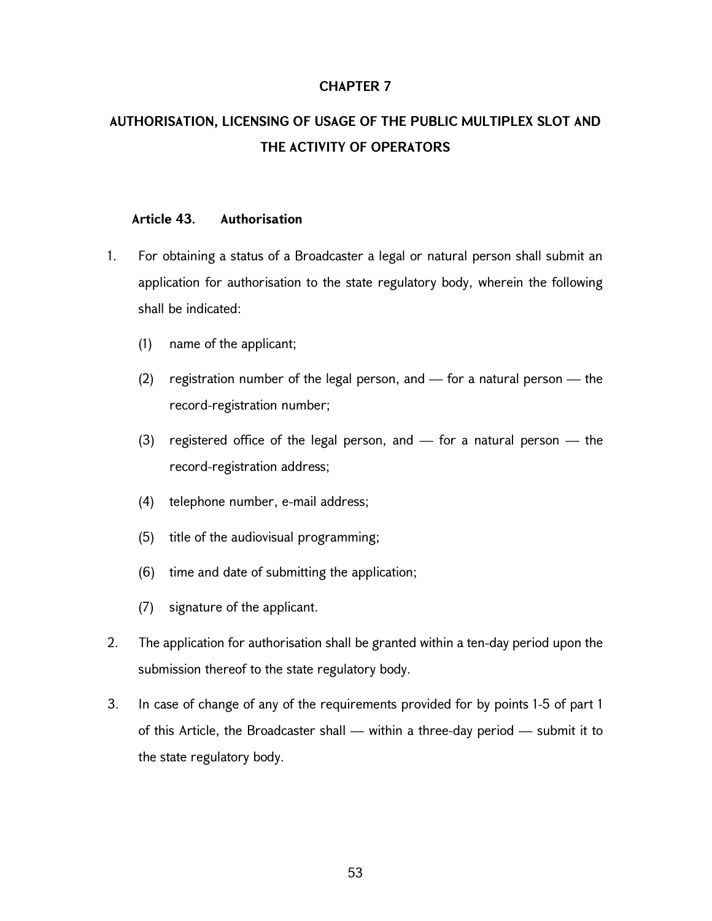### CHAPTER 7

# AUTHORISATION, LICENSING OF USAGE OF THE PUBLIC MULTIPLEX SLOT AND THE ACTIVITY OF OPERATORS

### Article 43. Authorisation

- 1. For obtaining a status of a Broadcaster a legal or natural person shall submit an application for authorisation to the state regulatory body, wherein the following shall be indicated:
	- (1) name of the applicant;
	- (2) registration number of the legal person, and for a natural person the record-registration number;
	- (3) registered office of the legal person, and  $-$  for a natural person  $-$  the record-registration address;
	- (4) telephone number, e-mail address;
	- (5) title of the audiovisual programming;
	- (6) time and date of submitting the application;
	- (7) signature of the applicant.
- 2. The application for authorisation shall be granted within a ten-day period upon the submission thereof to the state regulatory body.
- 3. In case of change of any of the requirements provided for by points 1-5 of part 1 of this Article, the Broadcaster shall — within a three-day period — submit it to the state regulatory body.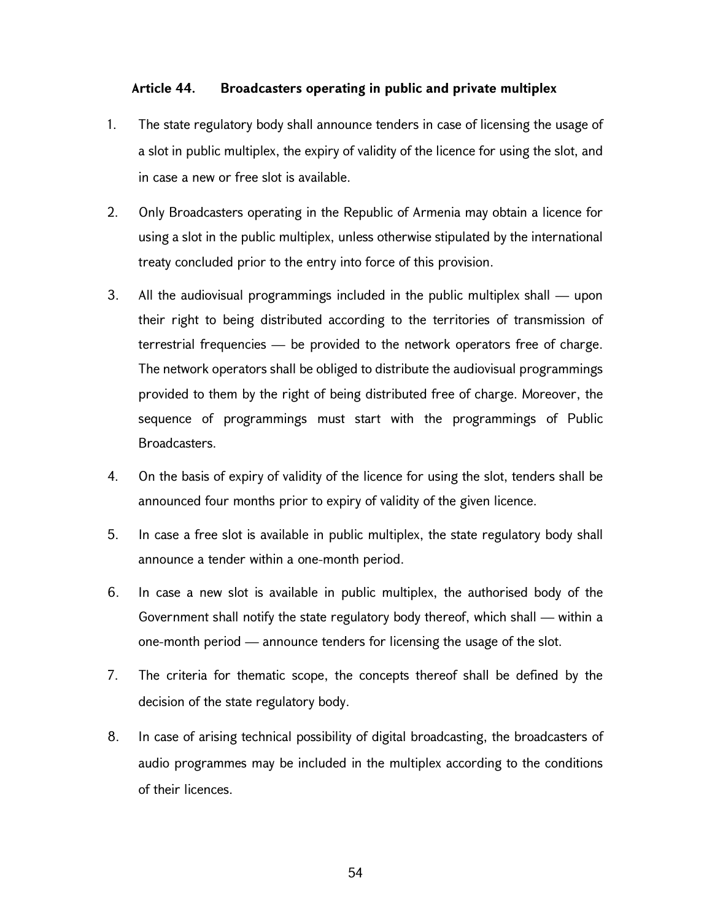### Article 44. Broadcasters operating in public and private multiplex

- 1. The state regulatory body shall announce tenders in case of licensing the usage of a slot in public multiplex, the expiry of validity of the licence for using the slot, and in case a new or free slot is available.
- 2. Only Broadcasters operating in the Republic of Armenia may obtain a licence for using a slot in the public multiplex, unless otherwise stipulated by the international treaty concluded prior to the entry into force of this provision.
- 3. All the audiovisual programmings included in the public multiplex shall upon their right to being distributed according to the territories of transmission of terrestrial frequencies — be provided to the network operators free of charge. The network operators shall be obliged to distribute the audiovisual programmings provided to them by the right of being distributed free of charge. Moreover, the sequence of programmings must start with the programmings of Public Broadcasters.
- 4. On the basis of expiry of validity of the licence for using the slot, tenders shall be announced four months prior to expiry of validity of the given licence.
- 5. In case a free slot is available in public multiplex, the state regulatory body shall announce a tender within a one-month period.
- 6. In case a new slot is available in public multiplex, the authorised body of the Government shall notify the state regulatory body thereof, which shall — within a one-month period — announce tenders for licensing the usage of the slot.
- 7. The criteria for thematic scope, the concepts thereof shall be defined by the decision of the state regulatory body.
- 8. In case of arising technical possibility of digital broadcasting, the broadcasters of audio programmes may be included in the multiplex according to the conditions of their licences.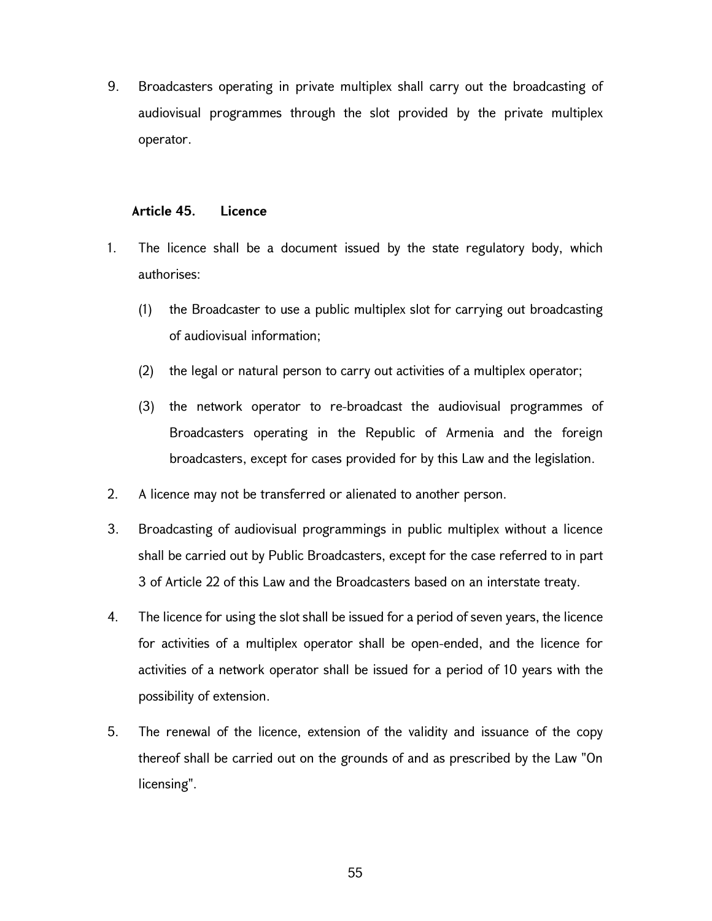9. Broadcasters operating in private multiplex shall carry out the broadcasting of audiovisual programmes through the slot provided by the private multiplex operator.

### Article 45. Licence

- 1. The licence shall be a document issued by the state regulatory body, which authorises:
	- (1) the Broadcaster to use a public multiplex slot for carrying out broadcasting of audiovisual information;
	- (2) the legal or natural person to carry out activities of a multiplex operator;
	- (3) the network operator to re-broadcast the audiovisual programmes of Broadcasters operating in the Republic of Armenia and the foreign broadcasters, except for cases provided for by this Law and the legislation.
- 2. A licence may not be transferred or alienated to another person.
- 3. Broadcasting of audiovisual programmings in public multiplex without a licence shall be carried out by Public Broadcasters, except for the case referred to in part 3 of Article 22 of this Law and the Broadcasters based on an interstate treaty.
- 4. The licence for using the slot shall be issued for a period of seven years, the licence for activities of a multiplex operator shall be open-ended, and the licence for activities of a network operator shall be issued for a period of 10 years with the possibility of extension.
- 5. The renewal of the licence, extension of the validity and issuance of the copy thereof shall be carried out on the grounds of and as prescribed by the Law "On licensing".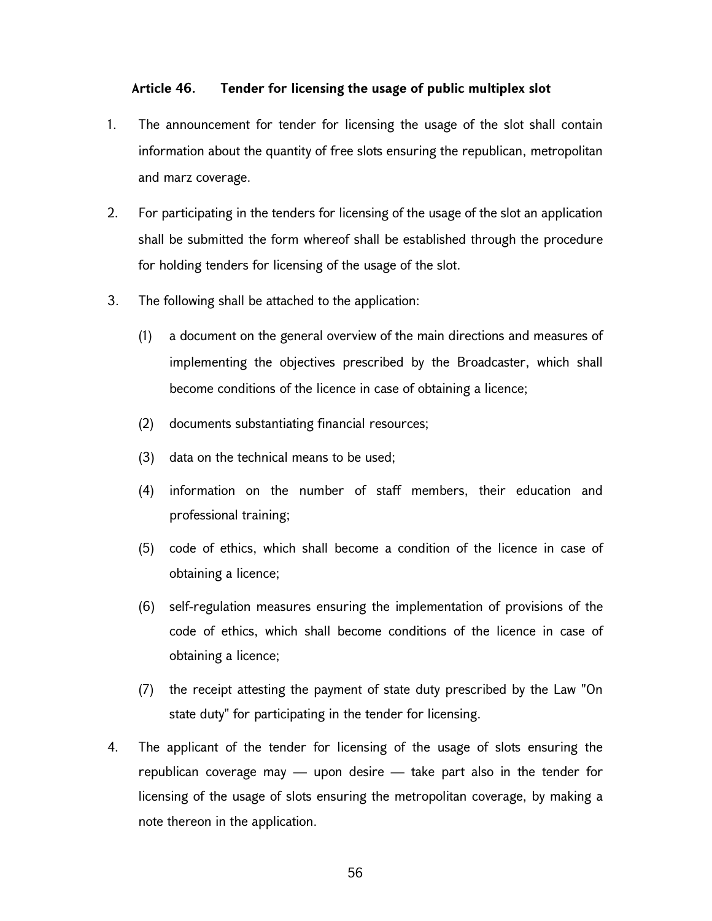### Article 46. Tender for licensing the usage of public multiplex slot

- 1. The announcement for tender for licensing the usage of the slot shall contain information about the quantity of free slots ensuring the republican, metropolitan and marz coverage.
- 2. For participating in the tenders for licensing of the usage of the slot an application shall be submitted the form whereof shall be established through the procedure for holding tenders for licensing of the usage of the slot.
- 3. The following shall be attached to the application:
	- (1) a document on the general overview of the main directions and measures of implementing the objectives prescribed by the Broadcaster, which shall become conditions of the licence in case of obtaining a licence;
	- (2) documents substantiating financial resources;
	- (3) data on the technical means to be used;
	- (4) information on the number of staff members, their education and professional training;
	- (5) code of ethics, which shall become a condition of the licence in case of obtaining a licence;
	- (6) self-regulation measures ensuring the implementation of provisions of the code of ethics, which shall become conditions of the licence in case of obtaining a licence;
	- (7) the receipt attesting the payment of state duty prescribed by the Law "On state duty" for participating in the tender for licensing.
- 4. The applicant of the tender for licensing of the usage of slots ensuring the republican coverage may — upon desire — take part also in the tender for licensing of the usage of slots ensuring the metropolitan coverage, by making a note thereon in the application.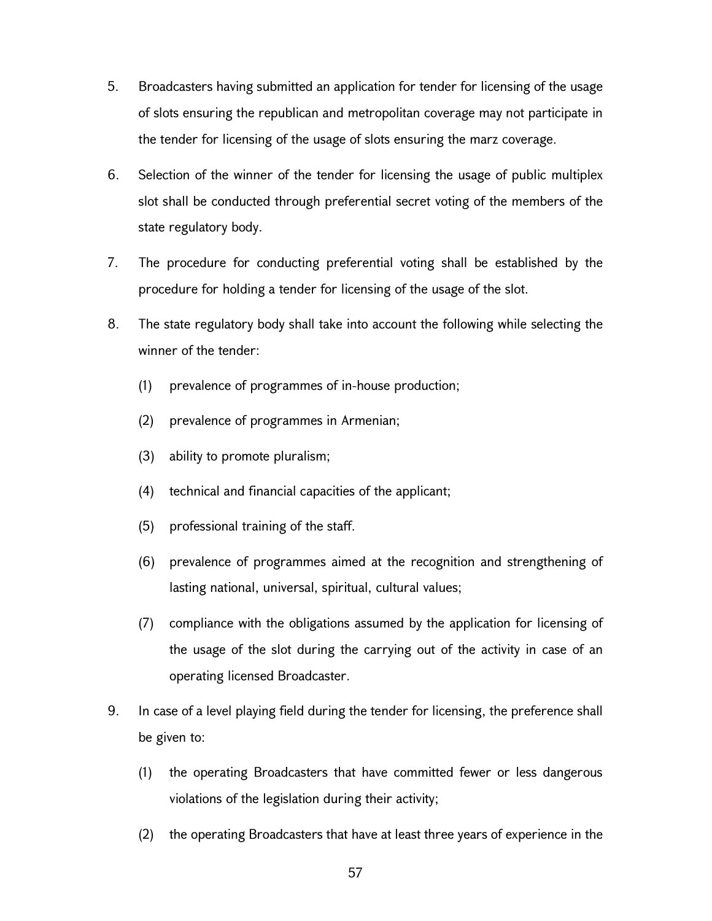- 5. Broadcasters having submitted an application for tender for licensing of the usage of slots ensuring the republican and metropolitan coverage may not participate in the tender for licensing of the usage of slots ensuring the marz coverage.
- 6. Selection of the winner of the tender for licensing the usage of public multiplex slot shall be conducted through preferential secret voting of the members of the state regulatory body.
- 7. The procedure for conducting preferential voting shall be established by the procedure for holding a tender for licensing of the usage of the slot.
- 8. The state regulatory body shall take into account the following while selecting the winner of the tender:
	- (1) prevalence of programmes of in-house production;
	- (2) prevalence of programmes in Armenian;
	- (3) ability to promote pluralism;
	- (4) technical and financial capacities of the applicant;
	- (5) professional training of the staff.
	- (6) prevalence of programmes aimed at the recognition and strengthening of lasting national, universal, spiritual, cultural values;
	- (7) compliance with the obligations assumed by the application for licensing of the usage of the slot during the carrying out of the activity in case of an operating licensed Broadcaster.
- 9. In case of a level playing field during the tender for licensing, the preference shall be given to:
	- (1) the operating Broadcasters that have committed fewer or less dangerous violations of the legislation during their activity;
	- (2) the operating Broadcasters that have at least three years of experience in the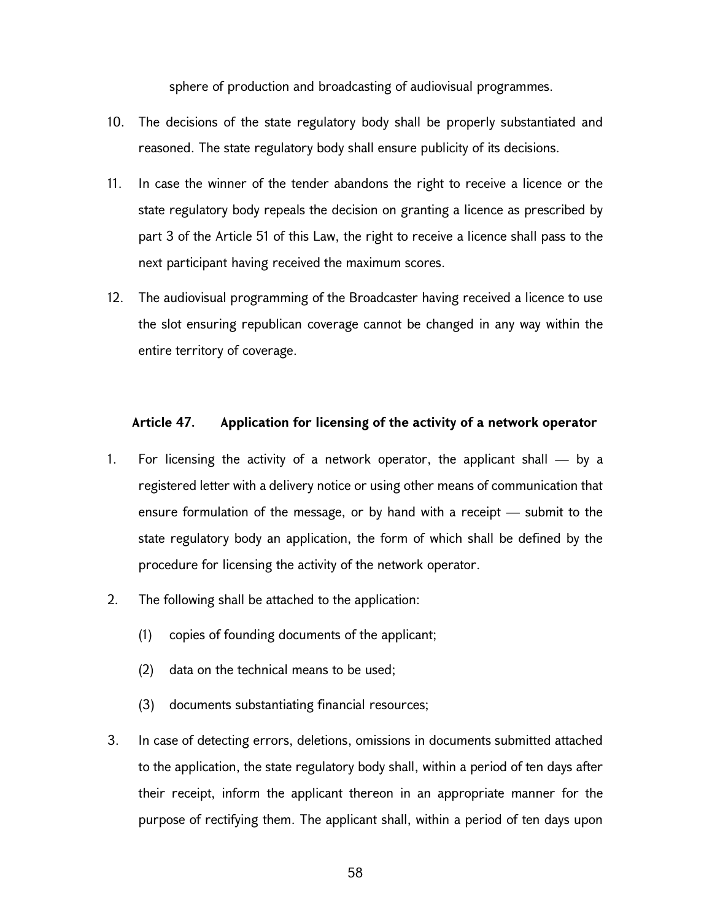sphere of production and broadcasting of audiovisual programmes.

- 10. The decisions of the state regulatory body shall be properly substantiated and reasoned. The state regulatory body shall ensure publicity of its decisions.
- 11. In case the winner of the tender abandons the right to receive a licence or the state regulatory body repeals the decision on granting a licence as prescribed by part 3 of the Article 51 of this Law, the right to receive a licence shall pass to the next participant having received the maximum scores.
- 12. The audiovisual programming of the Broadcaster having received a licence to use the slot ensuring republican coverage cannot be changed in any way within the entire territory of coverage.

### Article 47. Application for licensing of the activity of a network operator

- 1. For licensing the activity of a network operator, the applicant shall by a registered letter with a delivery notice or using other means of communication that ensure formulation of the message, or by hand with a receipt — submit to the state regulatory body an application, the form of which shall be defined by the procedure for licensing the activity of the network operator.
- 2. The following shall be attached to the application:
	- (1) copies of founding documents of the applicant;
	- (2) data on the technical means to be used;
	- (3) documents substantiating financial resources;
- 3. In case of detecting errors, deletions, omissions in documents submitted attached to the application, the state regulatory body shall, within a period of ten days after their receipt, inform the applicant thereon in an appropriate manner for the purpose of rectifying them. The applicant shall, within a period of ten days upon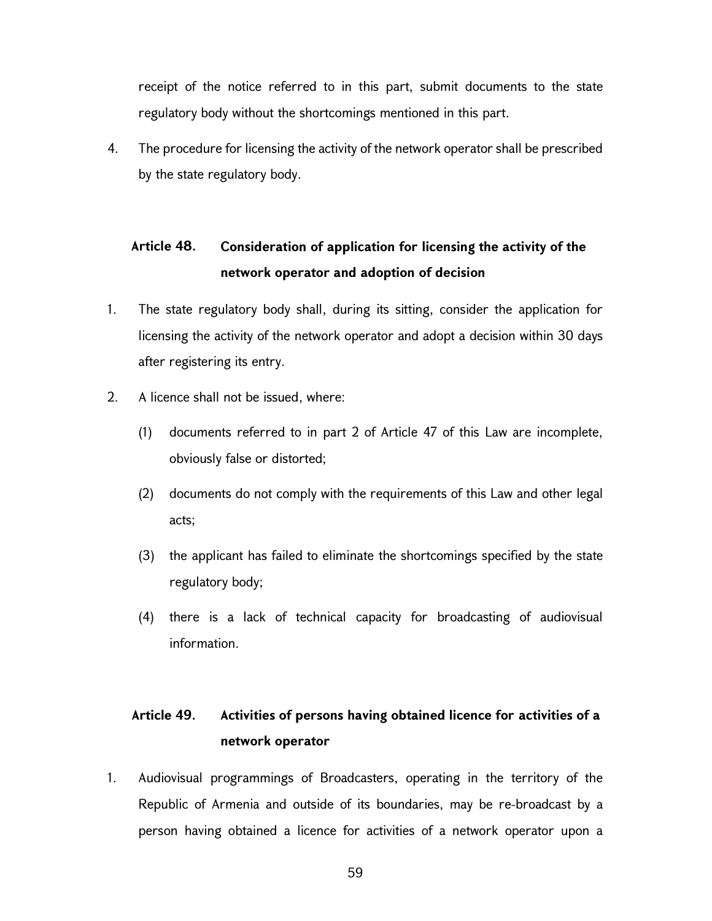receipt of the notice referred to in this part, submit documents to the state regulatory body without the shortcomings mentioned in this part.

4. The procedure for licensing the activity of the network operator shall be prescribed by the state regulatory body.

# Article 48. Consideration of application for licensing the activity of the network operator and adoption of decision

- 1. The state regulatory body shall, during its sitting, consider the application for licensing the activity of the network operator and adopt a decision within 30 days after registering its entry.
- 2. A licence shall not be issued, where:
	- (1) documents referred to in part 2 of Article 47 of this Law are incomplete, obviously false or distorted;
	- (2) documents do not comply with the requirements of this Law and other legal acts;
	- (3) the applicant has failed to eliminate the shortcomings specified by the state regulatory body;
	- (4) there is a lack of technical capacity for broadcasting of audiovisual information.

# Article 49. Activities of persons having obtained licence for activities of a network operator

1. Audiovisual programmings of Broadcasters, operating in the territory of the Republic of Armenia and outside of its boundaries, may be re-broadcast by a person having obtained a licence for activities of a network operator upon a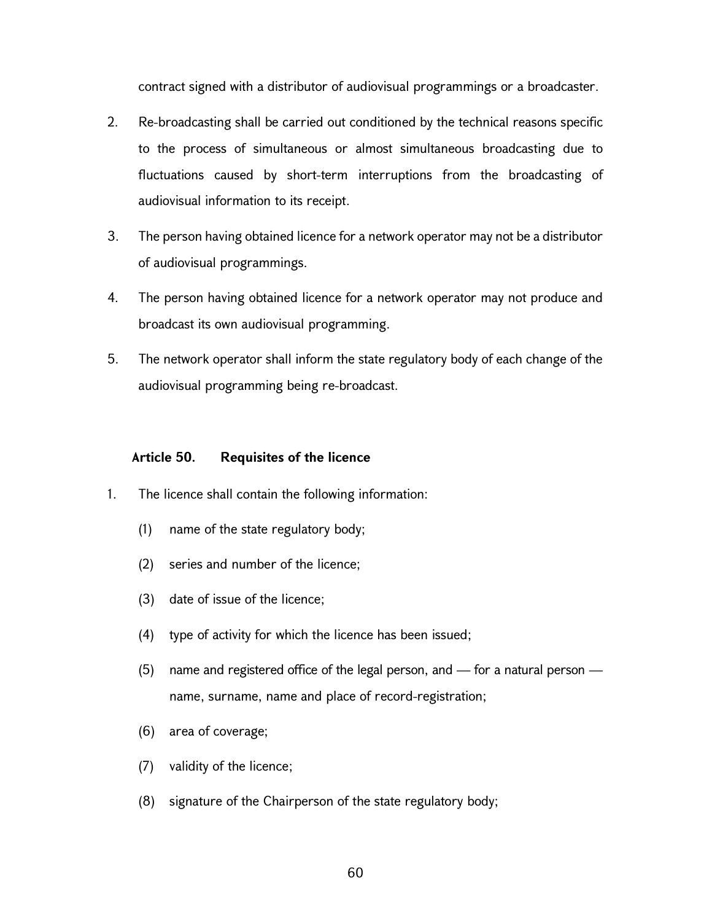contract signed with a distributor of audiovisual programmings or a broadcaster.

- 2. Re-broadcasting shall be carried out conditioned by the technical reasons specific to the process of simultaneous or almost simultaneous broadcasting due to fluctuations caused by short-term interruptions from the broadcasting of audiovisual information to its receipt.
- 3. The person having obtained licence for a network operator may not be a distributor of audiovisual programmings.
- 4. The person having obtained licence for a network operator may not produce and broadcast its own audiovisual programming.
- 5. The network operator shall inform the state regulatory body of each change of the audiovisual programming being re-broadcast.

### Article 50. Requisites of the licence

- 1. The licence shall contain the following information:
	- (1) name of the state regulatory body;
	- (2) series and number of the licence;
	- (3) date of issue of the licence;
	- (4) type of activity for which the licence has been issued;
	- (5) name and registered office of the legal person, and for a natural person name, surname, name and place of record-registration;
	- (6) area of coverage;
	- (7) validity of the licence;
	- (8) signature of the Chairperson of the state regulatory body;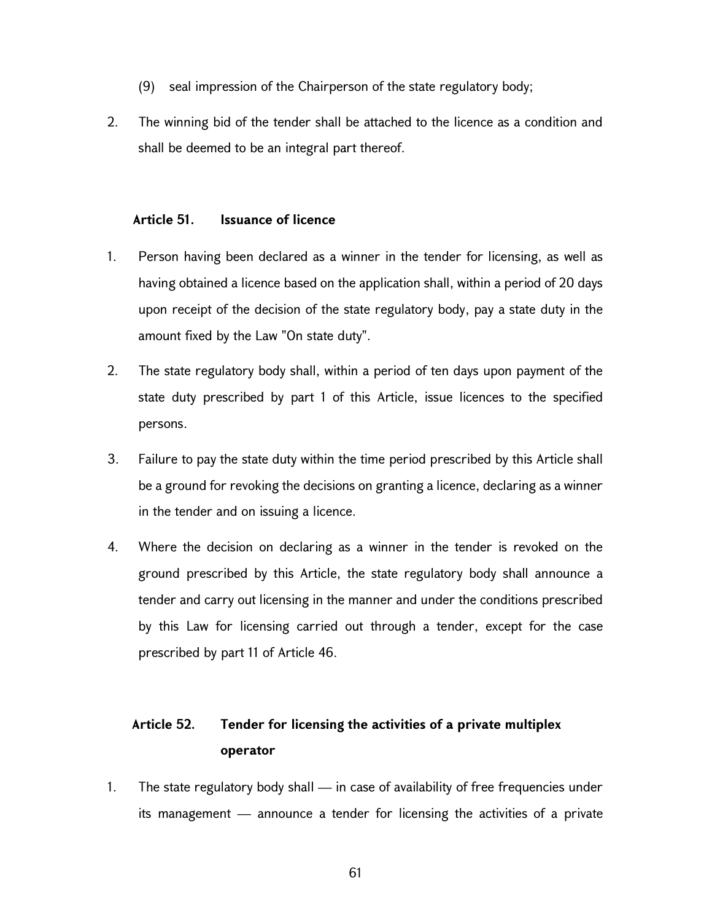- (9) seal impression of the Chairperson of the state regulatory body;
- 2. The winning bid of the tender shall be attached to the licence as a condition and shall be deemed to be an integral part thereof.

#### Article 51. Issuance of licence

- 1. Person having been declared as a winner in the tender for licensing, as well as having obtained a licence based on the application shall, within a period of 20 days upon receipt of the decision of the state regulatory body, pay a state duty in the amount fixed by the Law "On state duty".
- 2. The state regulatory body shall, within a period of ten days upon payment of the state duty prescribed by part 1 of this Article, issue licences to the specified persons.
- 3. Failure to pay the state duty within the time period prescribed by this Article shall be a ground for revoking the decisions on granting a licence, declaring as a winner in the tender and on issuing a licence.
- 4. Where the decision on declaring as a winner in the tender is revoked on the ground prescribed by this Article, the state regulatory body shall announce a tender and carry out licensing in the manner and under the conditions prescribed by this Law for licensing carried out through a tender, except for the case prescribed by part 11 of Article 46.

# Article 52. Tender for licensing the activities of a private multiplex operator

1. The state regulatory body shall — in case of availability of free frequencies under its management — announce a tender for licensing the activities of a private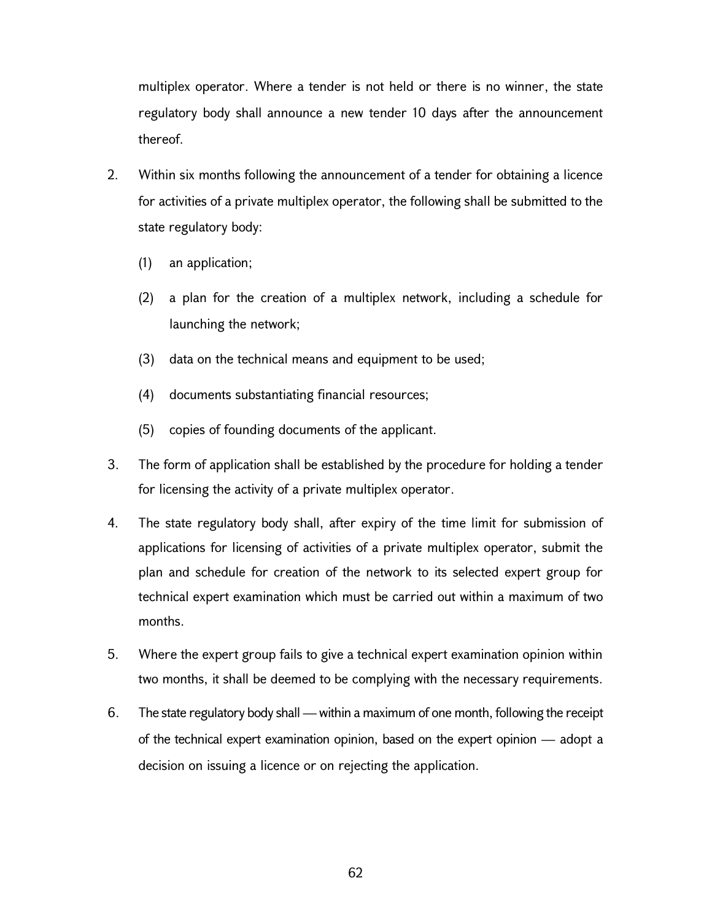multiplex operator. Where a tender is not held or there is no winner, the state regulatory body shall announce a new tender 10 days after the announcement thereof.

- 2. Within six months following the announcement of a tender for obtaining a licence for activities of a private multiplex operator, the following shall be submitted to the state regulatory body:
	- (1) an application;
	- (2) a plan for the creation of a multiplex network, including a schedule for launching the network;
	- (3) data on the technical means and equipment to be used;
	- (4) documents substantiating financial resources;
	- (5) copies of founding documents of the applicant.
- 3. The form of application shall be established by the procedure for holding a tender for licensing the activity of a private multiplex operator.
- 4. The state regulatory body shall, after expiry of the time limit for submission of applications for licensing of activities of a private multiplex operator, submit the plan and schedule for creation of the network to its selected expert group for technical expert examination which must be carried out within a maximum of two months.
- 5. Where the expert group fails to give a technical expert examination opinion within two months, it shall be deemed to be complying with the necessary requirements.
- 6. The state regulatory body shall within a maximum of one month, following the receipt of the technical expert examination opinion, based on the expert opinion — adopt a decision on issuing a licence or on rejecting the application.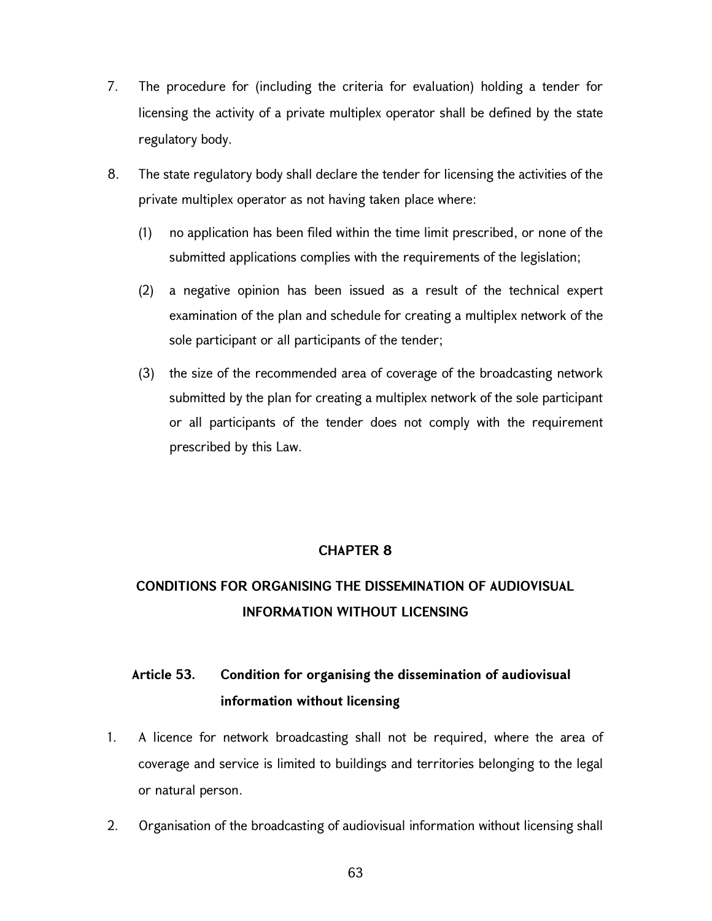- 7. The procedure for (including the criteria for evaluation) holding a tender for licensing the activity of a private multiplex operator shall be defined by the state regulatory body.
- 8. The state regulatory body shall declare the tender for licensing the activities of the private multiplex operator as not having taken place where:
	- (1) no application has been filed within the time limit prescribed, or none of the submitted applications complies with the requirements of the legislation;
	- (2) a negative opinion has been issued as a result of the technical expert examination of the plan and schedule for creating a multiplex network of the sole participant or all participants of the tender;
	- (3) the size of the recommended area of coverage of the broadcasting network submitted by the plan for creating a multiplex network of the sole participant or all participants of the tender does not comply with the requirement prescribed by this Law.

## CHAPTER 8

# CONDITIONS FOR ORGANISING THE DISSEMINATION OF AUDIOVISUAL INFORMATION WITHOUT LICENSING

# Article 53. Condition for organising the dissemination of audiovisual information without licensing

- 1. A licence for network broadcasting shall not be required, where the area of coverage and service is limited to buildings and territories belonging to the legal or natural person.
- 2. Organisation of the broadcasting of audiovisual information without licensing shall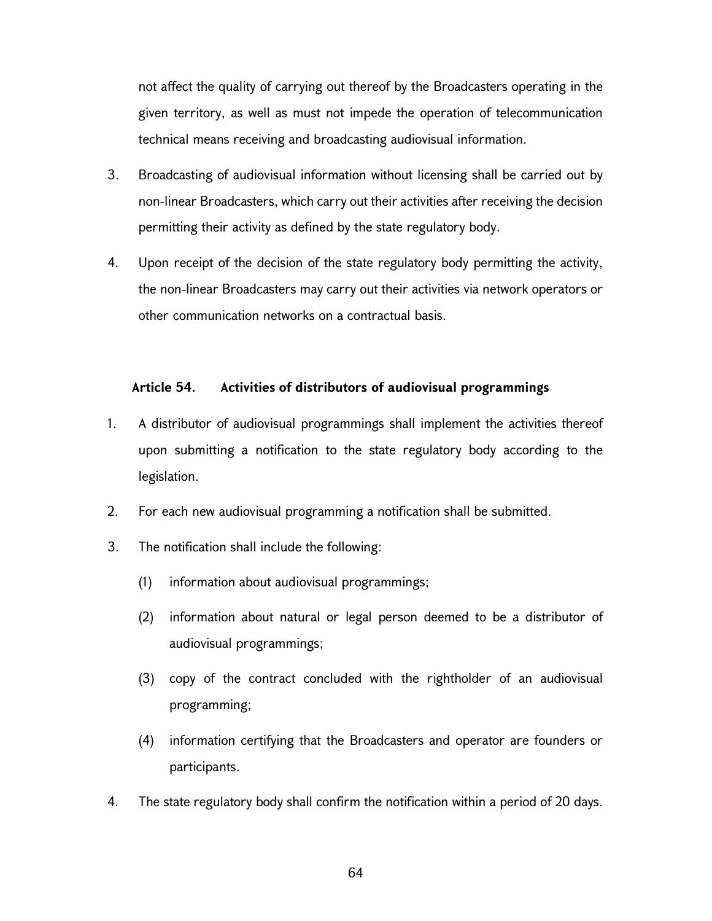not affect the quality of carrying out thereof by the Broadcasters operating in the given territory, as well as must not impede the operation of telecommunication technical means receiving and broadcasting audiovisual information.

- 3. Broadcasting of audiovisual information without licensing shall be carried out by non-linear Broadcasters, which carry out their activities after receiving the decision permitting their activity as defined by the state regulatory body.
- 4. Upon receipt of the decision of the state regulatory body permitting the activity, the non-linear Broadcasters may carry out their activities via network operators or other communication networks on a contractual basis.

### Article 54. Activities of distributors of audiovisual programmings

- 1. A distributor of audiovisual programmings shall implement the activities thereof upon submitting a notification to the state regulatory body according to the legislation.
- 2. For each new audiovisual programming a notification shall be submitted.
- 3. The notification shall include the following:
	- (1) information about audiovisual programmings;
	- (2) information about natural or legal person deemed to be a distributor of audiovisual programmings;
	- (3) copy of the contract concluded with the rightholder of an audiovisual programming;
	- (4) information certifying that the Broadcasters and operator are founders or participants.
- 4. The state regulatory body shall confirm the notification within a period of 20 days.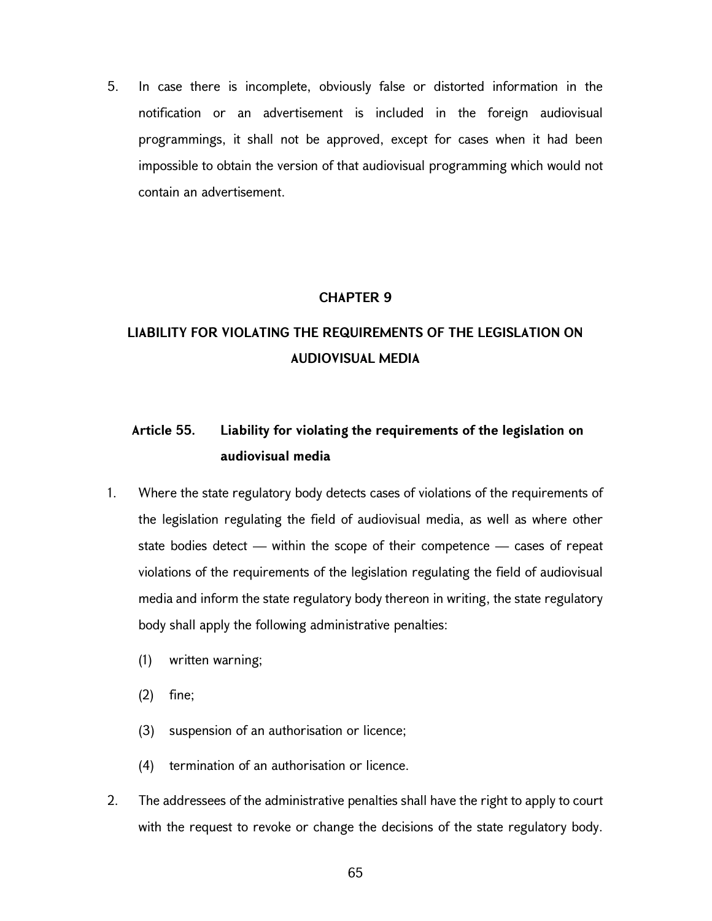5. In case there is incomplete, obviously false or distorted information in the notification or an advertisement is included in the foreign audiovisual programmings, it shall not be approved, except for cases when it had been impossible to obtain the version of that audiovisual programming which would not contain an advertisement.

### CHAPTER 9

# LIABILITY FOR VIOLATING THE REQUIREMENTS OF THE LEGISLATION ON AUDIOVISUAL MEDIA

# Article 55. Liability for violating the requirements of the legislation on audiovisual media

- 1. Where the state regulatory body detects cases of violations of the requirements of the legislation regulating the field of audiovisual media, as well as where other state bodies detect — within the scope of their competence — cases of repeat violations of the requirements of the legislation regulating the field of audiovisual media and inform the state regulatory body thereon in writing, the state regulatory body shall apply the following administrative penalties:
	- (1) written warning;
	- (2) fine;
	- (3) suspension of an authorisation or licence;
	- (4) termination of an authorisation or licence.
- 2. The addressees of the administrative penalties shall have the right to apply to court with the request to revoke or change the decisions of the state regulatory body.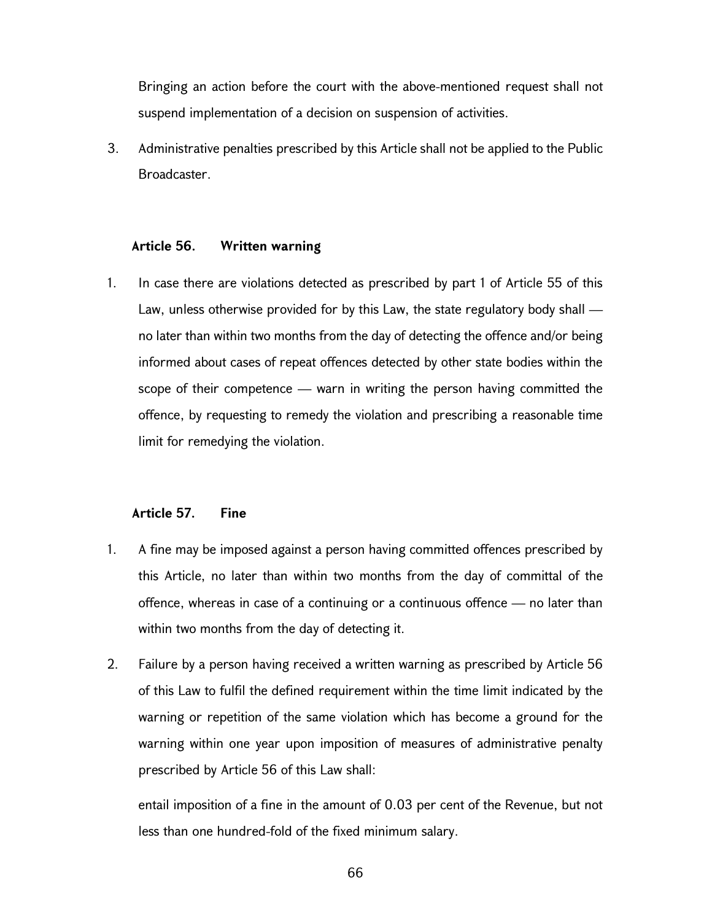Bringing an action before the court with the above-mentioned request shall not suspend implementation of a decision on suspension of activities.

3. Administrative penalties prescribed by this Article shall not be applied to the Public Broadcaster.

#### Article 56. Written warning

1. In case there are violations detected as prescribed by part 1 of Article 55 of this Law, unless otherwise provided for by this Law, the state regulatory body shall no later than within two months from the day of detecting the offence and/or being informed about cases of repeat offences detected by other state bodies within the scope of their competence — warn in writing the person having committed the offence, by requesting to remedy the violation and prescribing a reasonable time limit for remedying the violation.

#### Article 57. Fine

- 1. A fine may be imposed against a person having committed offences prescribed by this Article, no later than within two months from the day of committal of the offence, whereas in case of a continuing or a continuous offence — no later than within two months from the day of detecting it.
- 2. Failure by a person having received a written warning as prescribed by Article 56 of this Law to fulfil the defined requirement within the time limit indicated by the warning or repetition of the same violation which has become a ground for the warning within one year upon imposition of measures of administrative penalty prescribed by Article 56 of this Law shall:

entail imposition of a fine in the amount of 0.03 per cent of the Revenue, but not less than one hundred-fold of the fixed minimum salary.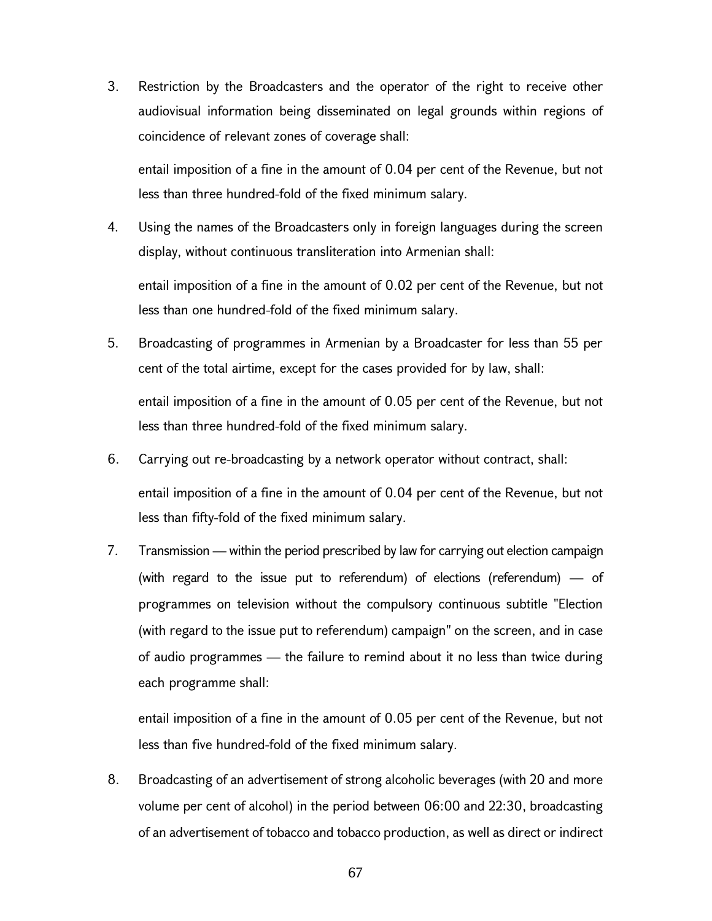3. Restriction by the Broadcasters and the operator of the right to receive other audiovisual information being disseminated on legal grounds within regions of coincidence of relevant zones of coverage shall:

entail imposition of a fine in the amount of 0.04 per cent of the Revenue, but not less than three hundred-fold of the fixed minimum salary.

- 4. Using the names of the Broadcasters only in foreign languages during the screen display, without continuous transliteration into Armenian shall: entail imposition of a fine in the amount of 0.02 per cent of the Revenue, but not
- 5. Broadcasting of programmes in Armenian by a Broadcaster for less than 55 per cent of the total airtime, except for the cases provided for by law, shall:

less than one hundred-fold of the fixed minimum salary.

entail imposition of a fine in the amount of 0.05 per cent of the Revenue, but not less than three hundred-fold of the fixed minimum salary.

- 6. Carrying out re-broadcasting by a network operator without contract, shall: entail imposition of a fine in the amount of 0.04 per cent of the Revenue, but not less than fifty-fold of the fixed minimum salary.
- 7. Transmission within the period prescribed by law for carrying out election campaign (with regard to the issue put to referendum) of elections (referendum) — of programmes on television without the compulsory continuous subtitle "Election (with regard to the issue put to referendum) campaign" on the screen, and in case of audio programmes — the failure to remind about it no less than twice during each programme shall:

entail imposition of a fine in the amount of 0.05 per cent of the Revenue, but not less than five hundred-fold of the fixed minimum salary.

8. Broadcasting of an advertisement of strong alcoholic beverages (with 20 and more volume per cent of alcohol) in the period between 06:00 and 22:30, broadcasting of an advertisement of tobacco and tobacco production, as well as direct or indirect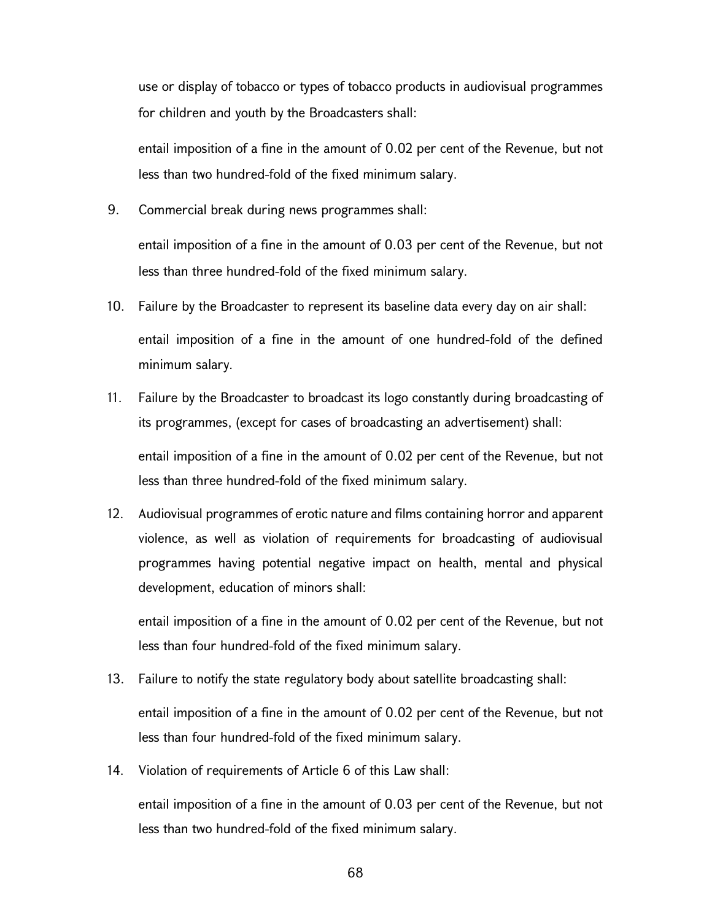use or display of tobacco or types of tobacco products in audiovisual programmes for children and youth by the Broadcasters shall:

entail imposition of a fine in the amount of 0.02 per cent of the Revenue, but not less than two hundred-fold of the fixed minimum salary.

9. Commercial break during news programmes shall:

entail imposition of a fine in the amount of 0.03 per cent of the Revenue, but not less than three hundred-fold of the fixed minimum salary.

- 10. Failure by the Broadcaster to represent its baseline data every day on air shall: entail imposition of a fine in the amount of one hundred-fold of the defined minimum salary.
- 11. Failure by the Broadcaster to broadcast its logo constantly during broadcasting of its programmes, (except for cases of broadcasting an advertisement) shall: entail imposition of a fine in the amount of 0.02 per cent of the Revenue, but not less than three hundred-fold of the fixed minimum salary.
- 12. Audiovisual programmes of erotic nature and films containing horror and apparent violence, as well as violation of requirements for broadcasting of audiovisual programmes having potential negative impact on health, mental and physical development, education of minors shall:

entail imposition of a fine in the amount of 0.02 per cent of the Revenue, but not less than four hundred-fold of the fixed minimum salary.

13. Failure to notify the state regulatory body about satellite broadcasting shall:

entail imposition of a fine in the amount of 0.02 per cent of the Revenue, but not less than four hundred-fold of the fixed minimum salary.

14. Violation of requirements of Article 6 of this Law shall:

entail imposition of a fine in the amount of 0.03 per cent of the Revenue, but not less than two hundred-fold of the fixed minimum salary.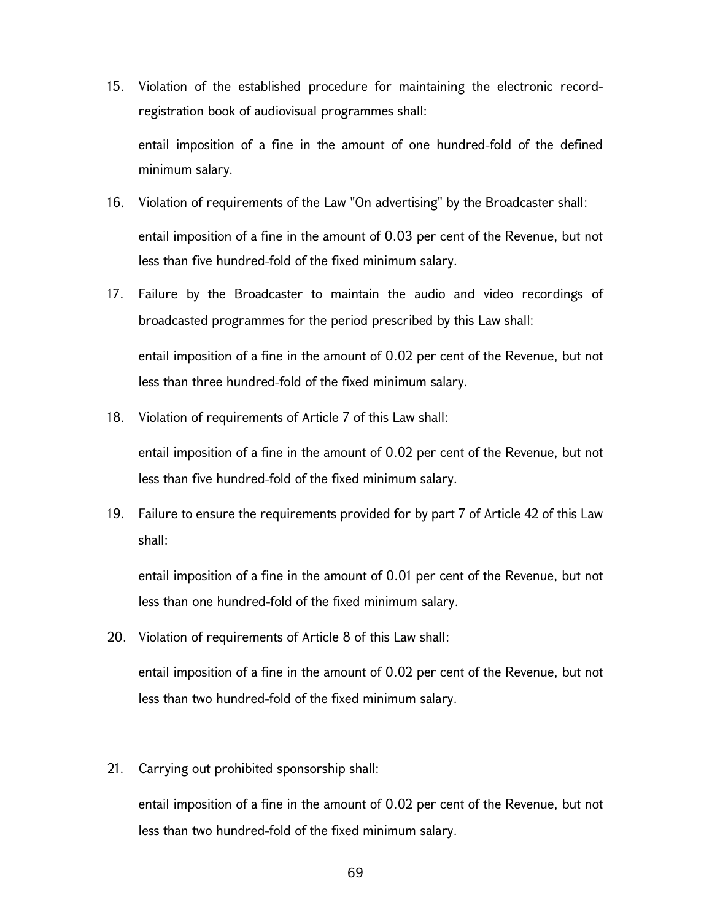15. Violation of the established procedure for maintaining the electronic recordregistration book of audiovisual programmes shall:

entail imposition of a fine in the amount of one hundred-fold of the defined minimum salary.

- 16. Violation of requirements of the Law "On advertising" by the Broadcaster shall: entail imposition of a fine in the amount of 0.03 per cent of the Revenue, but not less than five hundred-fold of the fixed minimum salary.
- 17. Failure by the Broadcaster to maintain the audio and video recordings of broadcasted programmes for the period prescribed by this Law shall: entail imposition of a fine in the amount of 0.02 per cent of the Revenue, but not less than three hundred-fold of the fixed minimum salary.
- 18. Violation of requirements of Article 7 of this Law shall:

entail imposition of a fine in the amount of 0.02 per cent of the Revenue, but not less than five hundred-fold of the fixed minimum salary.

19. Failure to ensure the requirements provided for by part 7 of Article 42 of this Law shall:

entail imposition of a fine in the amount of 0.01 per cent of the Revenue, but not less than one hundred-fold of the fixed minimum salary.

20. Violation of requirements of Article 8 of this Law shall:

entail imposition of a fine in the amount of 0.02 per cent of the Revenue, but not less than two hundred-fold of the fixed minimum salary.

21. Carrying out prohibited sponsorship shall:

entail imposition of a fine in the amount of 0.02 per cent of the Revenue, but not less than two hundred-fold of the fixed minimum salary.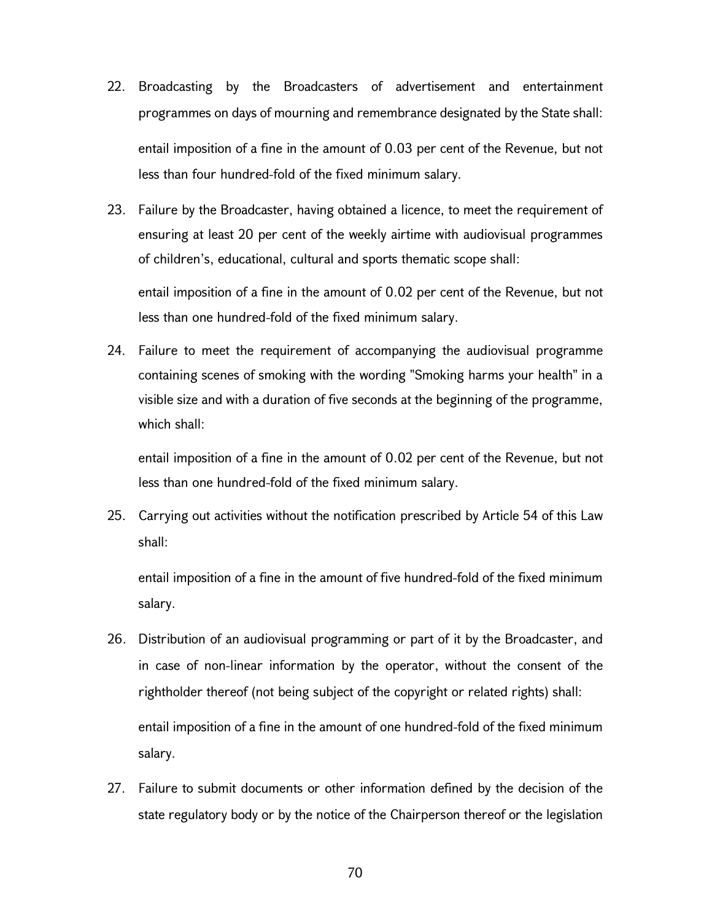- 22. Broadcasting by the Broadcasters of advertisement and entertainment programmes on days of mourning and remembrance designated by the State shall: entail imposition of a fine in the amount of 0.03 per cent of the Revenue, but not less than four hundred-fold of the fixed minimum salary.
- 23. Failure by the Broadcaster, having obtained a licence, to meet the requirement of ensuring at least 20 per cent of the weekly airtime with audiovisual programmes of children's, educational, cultural and sports thematic scope shall:

entail imposition of a fine in the amount of 0.02 per cent of the Revenue, but not less than one hundred-fold of the fixed minimum salary.

24. Failure to meet the requirement of accompanying the audiovisual programme containing scenes of smoking with the wording "Smoking harms your health" in a visible size and with a duration of five seconds at the beginning of the programme, which shall:

entail imposition of a fine in the amount of 0.02 per cent of the Revenue, but not less than one hundred-fold of the fixed minimum salary.

25. Carrying out activities without the notification prescribed by Article 54 of this Law shall:

entail imposition of a fine in the amount of five hundred-fold of the fixed minimum salary.

- 26. Distribution of an audiovisual programming or part of it by the Broadcaster, and in case of non-linear information by the operator, without the consent of the rightholder thereof (not being subject of the copyright or related rights) shall: entail imposition of a fine in the amount of one hundred-fold of the fixed minimum salary.
- 27. Failure to submit documents or other information defined by the decision of the state regulatory body or by the notice of the Chairperson thereof or the legislation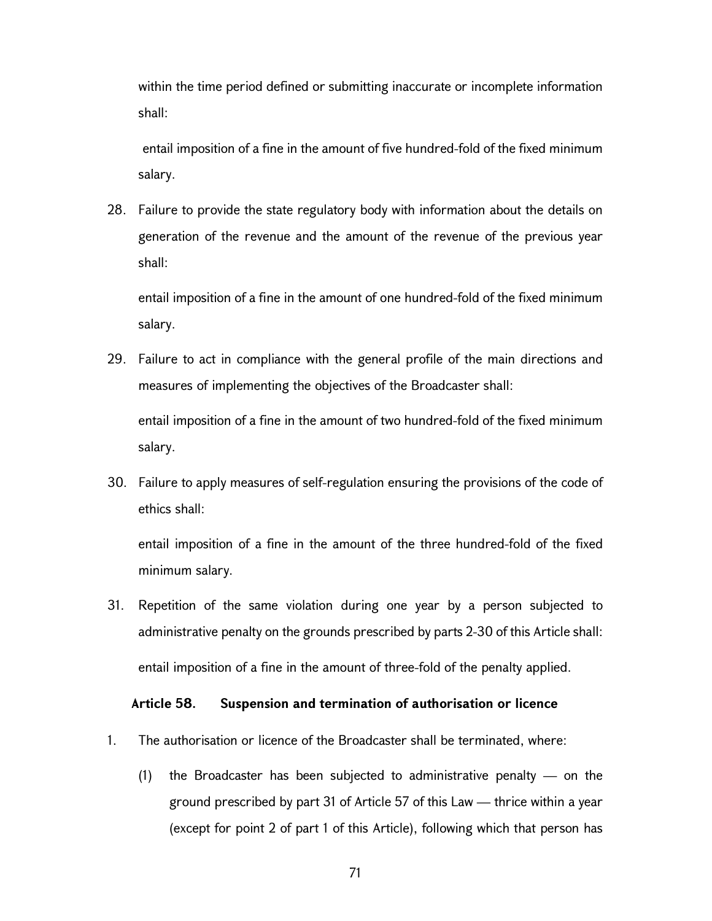within the time period defined or submitting inaccurate or incomplete information shall:

 entail imposition of a fine in the amount of five hundred-fold of the fixed minimum salary.

28. Failure to provide the state regulatory body with information about the details on generation of the revenue and the amount of the revenue of the previous year shall:

entail imposition of a fine in the amount of one hundred-fold of the fixed minimum salary.

- 29. Failure to act in compliance with the general profile of the main directions and measures of implementing the objectives of the Broadcaster shall: entail imposition of a fine in the amount of two hundred-fold of the fixed minimum salary.
- 30. Failure to apply measures of self-regulation ensuring the provisions of the code of ethics shall:

entail imposition of a fine in the amount of the three hundred-fold of the fixed minimum salary.

31. Repetition of the same violation during one year by a person subjected to administrative penalty on the grounds prescribed by parts 2-30 of this Article shall: entail imposition of a fine in the amount of three-fold of the penalty applied.

#### Article 58. Suspension and termination of authorisation or licence

- 1. The authorisation or licence of the Broadcaster shall be terminated, where:
	- (1) the Broadcaster has been subjected to administrative penalty  $-$  on the ground prescribed by part 31 of Article 57 of this Law — thrice within a year (except for point 2 of part 1 of this Article), following which that person has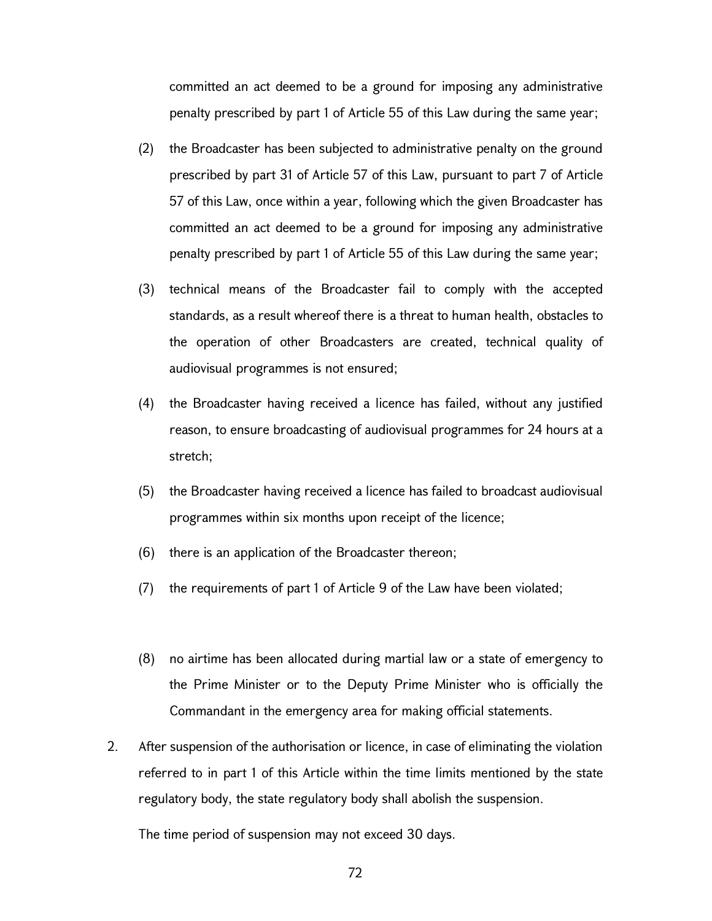committed an act deemed to be a ground for imposing any administrative penalty prescribed by part 1 of Article 55 of this Law during the same year;

- (2) the Broadcaster has been subjected to administrative penalty on the ground prescribed by part 31 of Article 57 of this Law, pursuant to part 7 of Article 57 of this Law, once within a year, following which the given Broadcaster has committed an act deemed to be a ground for imposing any administrative penalty prescribed by part 1 of Article 55 of this Law during the same year;
- (3) technical means of the Broadcaster fail to comply with the accepted standards, as a result whereof there is a threat to human health, obstacles to the operation of other Broadcasters are created, technical quality of audiovisual programmes is not ensured;
- (4) the Broadcaster having received a licence has failed, without any justified reason, to ensure broadcasting of audiovisual programmes for 24 hours at a stretch;
- (5) the Broadcaster having received a licence has failed to broadcast audiovisual programmes within six months upon receipt of the licence;
- (6) there is an application of the Broadcaster thereon;
- (7) the requirements of part 1 of Article 9 of the Law have been violated;
- (8) no airtime has been allocated during martial law or a state of emergency to the Prime Minister or to the Deputy Prime Minister who is officially the Commandant in the emergency area for making official statements.
- 2. After suspension of the authorisation or licence, in case of eliminating the violation referred to in part 1 of this Article within the time limits mentioned by the state regulatory body, the state regulatory body shall abolish the suspension.

The time period of suspension may not exceed 30 days.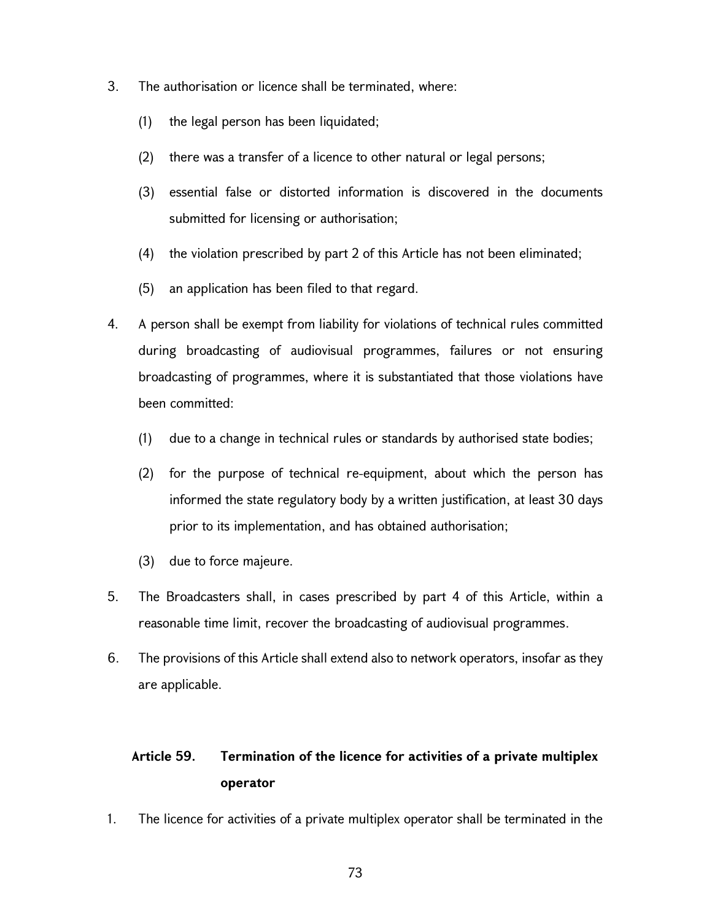- 3. The authorisation or licence shall be terminated, where:
	- (1) the legal person has been liquidated;
	- (2) there was a transfer of a licence to other natural or legal persons;
	- (3) essential false or distorted information is discovered in the documents submitted for licensing or authorisation;
	- (4) the violation prescribed by part 2 of this Article has not been eliminated;
	- (5) an application has been filed to that regard.
- 4. A person shall be exempt from liability for violations of technical rules committed during broadcasting of audiovisual programmes, failures or not ensuring broadcasting of programmes, where it is substantiated that those violations have been committed:
	- (1) due to a change in technical rules or standards by authorised state bodies;
	- (2) for the purpose of technical re-equipment, about which the person has informed the state regulatory body by a written justification, at least 30 days prior to its implementation, and has obtained authorisation;
	- (3) due to force majeure.
- 5. The Broadcasters shall, in cases prescribed by part 4 of this Article, within a reasonable time limit, recover the broadcasting of audiovisual programmes.
- 6. The provisions of this Article shall extend also to network operators, insofar as they are applicable.

# Article 59. Termination of the licence for activities of a private multiplex operator

1. The licence for activities of a private multiplex operator shall be terminated in the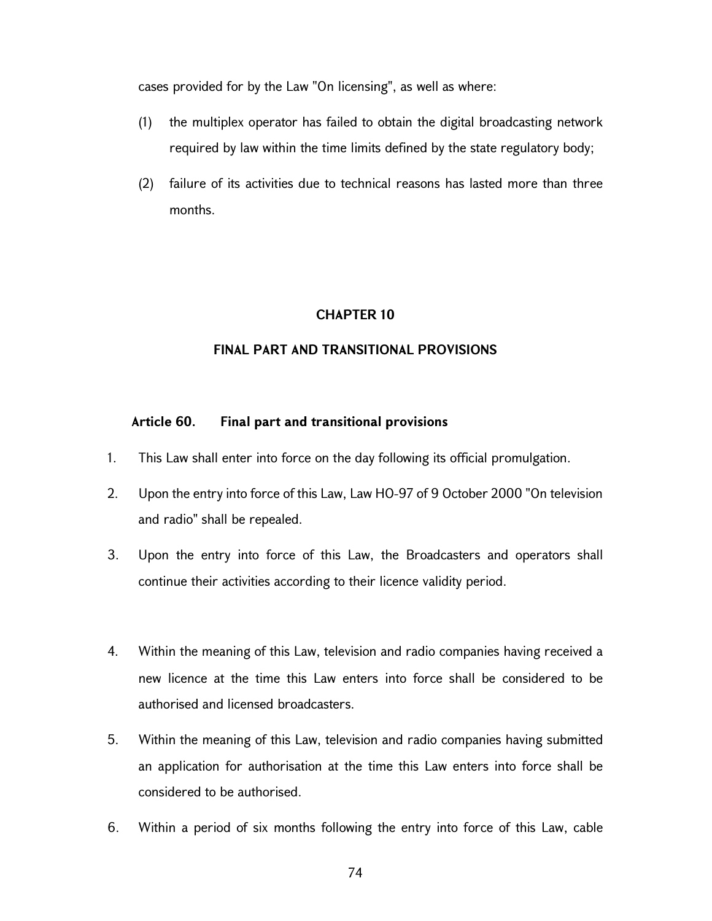cases provided for by the Law "On licensing", as well as where:

- (1) the multiplex operator has failed to obtain the digital broadcasting network required by law within the time limits defined by the state regulatory body;
- (2) failure of its activities due to technical reasons has lasted more than three months.

## CHAPTER 10

## FINAL PART AND TRANSITIONAL PROVISIONS

#### Article 60. Final part and transitional provisions

- 1. This Law shall enter into force on the day following its official promulgation.
- 2. Upon the entry into force of this Law, Law HO-97 of 9 October 2000 "On television and radio" shall be repealed.
- 3. Upon the entry into force of this Law, the Broadcasters and operators shall continue their activities according to their licence validity period.
- 4. Within the meaning of this Law, television and radio companies having received a new licence at the time this Law enters into force shall be considered to be authorised and licensed broadcasters.
- 5. Within the meaning of this Law, television and radio companies having submitted an application for authorisation at the time this Law enters into force shall be considered to be authorised.
- 6. Within a period of six months following the entry into force of this Law, cable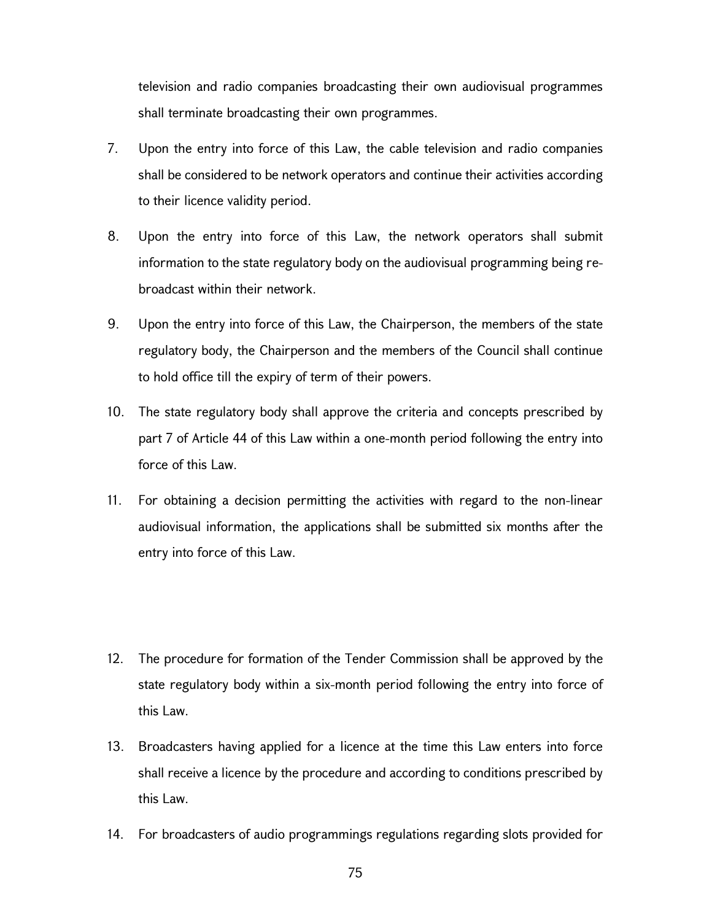television and radio companies broadcasting their own audiovisual programmes shall terminate broadcasting their own programmes.

- 7. Upon the entry into force of this Law, the cable television and radio companies shall be considered to be network operators and continue their activities according to their licence validity period.
- 8. Upon the entry into force of this Law, the network operators shall submit information to the state regulatory body on the audiovisual programming being rebroadcast within their network.
- 9. Upon the entry into force of this Law, the Chairperson, the members of the state regulatory body, the Chairperson and the members of the Council shall continue to hold office till the expiry of term of their powers.
- 10. The state regulatory body shall approve the criteria and concepts prescribed by part 7 of Article 44 of this Law within a one-month period following the entry into force of this Law.
- 11. For obtaining a decision permitting the activities with regard to the non-linear audiovisual information, the applications shall be submitted six months after the entry into force of this Law.
- 12. The procedure for formation of the Tender Commission shall be approved by the state regulatory body within a six-month period following the entry into force of this Law.
- 13. Broadcasters having applied for a licence at the time this Law enters into force shall receive a licence by the procedure and according to conditions prescribed by this Law.
- 14. For broadcasters of audio programmings regulations regarding slots provided for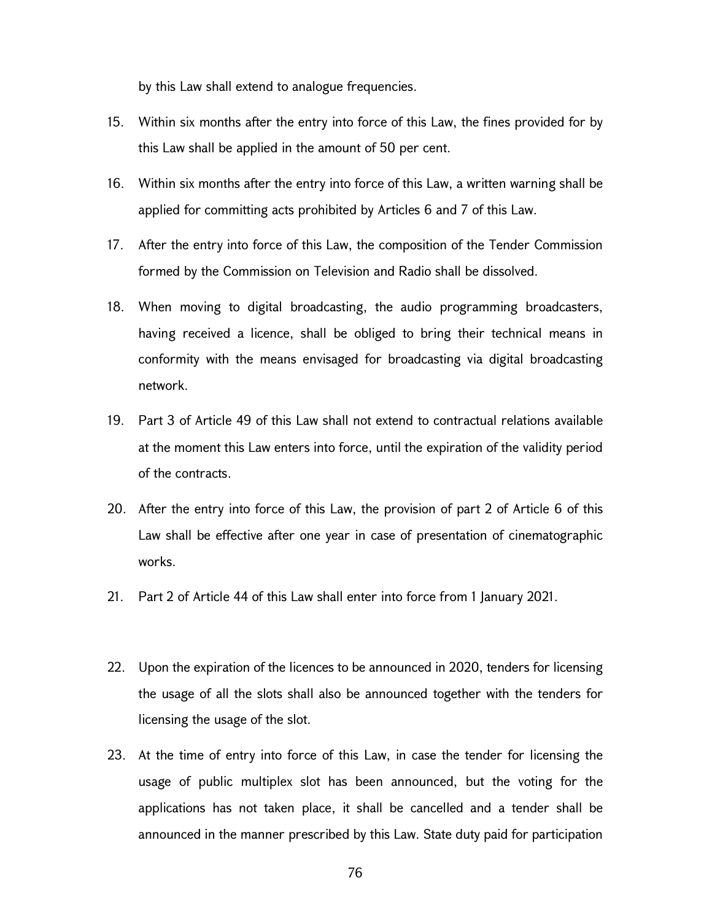by this Law shall extend to analogue frequencies.

- 15. Within six months after the entry into force of this Law, the fines provided for by this Law shall be applied in the amount of 50 per cent.
- 16. Within six months after the entry into force of this Law, a written warning shall be applied for committing acts prohibited by Articles 6 and 7 of this Law.
- 17. After the entry into force of this Law, the composition of the Tender Commission formed by the Commission on Television and Radio shall be dissolved.
- 18. When moving to digital broadcasting, the audio programming broadcasters, having received a licence, shall be obliged to bring their technical means in conformity with the means envisaged for broadcasting via digital broadcasting network.
- 19. Part 3 of Article 49 of this Law shall not extend to contractual relations available at the moment this Law enters into force, until the expiration of the validity period of the contracts.
- 20. After the entry into force of this Law, the provision of part 2 of Article 6 of this Law shall be effective after one year in case of presentation of cinematographic works.
- 21. Part 2 of Article 44 of this Law shall enter into force from 1 January 2021.
- 22. Upon the expiration of the licences to be announced in 2020, tenders for licensing the usage of all the slots shall also be announced together with the tenders for licensing the usage of the slot.
- 23. At the time of entry into force of this Law, in case the tender for licensing the usage of public multiplex slot has been announced, but the voting for the applications has not taken place, it shall be cancelled and a tender shall be announced in the manner prescribed by this Law. State duty paid for participation